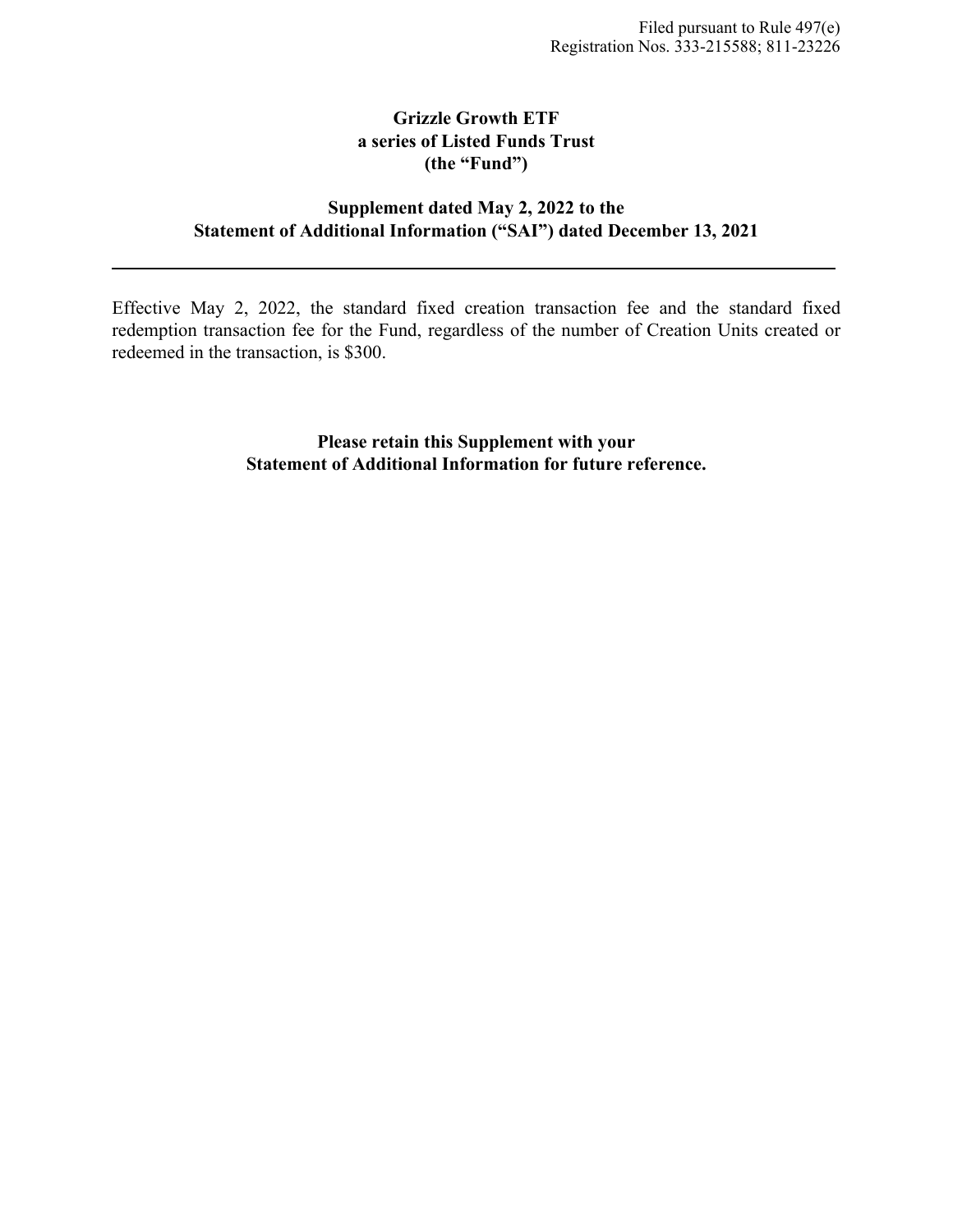# **Grizzle Growth ETF a series of Listed Funds Trust (the "Fund")**

# **Supplement dated May 2, 2022 to the Statement of Additional Information ("SAI") dated December 13, 2021**

Effective May 2, 2022, the standard fixed creation transaction fee and the standard fixed redemption transaction fee for the Fund, regardless of the number of Creation Units created or redeemed in the transaction, is \$300.

> **Please retain this Supplement with your Statement of Additional Information for future reference.**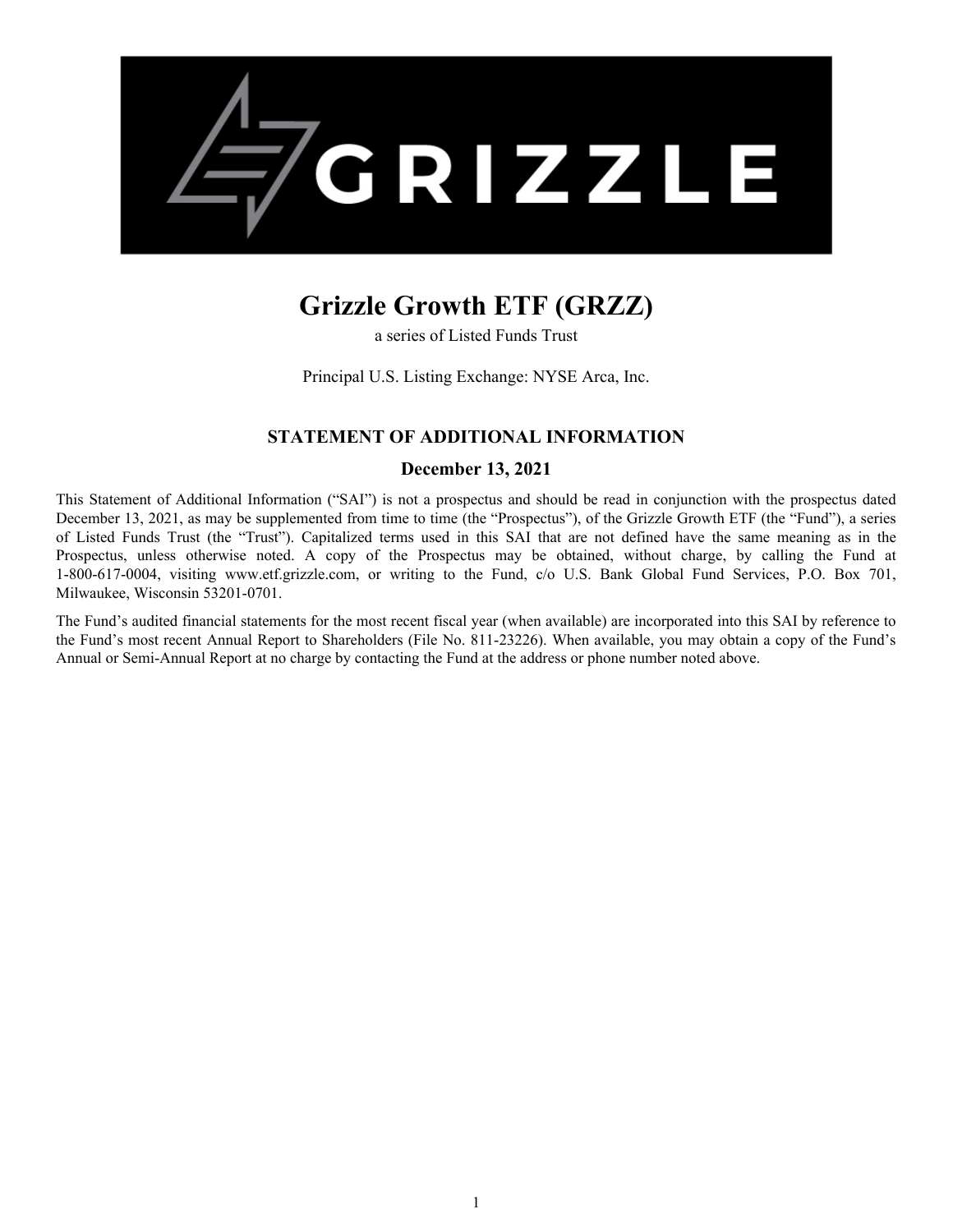

# **Grizzle Growth ETF (GRZZ)**

a series of Listed Funds Trust

Principal U.S. Listing Exchange: NYSE Arca, Inc.

# **STATEMENT OF ADDITIONAL INFORMATION**

# **December 13, 2021**

This Statement of Additional Information ("SAI") is not a prospectus and should be read in conjunction with the prospectus dated December 13, 2021, as may be supplemented from time to time (the "Prospectus"), of the Grizzle Growth ETF (the "Fund"), a series of Listed Funds Trust (the "Trust"). Capitalized terms used in this SAI that are not defined have the same meaning as in the Prospectus, unless otherwise noted. A copy of the Prospectus may be obtained, without charge, by calling the Fund at 1-800-617-0004, visiting www.etf.grizzle.com, or writing to the Fund, c/o U.S. Bank Global Fund Services, P.O. Box 701, Milwaukee, Wisconsin 53201-0701.

The Fund's audited financial statements for the most recent fiscal year (when available) are incorporated into this SAI by reference to the Fund's most recent Annual Report to Shareholders (File No. 811-23226). When available, you may obtain a copy of the Fund's Annual or Semi-Annual Report at no charge by contacting the Fund at the address or phone number noted above.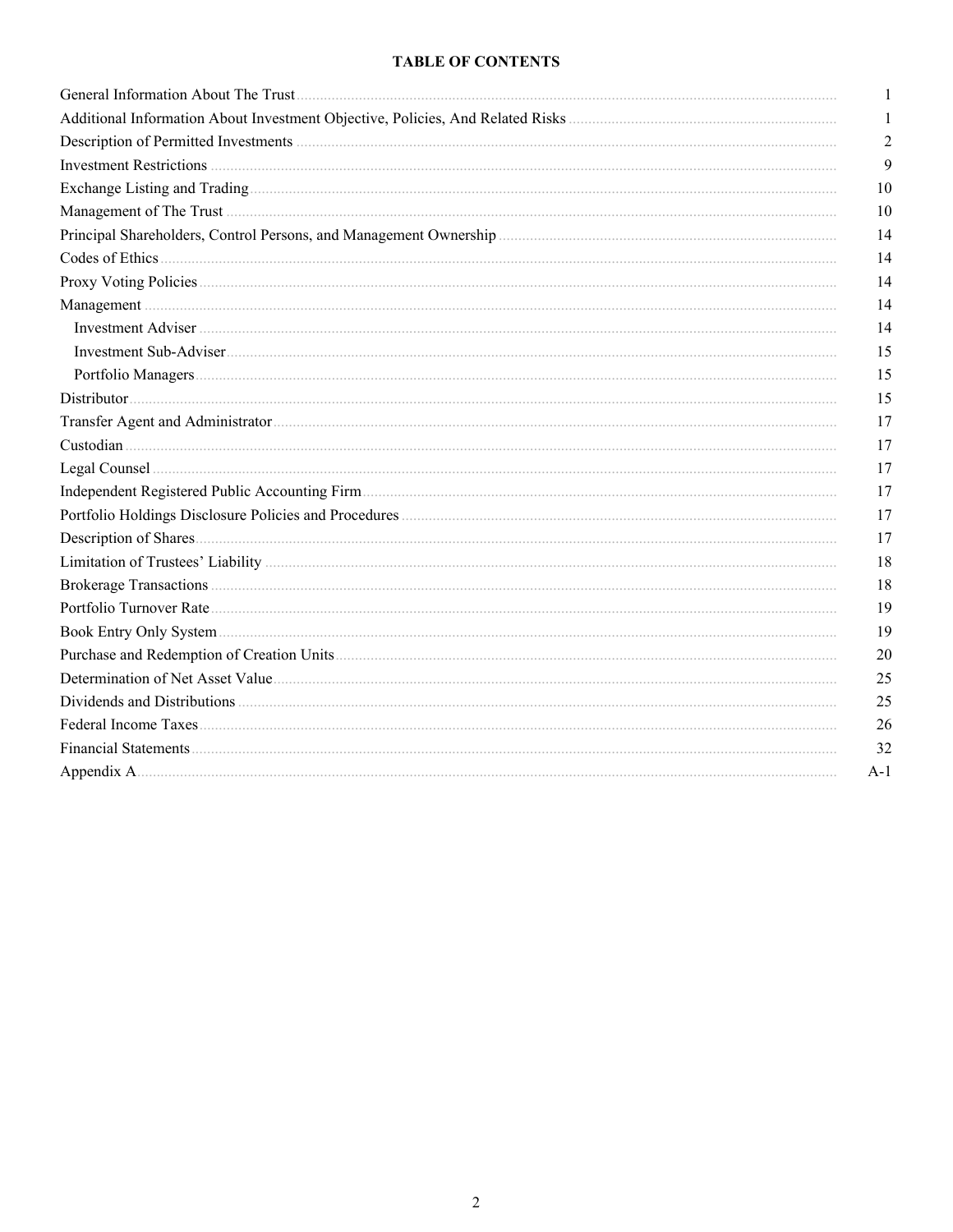# **TABLE OF CONTENTS**

| 1              |
|----------------|
| 1              |
| $\overline{2}$ |
| 9              |
| 10             |
| 10             |
| 14             |
| 14             |
| 14             |
| 14             |
| 14             |
| 15             |
| 15             |
| 15             |
| 17             |
| 17             |
| 17             |
| 17             |
| 17             |
| 17             |
| 18             |
| 18             |
| 19             |
| 19             |
| 20             |
| 25             |
| 25             |
| 26             |
| 32             |
| $A-1$          |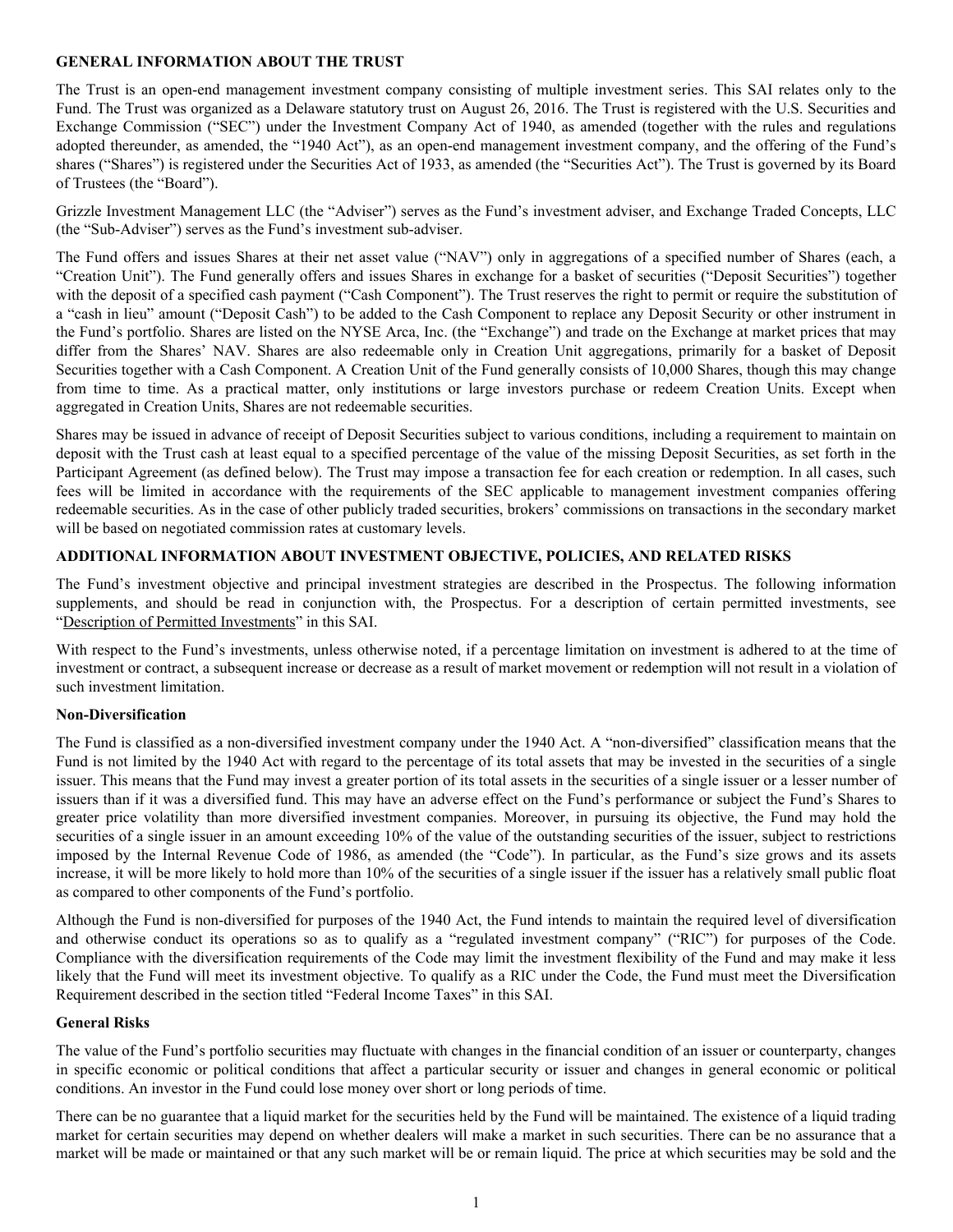## <span id="page-3-0"></span>**GENERAL INFORMATION ABOUT THE TRUST**

The Trust is an open-end management investment company consisting of multiple investment series. This SAI relates only to the Fund. The Trust was organized as a Delaware statutory trust on August 26, 2016. The Trust is registered with the U.S. Securities and Exchange Commission ("SEC") under the Investment Company Act of 1940, as amended (together with the rules and regulations adopted thereunder, as amended, the "1940 Act"), as an open-end management investment company, and the offering of the Fund's shares ("Shares") is registered under the Securities Act of 1933, as amended (the "Securities Act"). The Trust is governed by its Board of Trustees (the "Board").

Grizzle Investment Management LLC (the "Adviser") serves as the Fund's investment adviser, and Exchange Traded Concepts, LLC (the "Sub-Adviser") serves as the Fund's investment sub-adviser.

The Fund offers and issues Shares at their net asset value ("NAV") only in aggregations of a specified number of Shares (each, a "Creation Unit"). The Fund generally offers and issues Shares in exchange for a basket of securities ("Deposit Securities") together with the deposit of a specified cash payment ("Cash Component"). The Trust reserves the right to permit or require the substitution of a "cash in lieu" amount ("Deposit Cash") to be added to the Cash Component to replace any Deposit Security or other instrument in the Fund's portfolio. Shares are listed on the NYSE Arca, Inc. (the "Exchange") and trade on the Exchange at market prices that may differ from the Shares' NAV. Shares are also redeemable only in Creation Unit aggregations, primarily for a basket of Deposit Securities together with a Cash Component. A Creation Unit of the Fund generally consists of 10,000 Shares, though this may change from time to time. As a practical matter, only institutions or large investors purchase or redeem Creation Units. Except when aggregated in Creation Units, Shares are not redeemable securities.

Shares may be issued in advance of receipt of Deposit Securities subject to various conditions, including a requirement to maintain on deposit with the Trust cash at least equal to a specified percentage of the value of the missing Deposit Securities, as set forth in the Participant Agreement (as defined below). The Trust may impose a transaction fee for each creation or redemption. In all cases, such fees will be limited in accordance with the requirements of the SEC applicable to management investment companies offering redeemable securities. As in the case of other publicly traded securities, brokers' commissions on transactions in the secondary market will be based on negotiated commission rates at customary levels.

# **ADDITIONAL INFORMATION ABOUT INVESTMENT OBJECTIVE, POLICIES, AND RELATED RISKS**

The Fund's investment objective and principal investment strategies are described in the Prospectus. The following information supplements, and should be read in conjunction with, the Prospectus. For a description of certain permitted investments, see "Description of Permitted Investments" in this SAI.

With respect to the Fund's investments, unless otherwise noted, if a percentage limitation on investment is adhered to at the time of investment or contract, a subsequent increase or decrease as a result of market movement or redemption will not result in a violation of such investment limitation.

# **Non-Diversification**

The Fund is classified as a non-diversified investment company under the 1940 Act. A "non-diversified" classification means that the Fund is not limited by the 1940 Act with regard to the percentage of its total assets that may be invested in the securities of a single issuer. This means that the Fund may invest a greater portion of its total assets in the securities of a single issuer or a lesser number of issuers than if it was a diversified fund. This may have an adverse effect on the Fund's performance or subject the Fund's Shares to greater price volatility than more diversified investment companies. Moreover, in pursuing its objective, the Fund may hold the securities of a single issuer in an amount exceeding 10% of the value of the outstanding securities of the issuer, subject to restrictions imposed by the Internal Revenue Code of 1986, as amended (the "Code"). In particular, as the Fund's size grows and its assets increase, it will be more likely to hold more than 10% of the securities of a single issuer if the issuer has a relatively small public float as compared to other components of the Fund's portfolio.

Although the Fund is non-diversified for purposes of the 1940 Act, the Fund intends to maintain the required level of diversification and otherwise conduct its operations so as to qualify as a "regulated investment company" ("RIC") for purposes of the Code. Compliance with the diversification requirements of the Code may limit the investment flexibility of the Fund and may make it less likely that the Fund will meet its investment objective. To qualify as a RIC under the Code, the Fund must meet the Diversification Requirement described in the section titled "Federal Income Taxes" in this SAI.

#### **General Risks**

The value of the Fund's portfolio securities may fluctuate with changes in the financial condition of an issuer or counterparty, changes in specific economic or political conditions that affect a particular security or issuer and changes in general economic or political conditions. An investor in the Fund could lose money over short or long periods of time.

There can be no guarantee that a liquid market for the securities held by the Fund will be maintained. The existence of a liquid trading market for certain securities may depend on whether dealers will make a market in such securities. There can be no assurance that a market will be made or maintained or that any such market will be or remain liquid. The price at which securities may be sold and the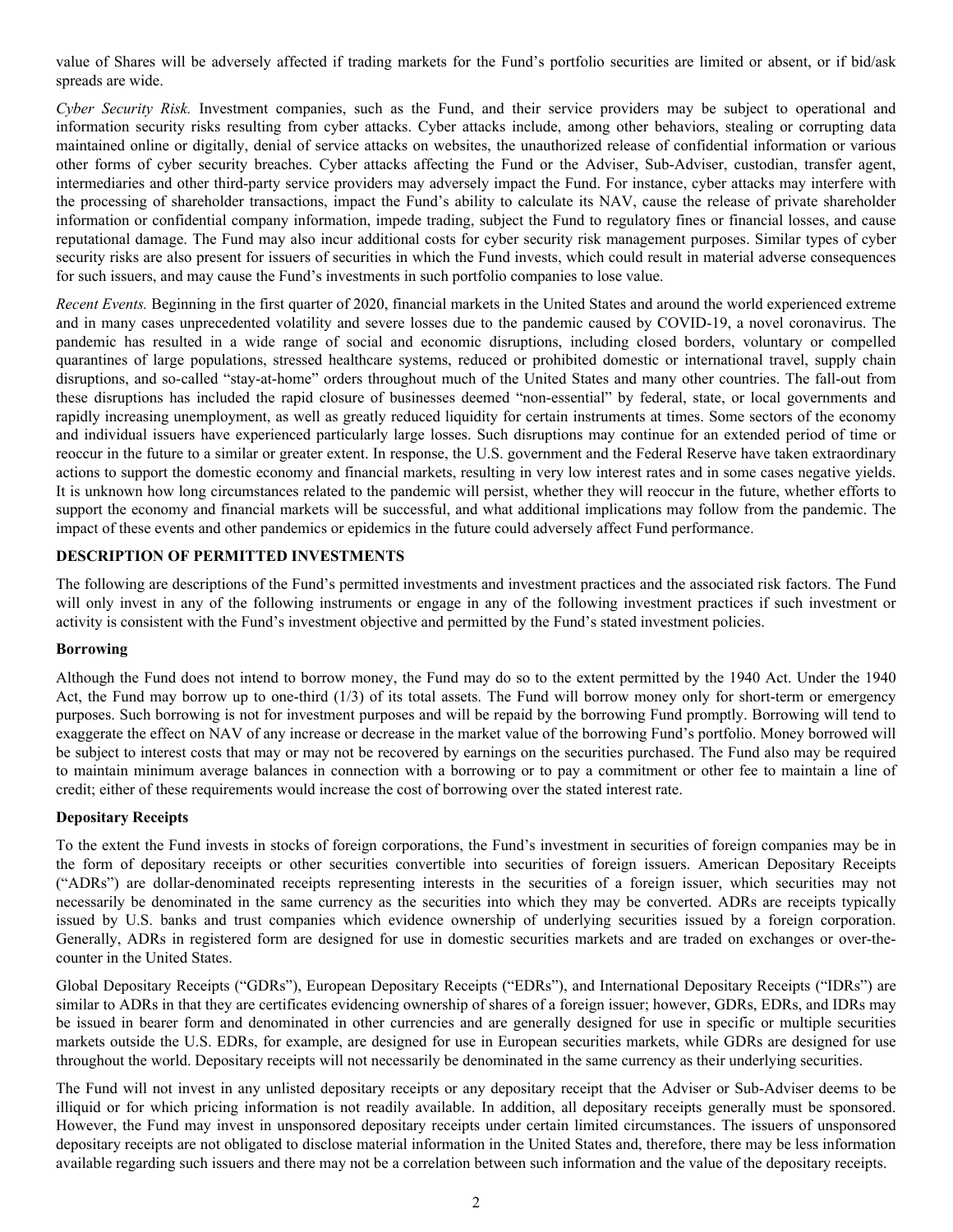<span id="page-4-0"></span>value of Shares will be adversely affected if trading markets for the Fund's portfolio securities are limited or absent, or if bid/ask spreads are wide.

*Cyber Security Risk.* Investment companies, such as the Fund, and their service providers may be subject to operational and information security risks resulting from cyber attacks. Cyber attacks include, among other behaviors, stealing or corrupting data maintained online or digitally, denial of service attacks on websites, the unauthorized release of confidential information or various other forms of cyber security breaches. Cyber attacks affecting the Fund or the Adviser, Sub-Adviser, custodian, transfer agent, intermediaries and other third-party service providers may adversely impact the Fund. For instance, cyber attacks may interfere with the processing of shareholder transactions, impact the Fund's ability to calculate its NAV, cause the release of private shareholder information or confidential company information, impede trading, subject the Fund to regulatory fines or financial losses, and cause reputational damage. The Fund may also incur additional costs for cyber security risk management purposes. Similar types of cyber security risks are also present for issuers of securities in which the Fund invests, which could result in material adverse consequences for such issuers, and may cause the Fund's investments in such portfolio companies to lose value.

*Recent Events.* Beginning in the first quarter of 2020, financial markets in the United States and around the world experienced extreme and in many cases unprecedented volatility and severe losses due to the pandemic caused by COVID-19, a novel coronavirus. The pandemic has resulted in a wide range of social and economic disruptions, including closed borders, voluntary or compelled quarantines of large populations, stressed healthcare systems, reduced or prohibited domestic or international travel, supply chain disruptions, and so-called "stay-at-home" orders throughout much of the United States and many other countries. The fall-out from these disruptions has included the rapid closure of businesses deemed "non-essential" by federal, state, or local governments and rapidly increasing unemployment, as well as greatly reduced liquidity for certain instruments at times. Some sectors of the economy and individual issuers have experienced particularly large losses. Such disruptions may continue for an extended period of time or reoccur in the future to a similar or greater extent. In response, the U.S. government and the Federal Reserve have taken extraordinary actions to support the domestic economy and financial markets, resulting in very low interest rates and in some cases negative yields. It is unknown how long circumstances related to the pandemic will persist, whether they will reoccur in the future, whether efforts to support the economy and financial markets will be successful, and what additional implications may follow from the pandemic. The impact of these events and other pandemics or epidemics in the future could adversely affect Fund performance.

# **DESCRIPTION OF PERMITTED INVESTMENTS**

The following are descriptions of the Fund's permitted investments and investment practices and the associated risk factors. The Fund will only invest in any of the following instruments or engage in any of the following investment practices if such investment or activity is consistent with the Fund's investment objective and permitted by the Fund's stated investment policies.

# **Borrowing**

Although the Fund does not intend to borrow money, the Fund may do so to the extent permitted by the 1940 Act. Under the 1940 Act, the Fund may borrow up to one-third (1/3) of its total assets. The Fund will borrow money only for short-term or emergency purposes. Such borrowing is not for investment purposes and will be repaid by the borrowing Fund promptly. Borrowing will tend to exaggerate the effect on NAV of any increase or decrease in the market value of the borrowing Fund's portfolio. Money borrowed will be subject to interest costs that may or may not be recovered by earnings on the securities purchased. The Fund also may be required to maintain minimum average balances in connection with a borrowing or to pay a commitment or other fee to maintain a line of credit; either of these requirements would increase the cost of borrowing over the stated interest rate.

# **Depositary Receipts**

To the extent the Fund invests in stocks of foreign corporations, the Fund's investment in securities of foreign companies may be in the form of depositary receipts or other securities convertible into securities of foreign issuers. American Depositary Receipts ("ADRs") are dollar-denominated receipts representing interests in the securities of a foreign issuer, which securities may not necessarily be denominated in the same currency as the securities into which they may be converted. ADRs are receipts typically issued by U.S. banks and trust companies which evidence ownership of underlying securities issued by a foreign corporation. Generally, ADRs in registered form are designed for use in domestic securities markets and are traded on exchanges or over-thecounter in the United States.

Global Depositary Receipts ("GDRs"), European Depositary Receipts ("EDRs"), and International Depositary Receipts ("IDRs") are similar to ADRs in that they are certificates evidencing ownership of shares of a foreign issuer; however, GDRs, EDRs, and IDRs may be issued in bearer form and denominated in other currencies and are generally designed for use in specific or multiple securities markets outside the U.S. EDRs, for example, are designed for use in European securities markets, while GDRs are designed for use throughout the world. Depositary receipts will not necessarily be denominated in the same currency as their underlying securities.

The Fund will not invest in any unlisted depositary receipts or any depositary receipt that the Adviser or Sub-Adviser deems to be illiquid or for which pricing information is not readily available. In addition, all depositary receipts generally must be sponsored. However, the Fund may invest in unsponsored depositary receipts under certain limited circumstances. The issuers of unsponsored depositary receipts are not obligated to disclose material information in the United States and, therefore, there may be less information available regarding such issuers and there may not be a correlation between such information and the value of the depositary receipts.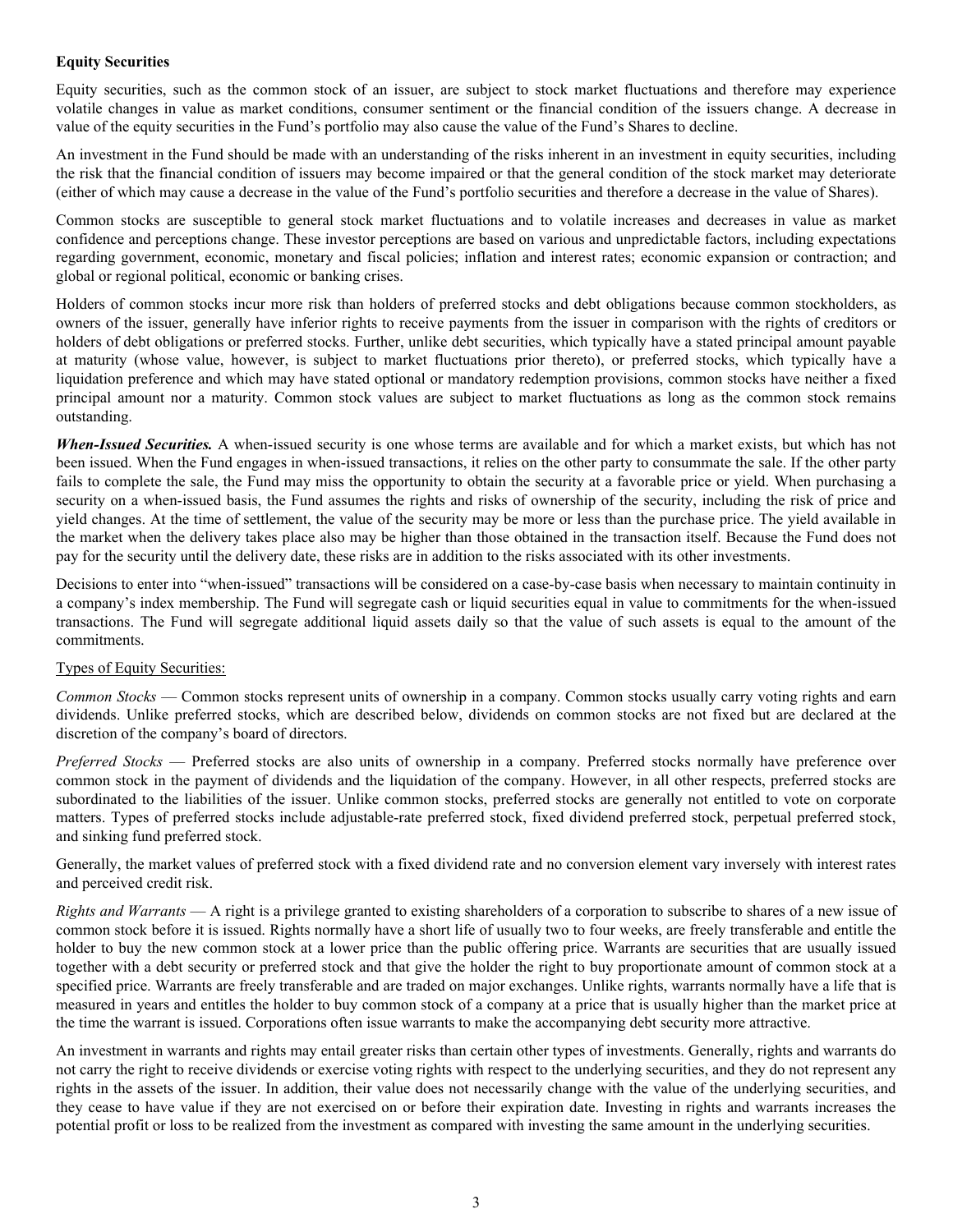# **Equity Securities**

Equity securities, such as the common stock of an issuer, are subject to stock market fluctuations and therefore may experience volatile changes in value as market conditions, consumer sentiment or the financial condition of the issuers change. A decrease in value of the equity securities in the Fund's portfolio may also cause the value of the Fund's Shares to decline.

An investment in the Fund should be made with an understanding of the risks inherent in an investment in equity securities, including the risk that the financial condition of issuers may become impaired or that the general condition of the stock market may deteriorate (either of which may cause a decrease in the value of the Fund's portfolio securities and therefore a decrease in the value of Shares).

Common stocks are susceptible to general stock market fluctuations and to volatile increases and decreases in value as market confidence and perceptions change. These investor perceptions are based on various and unpredictable factors, including expectations regarding government, economic, monetary and fiscal policies; inflation and interest rates; economic expansion or contraction; and global or regional political, economic or banking crises.

Holders of common stocks incur more risk than holders of preferred stocks and debt obligations because common stockholders, as owners of the issuer, generally have inferior rights to receive payments from the issuer in comparison with the rights of creditors or holders of debt obligations or preferred stocks. Further, unlike debt securities, which typically have a stated principal amount payable at maturity (whose value, however, is subject to market fluctuations prior thereto), or preferred stocks, which typically have a liquidation preference and which may have stated optional or mandatory redemption provisions, common stocks have neither a fixed principal amount nor a maturity. Common stock values are subject to market fluctuations as long as the common stock remains outstanding.

*When-Issued Securities.* A when-issued security is one whose terms are available and for which a market exists, but which has not been issued. When the Fund engages in when-issued transactions, it relies on the other party to consummate the sale. If the other party fails to complete the sale, the Fund may miss the opportunity to obtain the security at a favorable price or yield. When purchasing a security on a when-issued basis, the Fund assumes the rights and risks of ownership of the security, including the risk of price and yield changes. At the time of settlement, the value of the security may be more or less than the purchase price. The yield available in the market when the delivery takes place also may be higher than those obtained in the transaction itself. Because the Fund does not pay for the security until the delivery date, these risks are in addition to the risks associated with its other investments.

Decisions to enter into "when-issued" transactions will be considered on a case-by-case basis when necessary to maintain continuity in a company's index membership. The Fund will segregate cash or liquid securities equal in value to commitments for the when-issued transactions. The Fund will segregate additional liquid assets daily so that the value of such assets is equal to the amount of the commitments.

# Types of Equity Securities:

*Common Stocks* — Common stocks represent units of ownership in a company. Common stocks usually carry voting rights and earn dividends. Unlike preferred stocks, which are described below, dividends on common stocks are not fixed but are declared at the discretion of the company's board of directors.

*Preferred Stocks* — Preferred stocks are also units of ownership in a company. Preferred stocks normally have preference over common stock in the payment of dividends and the liquidation of the company. However, in all other respects, preferred stocks are subordinated to the liabilities of the issuer. Unlike common stocks, preferred stocks are generally not entitled to vote on corporate matters. Types of preferred stocks include adjustable-rate preferred stock, fixed dividend preferred stock, perpetual preferred stock, and sinking fund preferred stock.

Generally, the market values of preferred stock with a fixed dividend rate and no conversion element vary inversely with interest rates and perceived credit risk.

*Rights and Warrants* — A right is a privilege granted to existing shareholders of a corporation to subscribe to shares of a new issue of common stock before it is issued. Rights normally have a short life of usually two to four weeks, are freely transferable and entitle the holder to buy the new common stock at a lower price than the public offering price. Warrants are securities that are usually issued together with a debt security or preferred stock and that give the holder the right to buy proportionate amount of common stock at a specified price. Warrants are freely transferable and are traded on major exchanges. Unlike rights, warrants normally have a life that is measured in years and entitles the holder to buy common stock of a company at a price that is usually higher than the market price at the time the warrant is issued. Corporations often issue warrants to make the accompanying debt security more attractive.

An investment in warrants and rights may entail greater risks than certain other types of investments. Generally, rights and warrants do not carry the right to receive dividends or exercise voting rights with respect to the underlying securities, and they do not represent any rights in the assets of the issuer. In addition, their value does not necessarily change with the value of the underlying securities, and they cease to have value if they are not exercised on or before their expiration date. Investing in rights and warrants increases the potential profit or loss to be realized from the investment as compared with investing the same amount in the underlying securities.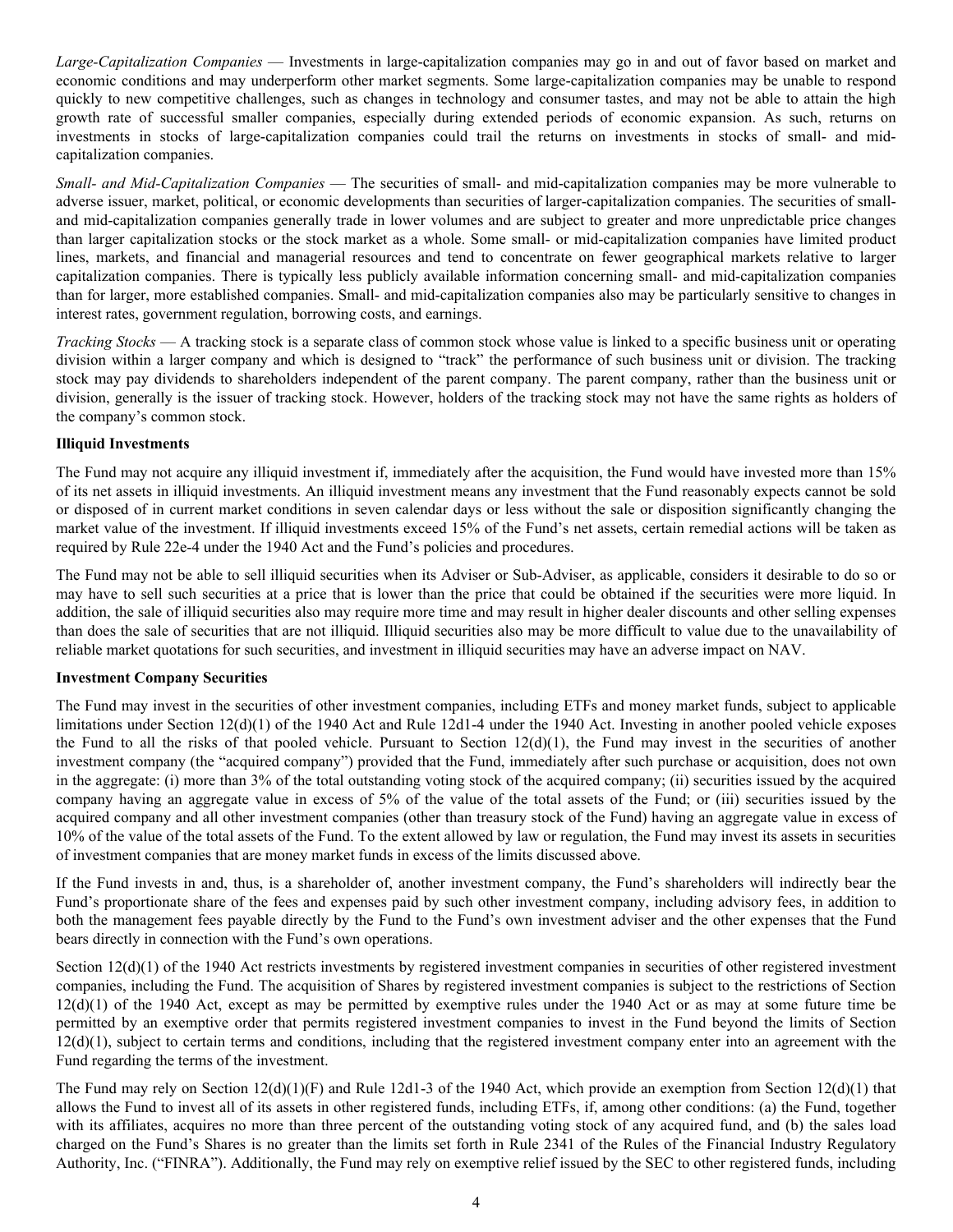*Large-Capitalization Companies* — Investments in large-capitalization companies may go in and out of favor based on market and economic conditions and may underperform other market segments. Some large-capitalization companies may be unable to respond quickly to new competitive challenges, such as changes in technology and consumer tastes, and may not be able to attain the high growth rate of successful smaller companies, especially during extended periods of economic expansion. As such, returns on investments in stocks of large-capitalization companies could trail the returns on investments in stocks of small- and midcapitalization companies.

*Small- and Mid-Capitalization Companies* — The securities of small- and mid-capitalization companies may be more vulnerable to adverse issuer, market, political, or economic developments than securities of larger-capitalization companies. The securities of smalland mid-capitalization companies generally trade in lower volumes and are subject to greater and more unpredictable price changes than larger capitalization stocks or the stock market as a whole. Some small- or mid-capitalization companies have limited product lines, markets, and financial and managerial resources and tend to concentrate on fewer geographical markets relative to larger capitalization companies. There is typically less publicly available information concerning small- and mid-capitalization companies than for larger, more established companies. Small- and mid-capitalization companies also may be particularly sensitive to changes in interest rates, government regulation, borrowing costs, and earnings.

*Tracking Stocks* — A tracking stock is a separate class of common stock whose value is linked to a specific business unit or operating division within a larger company and which is designed to "track" the performance of such business unit or division. The tracking stock may pay dividends to shareholders independent of the parent company. The parent company, rather than the business unit or division, generally is the issuer of tracking stock. However, holders of the tracking stock may not have the same rights as holders of the company's common stock.

# **Illiquid Investments**

The Fund may not acquire any illiquid investment if, immediately after the acquisition, the Fund would have invested more than 15% of its net assets in illiquid investments. An illiquid investment means any investment that the Fund reasonably expects cannot be sold or disposed of in current market conditions in seven calendar days or less without the sale or disposition significantly changing the market value of the investment. If illiquid investments exceed 15% of the Fund's net assets, certain remedial actions will be taken as required by Rule 22e-4 under the 1940 Act and the Fund's policies and procedures.

The Fund may not be able to sell illiquid securities when its Adviser or Sub-Adviser, as applicable, considers it desirable to do so or may have to sell such securities at a price that is lower than the price that could be obtained if the securities were more liquid. In addition, the sale of illiquid securities also may require more time and may result in higher dealer discounts and other selling expenses than does the sale of securities that are not illiquid. Illiquid securities also may be more difficult to value due to the unavailability of reliable market quotations for such securities, and investment in illiquid securities may have an adverse impact on NAV.

# **Investment Company Securities**

The Fund may invest in the securities of other investment companies, including ETFs and money market funds, subject to applicable limitations under Section 12(d)(1) of the 1940 Act and Rule 12d1-4 under the 1940 Act. Investing in another pooled vehicle exposes the Fund to all the risks of that pooled vehicle. Pursuant to Section  $12(d)(1)$ , the Fund may invest in the securities of another investment company (the "acquired company") provided that the Fund, immediately after such purchase or acquisition, does not own in the aggregate: (i) more than 3% of the total outstanding voting stock of the acquired company; (ii) securities issued by the acquired company having an aggregate value in excess of 5% of the value of the total assets of the Fund; or (iii) securities issued by the acquired company and all other investment companies (other than treasury stock of the Fund) having an aggregate value in excess of 10% of the value of the total assets of the Fund. To the extent allowed by law or regulation, the Fund may invest its assets in securities of investment companies that are money market funds in excess of the limits discussed above.

If the Fund invests in and, thus, is a shareholder of, another investment company, the Fund's shareholders will indirectly bear the Fund's proportionate share of the fees and expenses paid by such other investment company, including advisory fees, in addition to both the management fees payable directly by the Fund to the Fund's own investment adviser and the other expenses that the Fund bears directly in connection with the Fund's own operations.

Section 12(d)(1) of the 1940 Act restricts investments by registered investment companies in securities of other registered investment companies, including the Fund. The acquisition of Shares by registered investment companies is subject to the restrictions of Section  $12(d)(1)$  of the 1940 Act, except as may be permitted by exemptive rules under the 1940 Act or as may at some future time be permitted by an exemptive order that permits registered investment companies to invest in the Fund beyond the limits of Section  $12(d)(1)$ , subject to certain terms and conditions, including that the registered investment company enter into an agreement with the Fund regarding the terms of the investment.

The Fund may rely on Section  $12(d)(1)(F)$  and Rule 12d1-3 of the 1940 Act, which provide an exemption from Section  $12(d)(1)$  that allows the Fund to invest all of its assets in other registered funds, including ETFs, if, among other conditions: (a) the Fund, together with its affiliates, acquires no more than three percent of the outstanding voting stock of any acquired fund, and (b) the sales load charged on the Fund's Shares is no greater than the limits set forth in Rule 2341 of the Rules of the Financial Industry Regulatory Authority, Inc. ("FINRA"). Additionally, the Fund may rely on exemptive relief issued by the SEC to other registered funds, including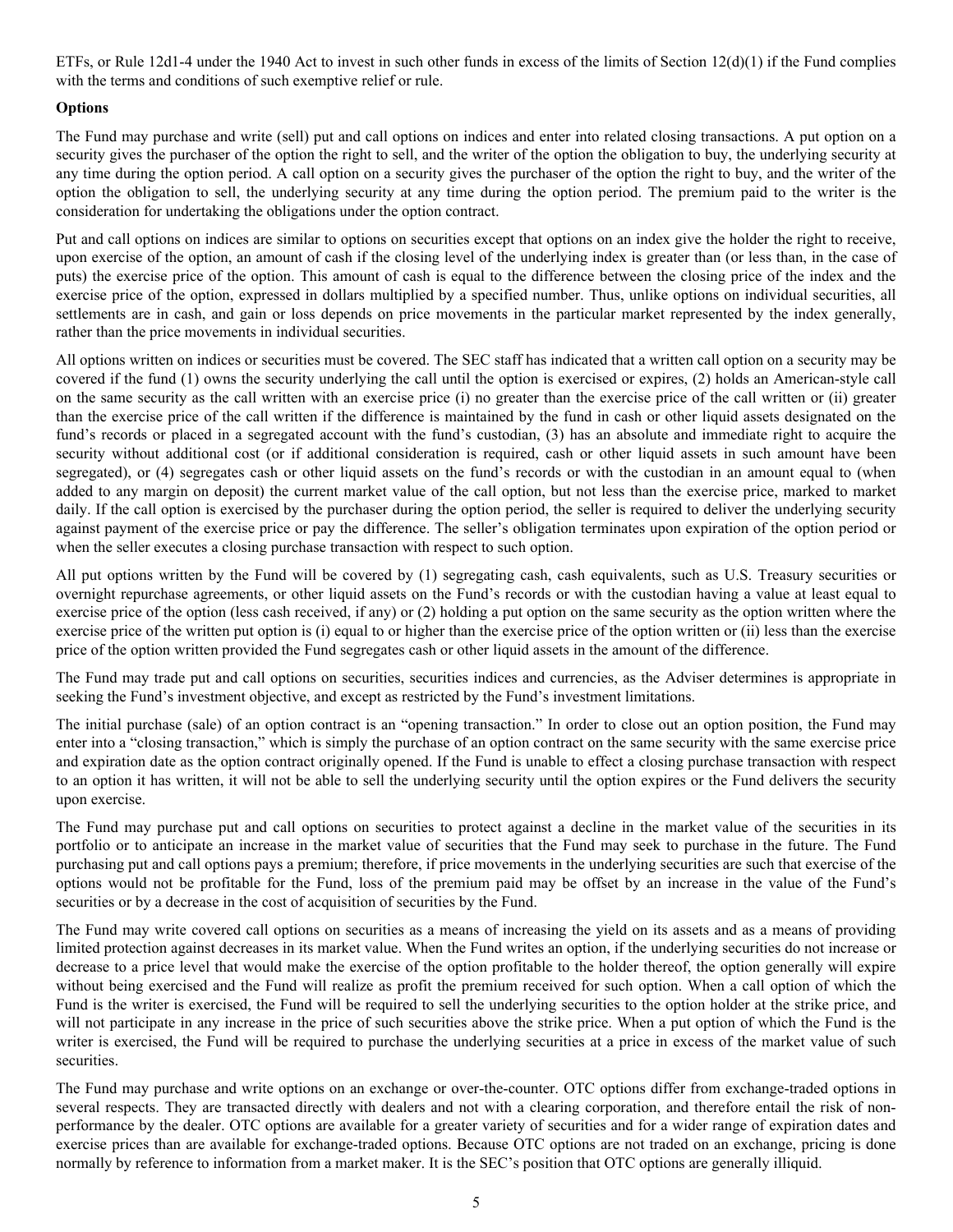ETFs, or Rule 12d1-4 under the 1940 Act to invest in such other funds in excess of the limits of Section  $12(d)(1)$  if the Fund complies with the terms and conditions of such exemptive relief or rule.

# **Options**

The Fund may purchase and write (sell) put and call options on indices and enter into related closing transactions. A put option on a security gives the purchaser of the option the right to sell, and the writer of the option the obligation to buy, the underlying security at any time during the option period. A call option on a security gives the purchaser of the option the right to buy, and the writer of the option the obligation to sell, the underlying security at any time during the option period. The premium paid to the writer is the consideration for undertaking the obligations under the option contract.

Put and call options on indices are similar to options on securities except that options on an index give the holder the right to receive, upon exercise of the option, an amount of cash if the closing level of the underlying index is greater than (or less than, in the case of puts) the exercise price of the option. This amount of cash is equal to the difference between the closing price of the index and the exercise price of the option, expressed in dollars multiplied by a specified number. Thus, unlike options on individual securities, all settlements are in cash, and gain or loss depends on price movements in the particular market represented by the index generally, rather than the price movements in individual securities.

All options written on indices or securities must be covered. The SEC staff has indicated that a written call option on a security may be covered if the fund (1) owns the security underlying the call until the option is exercised or expires, (2) holds an American-style call on the same security as the call written with an exercise price (i) no greater than the exercise price of the call written or (ii) greater than the exercise price of the call written if the difference is maintained by the fund in cash or other liquid assets designated on the fund's records or placed in a segregated account with the fund's custodian, (3) has an absolute and immediate right to acquire the security without additional cost (or if additional consideration is required, cash or other liquid assets in such amount have been segregated), or (4) segregates cash or other liquid assets on the fund's records or with the custodian in an amount equal to (when added to any margin on deposit) the current market value of the call option, but not less than the exercise price, marked to market daily. If the call option is exercised by the purchaser during the option period, the seller is required to deliver the underlying security against payment of the exercise price or pay the difference. The seller's obligation terminates upon expiration of the option period or when the seller executes a closing purchase transaction with respect to such option.

All put options written by the Fund will be covered by (1) segregating cash, cash equivalents, such as U.S. Treasury securities or overnight repurchase agreements, or other liquid assets on the Fund's records or with the custodian having a value at least equal to exercise price of the option (less cash received, if any) or (2) holding a put option on the same security as the option written where the exercise price of the written put option is (i) equal to or higher than the exercise price of the option written or (ii) less than the exercise price of the option written provided the Fund segregates cash or other liquid assets in the amount of the difference.

The Fund may trade put and call options on securities, securities indices and currencies, as the Adviser determines is appropriate in seeking the Fund's investment objective, and except as restricted by the Fund's investment limitations.

The initial purchase (sale) of an option contract is an "opening transaction." In order to close out an option position, the Fund may enter into a "closing transaction," which is simply the purchase of an option contract on the same security with the same exercise price and expiration date as the option contract originally opened. If the Fund is unable to effect a closing purchase transaction with respect to an option it has written, it will not be able to sell the underlying security until the option expires or the Fund delivers the security upon exercise.

The Fund may purchase put and call options on securities to protect against a decline in the market value of the securities in its portfolio or to anticipate an increase in the market value of securities that the Fund may seek to purchase in the future. The Fund purchasing put and call options pays a premium; therefore, if price movements in the underlying securities are such that exercise of the options would not be profitable for the Fund, loss of the premium paid may be offset by an increase in the value of the Fund's securities or by a decrease in the cost of acquisition of securities by the Fund.

The Fund may write covered call options on securities as a means of increasing the yield on its assets and as a means of providing limited protection against decreases in its market value. When the Fund writes an option, if the underlying securities do not increase or decrease to a price level that would make the exercise of the option profitable to the holder thereof, the option generally will expire without being exercised and the Fund will realize as profit the premium received for such option. When a call option of which the Fund is the writer is exercised, the Fund will be required to sell the underlying securities to the option holder at the strike price, and will not participate in any increase in the price of such securities above the strike price. When a put option of which the Fund is the writer is exercised, the Fund will be required to purchase the underlying securities at a price in excess of the market value of such securities.

The Fund may purchase and write options on an exchange or over-the-counter. OTC options differ from exchange-traded options in several respects. They are transacted directly with dealers and not with a clearing corporation, and therefore entail the risk of nonperformance by the dealer. OTC options are available for a greater variety of securities and for a wider range of expiration dates and exercise prices than are available for exchange-traded options. Because OTC options are not traded on an exchange, pricing is done normally by reference to information from a market maker. It is the SEC's position that OTC options are generally illiquid.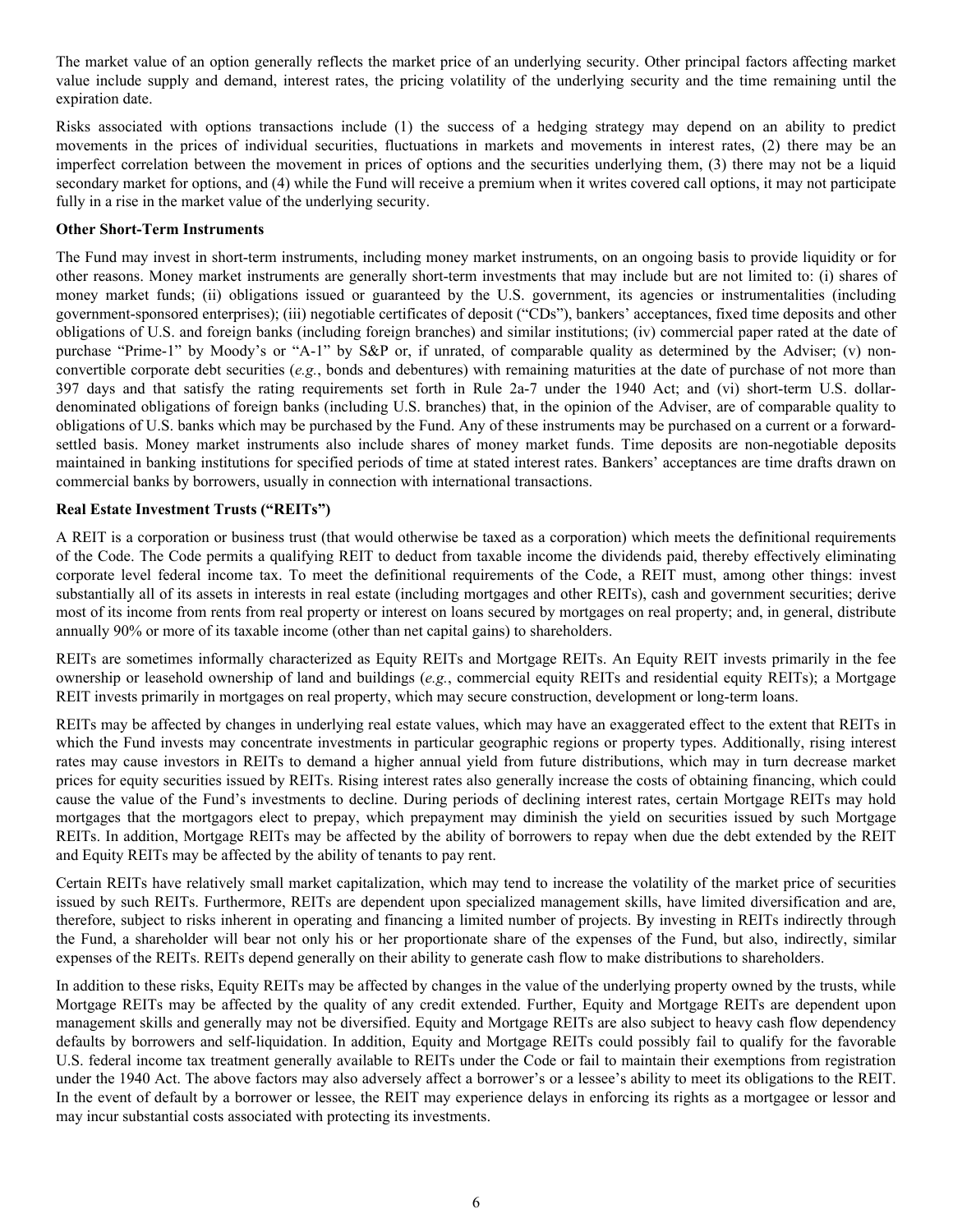The market value of an option generally reflects the market price of an underlying security. Other principal factors affecting market value include supply and demand, interest rates, the pricing volatility of the underlying security and the time remaining until the expiration date.

Risks associated with options transactions include (1) the success of a hedging strategy may depend on an ability to predict movements in the prices of individual securities, fluctuations in markets and movements in interest rates, (2) there may be an imperfect correlation between the movement in prices of options and the securities underlying them, (3) there may not be a liquid secondary market for options, and (4) while the Fund will receive a premium when it writes covered call options, it may not participate fully in a rise in the market value of the underlying security.

#### **Other Short-Term Instruments**

The Fund may invest in short-term instruments, including money market instruments, on an ongoing basis to provide liquidity or for other reasons. Money market instruments are generally short-term investments that may include but are not limited to: (i) shares of money market funds; (ii) obligations issued or guaranteed by the U.S. government, its agencies or instrumentalities (including government-sponsored enterprises); (iii) negotiable certificates of deposit ("CDs"), bankers' acceptances, fixed time deposits and other obligations of U.S. and foreign banks (including foreign branches) and similar institutions; (iv) commercial paper rated at the date of purchase "Prime-1" by Moody's or "A-1" by S&P or, if unrated, of comparable quality as determined by the Adviser; (v) nonconvertible corporate debt securities (*e.g.*, bonds and debentures) with remaining maturities at the date of purchase of not more than 397 days and that satisfy the rating requirements set forth in Rule 2a-7 under the 1940 Act; and (vi) short-term U.S. dollardenominated obligations of foreign banks (including U.S. branches) that, in the opinion of the Adviser, are of comparable quality to obligations of U.S. banks which may be purchased by the Fund. Any of these instruments may be purchased on a current or a forwardsettled basis. Money market instruments also include shares of money market funds. Time deposits are non-negotiable deposits maintained in banking institutions for specified periods of time at stated interest rates. Bankers' acceptances are time drafts drawn on commercial banks by borrowers, usually in connection with international transactions.

#### **Real Estate Investment Trusts ("REITs")**

A REIT is a corporation or business trust (that would otherwise be taxed as a corporation) which meets the definitional requirements of the Code. The Code permits a qualifying REIT to deduct from taxable income the dividends paid, thereby effectively eliminating corporate level federal income tax. To meet the definitional requirements of the Code, a REIT must, among other things: invest substantially all of its assets in interests in real estate (including mortgages and other REITs), cash and government securities; derive most of its income from rents from real property or interest on loans secured by mortgages on real property; and, in general, distribute annually 90% or more of its taxable income (other than net capital gains) to shareholders.

REITs are sometimes informally characterized as Equity REITs and Mortgage REITs. An Equity REIT invests primarily in the fee ownership or leasehold ownership of land and buildings (*e.g.*, commercial equity REITs and residential equity REITs); a Mortgage REIT invests primarily in mortgages on real property, which may secure construction, development or long-term loans.

REITs may be affected by changes in underlying real estate values, which may have an exaggerated effect to the extent that REITs in which the Fund invests may concentrate investments in particular geographic regions or property types. Additionally, rising interest rates may cause investors in REITs to demand a higher annual yield from future distributions, which may in turn decrease market prices for equity securities issued by REITs. Rising interest rates also generally increase the costs of obtaining financing, which could cause the value of the Fund's investments to decline. During periods of declining interest rates, certain Mortgage REITs may hold mortgages that the mortgagors elect to prepay, which prepayment may diminish the yield on securities issued by such Mortgage REITs. In addition, Mortgage REITs may be affected by the ability of borrowers to repay when due the debt extended by the REIT and Equity REITs may be affected by the ability of tenants to pay rent.

Certain REITs have relatively small market capitalization, which may tend to increase the volatility of the market price of securities issued by such REITs. Furthermore, REITs are dependent upon specialized management skills, have limited diversification and are, therefore, subject to risks inherent in operating and financing a limited number of projects. By investing in REITs indirectly through the Fund, a shareholder will bear not only his or her proportionate share of the expenses of the Fund, but also, indirectly, similar expenses of the REITs. REITs depend generally on their ability to generate cash flow to make distributions to shareholders.

In addition to these risks, Equity REITs may be affected by changes in the value of the underlying property owned by the trusts, while Mortgage REITs may be affected by the quality of any credit extended. Further, Equity and Mortgage REITs are dependent upon management skills and generally may not be diversified. Equity and Mortgage REITs are also subject to heavy cash flow dependency defaults by borrowers and self-liquidation. In addition, Equity and Mortgage REITs could possibly fail to qualify for the favorable U.S. federal income tax treatment generally available to REITs under the Code or fail to maintain their exemptions from registration under the 1940 Act. The above factors may also adversely affect a borrower's or a lessee's ability to meet its obligations to the REIT. In the event of default by a borrower or lessee, the REIT may experience delays in enforcing its rights as a mortgagee or lessor and may incur substantial costs associated with protecting its investments.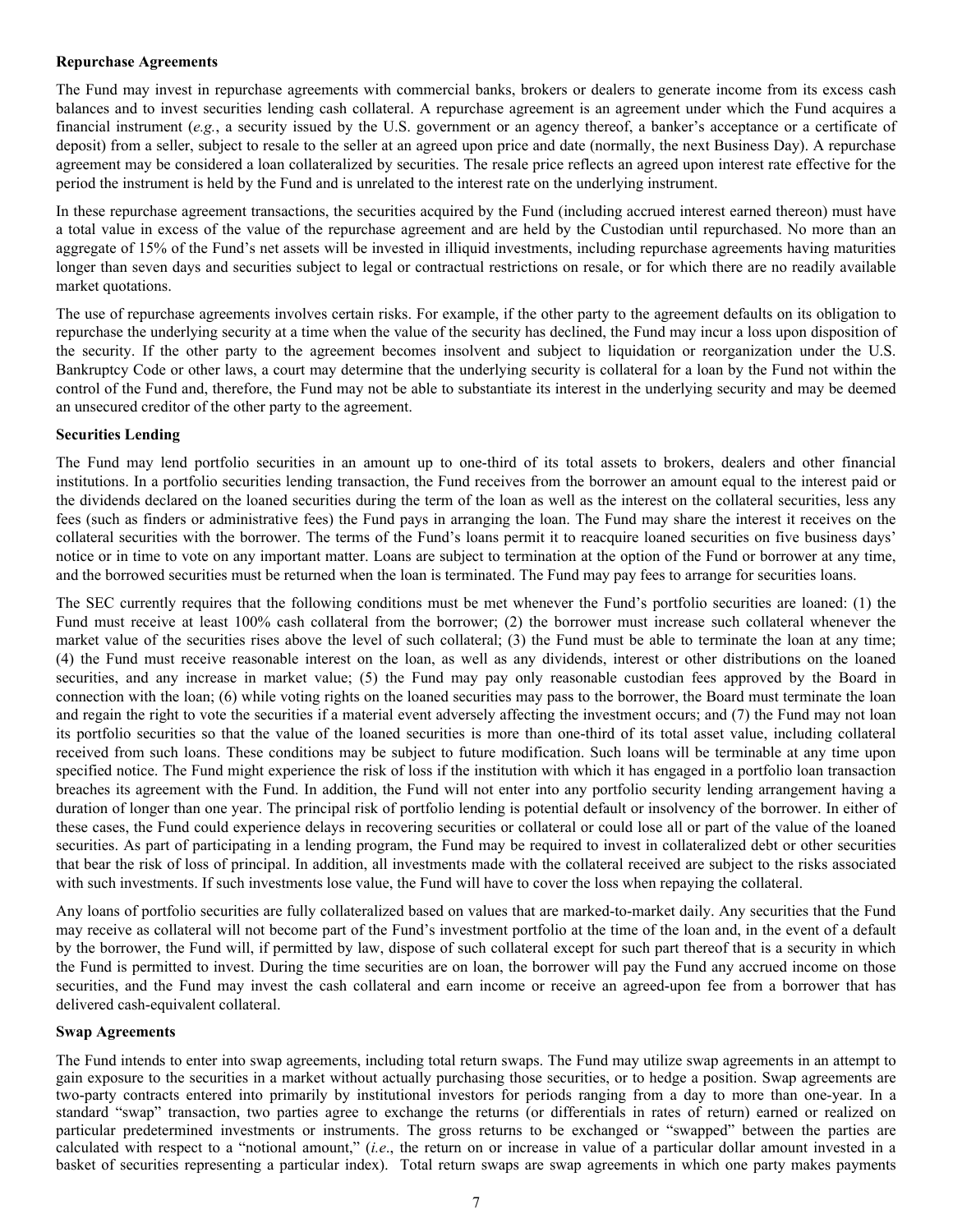#### **Repurchase Agreements**

The Fund may invest in repurchase agreements with commercial banks, brokers or dealers to generate income from its excess cash balances and to invest securities lending cash collateral. A repurchase agreement is an agreement under which the Fund acquires a financial instrument (*e.g.*, a security issued by the U.S. government or an agency thereof, a banker's acceptance or a certificate of deposit) from a seller, subject to resale to the seller at an agreed upon price and date (normally, the next Business Day). A repurchase agreement may be considered a loan collateralized by securities. The resale price reflects an agreed upon interest rate effective for the period the instrument is held by the Fund and is unrelated to the interest rate on the underlying instrument.

In these repurchase agreement transactions, the securities acquired by the Fund (including accrued interest earned thereon) must have a total value in excess of the value of the repurchase agreement and are held by the Custodian until repurchased. No more than an aggregate of 15% of the Fund's net assets will be invested in illiquid investments, including repurchase agreements having maturities longer than seven days and securities subject to legal or contractual restrictions on resale, or for which there are no readily available market quotations.

The use of repurchase agreements involves certain risks. For example, if the other party to the agreement defaults on its obligation to repurchase the underlying security at a time when the value of the security has declined, the Fund may incur a loss upon disposition of the security. If the other party to the agreement becomes insolvent and subject to liquidation or reorganization under the U.S. Bankruptcy Code or other laws, a court may determine that the underlying security is collateral for a loan by the Fund not within the control of the Fund and, therefore, the Fund may not be able to substantiate its interest in the underlying security and may be deemed an unsecured creditor of the other party to the agreement.

#### **Securities Lending**

The Fund may lend portfolio securities in an amount up to one-third of its total assets to brokers, dealers and other financial institutions. In a portfolio securities lending transaction, the Fund receives from the borrower an amount equal to the interest paid or the dividends declared on the loaned securities during the term of the loan as well as the interest on the collateral securities, less any fees (such as finders or administrative fees) the Fund pays in arranging the loan. The Fund may share the interest it receives on the collateral securities with the borrower. The terms of the Fund's loans permit it to reacquire loaned securities on five business days' notice or in time to vote on any important matter. Loans are subject to termination at the option of the Fund or borrower at any time, and the borrowed securities must be returned when the loan is terminated. The Fund may pay fees to arrange for securities loans.

The SEC currently requires that the following conditions must be met whenever the Fund's portfolio securities are loaned: (1) the Fund must receive at least 100% cash collateral from the borrower; (2) the borrower must increase such collateral whenever the market value of the securities rises above the level of such collateral; (3) the Fund must be able to terminate the loan at any time; (4) the Fund must receive reasonable interest on the loan, as well as any dividends, interest or other distributions on the loaned securities, and any increase in market value; (5) the Fund may pay only reasonable custodian fees approved by the Board in connection with the loan; (6) while voting rights on the loaned securities may pass to the borrower, the Board must terminate the loan and regain the right to vote the securities if a material event adversely affecting the investment occurs; and (7) the Fund may not loan its portfolio securities so that the value of the loaned securities is more than one-third of its total asset value, including collateral received from such loans. These conditions may be subject to future modification. Such loans will be terminable at any time upon specified notice. The Fund might experience the risk of loss if the institution with which it has engaged in a portfolio loan transaction breaches its agreement with the Fund. In addition, the Fund will not enter into any portfolio security lending arrangement having a duration of longer than one year. The principal risk of portfolio lending is potential default or insolvency of the borrower. In either of these cases, the Fund could experience delays in recovering securities or collateral or could lose all or part of the value of the loaned securities. As part of participating in a lending program, the Fund may be required to invest in collateralized debt or other securities that bear the risk of loss of principal. In addition, all investments made with the collateral received are subject to the risks associated with such investments. If such investments lose value, the Fund will have to cover the loss when repaying the collateral.

Any loans of portfolio securities are fully collateralized based on values that are marked-to-market daily. Any securities that the Fund may receive as collateral will not become part of the Fund's investment portfolio at the time of the loan and, in the event of a default by the borrower, the Fund will, if permitted by law, dispose of such collateral except for such part thereof that is a security in which the Fund is permitted to invest. During the time securities are on loan, the borrower will pay the Fund any accrued income on those securities, and the Fund may invest the cash collateral and earn income or receive an agreed-upon fee from a borrower that has delivered cash-equivalent collateral.

#### **Swap Agreements**

The Fund intends to enter into swap agreements, including total return swaps. The Fund may utilize swap agreements in an attempt to gain exposure to the securities in a market without actually purchasing those securities, or to hedge a position. Swap agreements are two-party contracts entered into primarily by institutional investors for periods ranging from a day to more than one-year. In a standard "swap" transaction, two parties agree to exchange the returns (or differentials in rates of return) earned or realized on particular predetermined investments or instruments. The gross returns to be exchanged or "swapped" between the parties are calculated with respect to a "notional amount," (*i.e*., the return on or increase in value of a particular dollar amount invested in a basket of securities representing a particular index). Total return swaps are swap agreements in which one party makes payments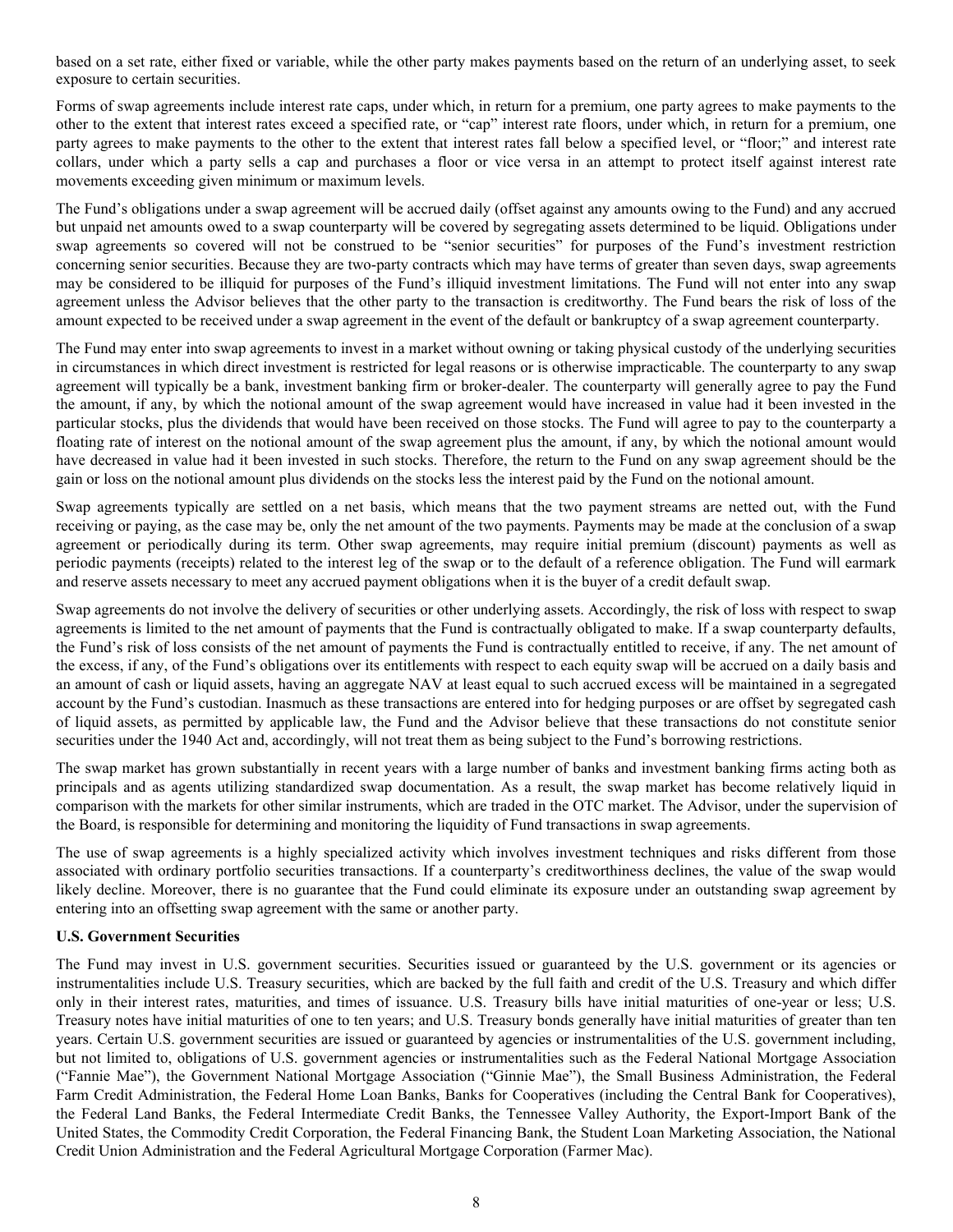based on a set rate, either fixed or variable, while the other party makes payments based on the return of an underlying asset, to seek exposure to certain securities.

Forms of swap agreements include interest rate caps, under which, in return for a premium, one party agrees to make payments to the other to the extent that interest rates exceed a specified rate, or "cap" interest rate floors, under which, in return for a premium, one party agrees to make payments to the other to the extent that interest rates fall below a specified level, or "floor;" and interest rate collars, under which a party sells a cap and purchases a floor or vice versa in an attempt to protect itself against interest rate movements exceeding given minimum or maximum levels.

The Fund's obligations under a swap agreement will be accrued daily (offset against any amounts owing to the Fund) and any accrued but unpaid net amounts owed to a swap counterparty will be covered by segregating assets determined to be liquid. Obligations under swap agreements so covered will not be construed to be "senior securities" for purposes of the Fund's investment restriction concerning senior securities. Because they are two-party contracts which may have terms of greater than seven days, swap agreements may be considered to be illiquid for purposes of the Fund's illiquid investment limitations. The Fund will not enter into any swap agreement unless the Advisor believes that the other party to the transaction is creditworthy. The Fund bears the risk of loss of the amount expected to be received under a swap agreement in the event of the default or bankruptcy of a swap agreement counterparty.

The Fund may enter into swap agreements to invest in a market without owning or taking physical custody of the underlying securities in circumstances in which direct investment is restricted for legal reasons or is otherwise impracticable. The counterparty to any swap agreement will typically be a bank, investment banking firm or broker-dealer. The counterparty will generally agree to pay the Fund the amount, if any, by which the notional amount of the swap agreement would have increased in value had it been invested in the particular stocks, plus the dividends that would have been received on those stocks. The Fund will agree to pay to the counterparty a floating rate of interest on the notional amount of the swap agreement plus the amount, if any, by which the notional amount would have decreased in value had it been invested in such stocks. Therefore, the return to the Fund on any swap agreement should be the gain or loss on the notional amount plus dividends on the stocks less the interest paid by the Fund on the notional amount.

Swap agreements typically are settled on a net basis, which means that the two payment streams are netted out, with the Fund receiving or paying, as the case may be, only the net amount of the two payments. Payments may be made at the conclusion of a swap agreement or periodically during its term. Other swap agreements, may require initial premium (discount) payments as well as periodic payments (receipts) related to the interest leg of the swap or to the default of a reference obligation. The Fund will earmark and reserve assets necessary to meet any accrued payment obligations when it is the buyer of a credit default swap.

Swap agreements do not involve the delivery of securities or other underlying assets. Accordingly, the risk of loss with respect to swap agreements is limited to the net amount of payments that the Fund is contractually obligated to make. If a swap counterparty defaults, the Fund's risk of loss consists of the net amount of payments the Fund is contractually entitled to receive, if any. The net amount of the excess, if any, of the Fund's obligations over its entitlements with respect to each equity swap will be accrued on a daily basis and an amount of cash or liquid assets, having an aggregate NAV at least equal to such accrued excess will be maintained in a segregated account by the Fund's custodian. Inasmuch as these transactions are entered into for hedging purposes or are offset by segregated cash of liquid assets, as permitted by applicable law, the Fund and the Advisor believe that these transactions do not constitute senior securities under the 1940 Act and, accordingly, will not treat them as being subject to the Fund's borrowing restrictions.

The swap market has grown substantially in recent years with a large number of banks and investment banking firms acting both as principals and as agents utilizing standardized swap documentation. As a result, the swap market has become relatively liquid in comparison with the markets for other similar instruments, which are traded in the OTC market. The Advisor, under the supervision of the Board, is responsible for determining and monitoring the liquidity of Fund transactions in swap agreements.

The use of swap agreements is a highly specialized activity which involves investment techniques and risks different from those associated with ordinary portfolio securities transactions. If a counterparty's creditworthiness declines, the value of the swap would likely decline. Moreover, there is no guarantee that the Fund could eliminate its exposure under an outstanding swap agreement by entering into an offsetting swap agreement with the same or another party.

# **U.S. Government Securities**

The Fund may invest in U.S. government securities. Securities issued or guaranteed by the U.S. government or its agencies or instrumentalities include U.S. Treasury securities, which are backed by the full faith and credit of the U.S. Treasury and which differ only in their interest rates, maturities, and times of issuance. U.S. Treasury bills have initial maturities of one-year or less; U.S. Treasury notes have initial maturities of one to ten years; and U.S. Treasury bonds generally have initial maturities of greater than ten years. Certain U.S. government securities are issued or guaranteed by agencies or instrumentalities of the U.S. government including, but not limited to, obligations of U.S. government agencies or instrumentalities such as the Federal National Mortgage Association ("Fannie Mae"), the Government National Mortgage Association ("Ginnie Mae"), the Small Business Administration, the Federal Farm Credit Administration, the Federal Home Loan Banks, Banks for Cooperatives (including the Central Bank for Cooperatives), the Federal Land Banks, the Federal Intermediate Credit Banks, the Tennessee Valley Authority, the Export-Import Bank of the United States, the Commodity Credit Corporation, the Federal Financing Bank, the Student Loan Marketing Association, the National Credit Union Administration and the Federal Agricultural Mortgage Corporation (Farmer Mac).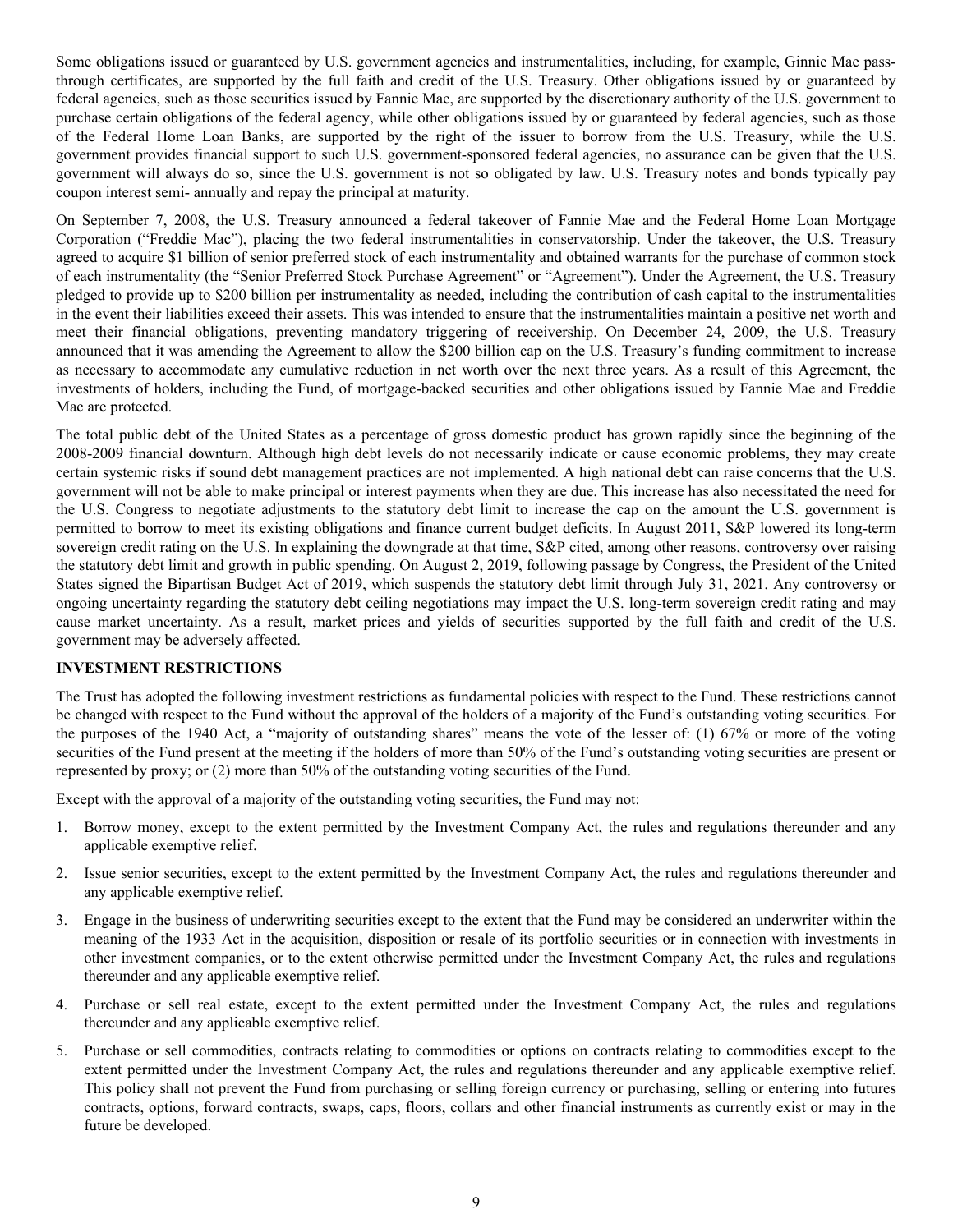<span id="page-11-0"></span>Some obligations issued or guaranteed by U.S. government agencies and instrumentalities, including, for example, Ginnie Mae passthrough certificates, are supported by the full faith and credit of the U.S. Treasury. Other obligations issued by or guaranteed by federal agencies, such as those securities issued by Fannie Mae, are supported by the discretionary authority of the U.S. government to purchase certain obligations of the federal agency, while other obligations issued by or guaranteed by federal agencies, such as those of the Federal Home Loan Banks, are supported by the right of the issuer to borrow from the U.S. Treasury, while the U.S. government provides financial support to such U.S. government-sponsored federal agencies, no assurance can be given that the U.S. government will always do so, since the U.S. government is not so obligated by law. U.S. Treasury notes and bonds typically pay coupon interest semi- annually and repay the principal at maturity.

On September 7, 2008, the U.S. Treasury announced a federal takeover of Fannie Mae and the Federal Home Loan Mortgage Corporation ("Freddie Mac"), placing the two federal instrumentalities in conservatorship. Under the takeover, the U.S. Treasury agreed to acquire \$1 billion of senior preferred stock of each instrumentality and obtained warrants for the purchase of common stock of each instrumentality (the "Senior Preferred Stock Purchase Agreement" or "Agreement"). Under the Agreement, the U.S. Treasury pledged to provide up to \$200 billion per instrumentality as needed, including the contribution of cash capital to the instrumentalities in the event their liabilities exceed their assets. This was intended to ensure that the instrumentalities maintain a positive net worth and meet their financial obligations, preventing mandatory triggering of receivership. On December 24, 2009, the U.S. Treasury announced that it was amending the Agreement to allow the \$200 billion cap on the U.S. Treasury's funding commitment to increase as necessary to accommodate any cumulative reduction in net worth over the next three years. As a result of this Agreement, the investments of holders, including the Fund, of mortgage-backed securities and other obligations issued by Fannie Mae and Freddie Mac are protected.

The total public debt of the United States as a percentage of gross domestic product has grown rapidly since the beginning of the 2008-2009 financial downturn. Although high debt levels do not necessarily indicate or cause economic problems, they may create certain systemic risks if sound debt management practices are not implemented. A high national debt can raise concerns that the U.S. government will not be able to make principal or interest payments when they are due. This increase has also necessitated the need for the U.S. Congress to negotiate adjustments to the statutory debt limit to increase the cap on the amount the U.S. government is permitted to borrow to meet its existing obligations and finance current budget deficits. In August 2011, S&P lowered its long-term sovereign credit rating on the U.S. In explaining the downgrade at that time, S&P cited, among other reasons, controversy over raising the statutory debt limit and growth in public spending. On August 2, 2019, following passage by Congress, the President of the United States signed the Bipartisan Budget Act of 2019, which suspends the statutory debt limit through July 31, 2021. Any controversy or ongoing uncertainty regarding the statutory debt ceiling negotiations may impact the U.S. long-term sovereign credit rating and may cause market uncertainty. As a result, market prices and yields of securities supported by the full faith and credit of the U.S. government may be adversely affected.

# **INVESTMENT RESTRICTIONS**

The Trust has adopted the following investment restrictions as fundamental policies with respect to the Fund. These restrictions cannot be changed with respect to the Fund without the approval of the holders of a majority of the Fund's outstanding voting securities. For the purposes of the 1940 Act, a "majority of outstanding shares" means the vote of the lesser of: (1) 67% or more of the voting securities of the Fund present at the meeting if the holders of more than 50% of the Fund's outstanding voting securities are present or represented by proxy; or (2) more than 50% of the outstanding voting securities of the Fund.

Except with the approval of a majority of the outstanding voting securities, the Fund may not:

- 1. Borrow money, except to the extent permitted by the Investment Company Act, the rules and regulations thereunder and any applicable exemptive relief.
- 2. Issue senior securities, except to the extent permitted by the Investment Company Act, the rules and regulations thereunder and any applicable exemptive relief.
- 3. Engage in the business of underwriting securities except to the extent that the Fund may be considered an underwriter within the meaning of the 1933 Act in the acquisition, disposition or resale of its portfolio securities or in connection with investments in other investment companies, or to the extent otherwise permitted under the Investment Company Act, the rules and regulations thereunder and any applicable exemptive relief.
- 4. Purchase or sell real estate, except to the extent permitted under the Investment Company Act, the rules and regulations thereunder and any applicable exemptive relief.
- 5. Purchase or sell commodities, contracts relating to commodities or options on contracts relating to commodities except to the extent permitted under the Investment Company Act, the rules and regulations thereunder and any applicable exemptive relief. This policy shall not prevent the Fund from purchasing or selling foreign currency or purchasing, selling or entering into futures contracts, options, forward contracts, swaps, caps, floors, collars and other financial instruments as currently exist or may in the future be developed.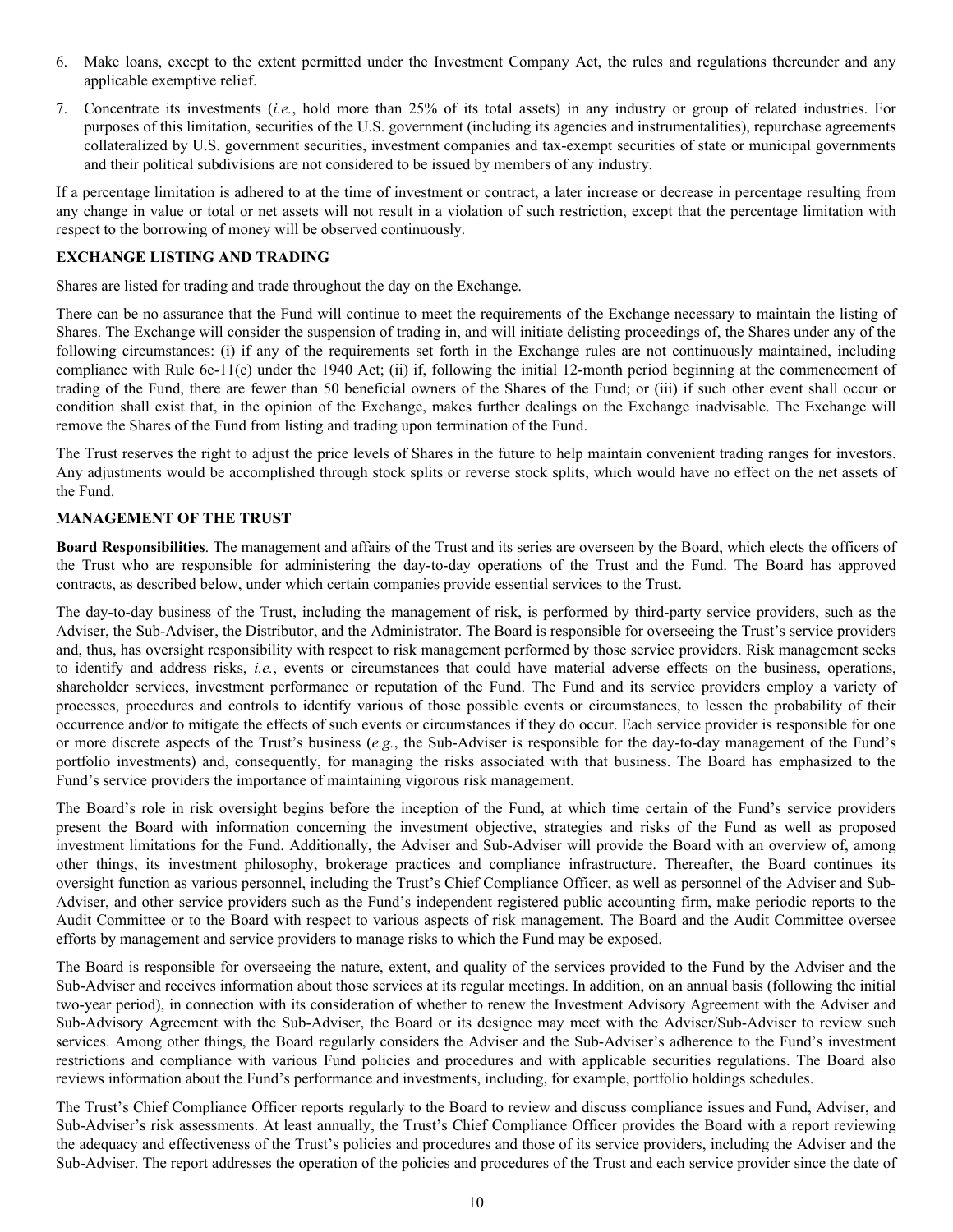- <span id="page-12-0"></span>6. Make loans, except to the extent permitted under the Investment Company Act, the rules and regulations thereunder and any applicable exemptive relief.
- 7. Concentrate its investments (*i.e.*, hold more than 25% of its total assets) in any industry or group of related industries. For purposes of this limitation, securities of the U.S. government (including its agencies and instrumentalities), repurchase agreements collateralized by U.S. government securities, investment companies and tax-exempt securities of state or municipal governments and their political subdivisions are not considered to be issued by members of any industry.

If a percentage limitation is adhered to at the time of investment or contract, a later increase or decrease in percentage resulting from any change in value or total or net assets will not result in a violation of such restriction, except that the percentage limitation with respect to the borrowing of money will be observed continuously.

# **EXCHANGE LISTING AND TRADING**

Shares are listed for trading and trade throughout the day on the Exchange.

There can be no assurance that the Fund will continue to meet the requirements of the Exchange necessary to maintain the listing of Shares. The Exchange will consider the suspension of trading in, and will initiate delisting proceedings of, the Shares under any of the following circumstances: (i) if any of the requirements set forth in the Exchange rules are not continuously maintained, including compliance with Rule 6c-11(c) under the 1940 Act; (ii) if, following the initial 12-month period beginning at the commencement of trading of the Fund, there are fewer than 50 beneficial owners of the Shares of the Fund; or (iii) if such other event shall occur or condition shall exist that, in the opinion of the Exchange, makes further dealings on the Exchange inadvisable. The Exchange will remove the Shares of the Fund from listing and trading upon termination of the Fund.

The Trust reserves the right to adjust the price levels of Shares in the future to help maintain convenient trading ranges for investors. Any adjustments would be accomplished through stock splits or reverse stock splits, which would have no effect on the net assets of the Fund.

# **MANAGEMENT OF THE TRUST**

**Board Responsibilities**. The management and affairs of the Trust and its series are overseen by the Board, which elects the officers of the Trust who are responsible for administering the day-to-day operations of the Trust and the Fund. The Board has approved contracts, as described below, under which certain companies provide essential services to the Trust.

The day-to-day business of the Trust, including the management of risk, is performed by third-party service providers, such as the Adviser, the Sub-Adviser, the Distributor, and the Administrator. The Board is responsible for overseeing the Trust's service providers and, thus, has oversight responsibility with respect to risk management performed by those service providers. Risk management seeks to identify and address risks, *i.e.*, events or circumstances that could have material adverse effects on the business, operations, shareholder services, investment performance or reputation of the Fund. The Fund and its service providers employ a variety of processes, procedures and controls to identify various of those possible events or circumstances, to lessen the probability of their occurrence and/or to mitigate the effects of such events or circumstances if they do occur. Each service provider is responsible for one or more discrete aspects of the Trust's business (*e.g.*, the Sub-Adviser is responsible for the day-to-day management of the Fund's portfolio investments) and, consequently, for managing the risks associated with that business. The Board has emphasized to the Fund's service providers the importance of maintaining vigorous risk management.

The Board's role in risk oversight begins before the inception of the Fund, at which time certain of the Fund's service providers present the Board with information concerning the investment objective, strategies and risks of the Fund as well as proposed investment limitations for the Fund. Additionally, the Adviser and Sub-Adviser will provide the Board with an overview of, among other things, its investment philosophy, brokerage practices and compliance infrastructure. Thereafter, the Board continues its oversight function as various personnel, including the Trust's Chief Compliance Officer, as well as personnel of the Adviser and Sub-Adviser, and other service providers such as the Fund's independent registered public accounting firm, make periodic reports to the Audit Committee or to the Board with respect to various aspects of risk management. The Board and the Audit Committee oversee efforts by management and service providers to manage risks to which the Fund may be exposed.

The Board is responsible for overseeing the nature, extent, and quality of the services provided to the Fund by the Adviser and the Sub-Adviser and receives information about those services at its regular meetings. In addition, on an annual basis (following the initial two-year period), in connection with its consideration of whether to renew the Investment Advisory Agreement with the Adviser and Sub-Advisory Agreement with the Sub-Adviser, the Board or its designee may meet with the Adviser/Sub-Adviser to review such services. Among other things, the Board regularly considers the Adviser and the Sub-Adviser's adherence to the Fund's investment restrictions and compliance with various Fund policies and procedures and with applicable securities regulations. The Board also reviews information about the Fund's performance and investments, including, for example, portfolio holdings schedules.

The Trust's Chief Compliance Officer reports regularly to the Board to review and discuss compliance issues and Fund, Adviser, and Sub-Adviser's risk assessments. At least annually, the Trust's Chief Compliance Officer provides the Board with a report reviewing the adequacy and effectiveness of the Trust's policies and procedures and those of its service providers, including the Adviser and the Sub-Adviser. The report addresses the operation of the policies and procedures of the Trust and each service provider since the date of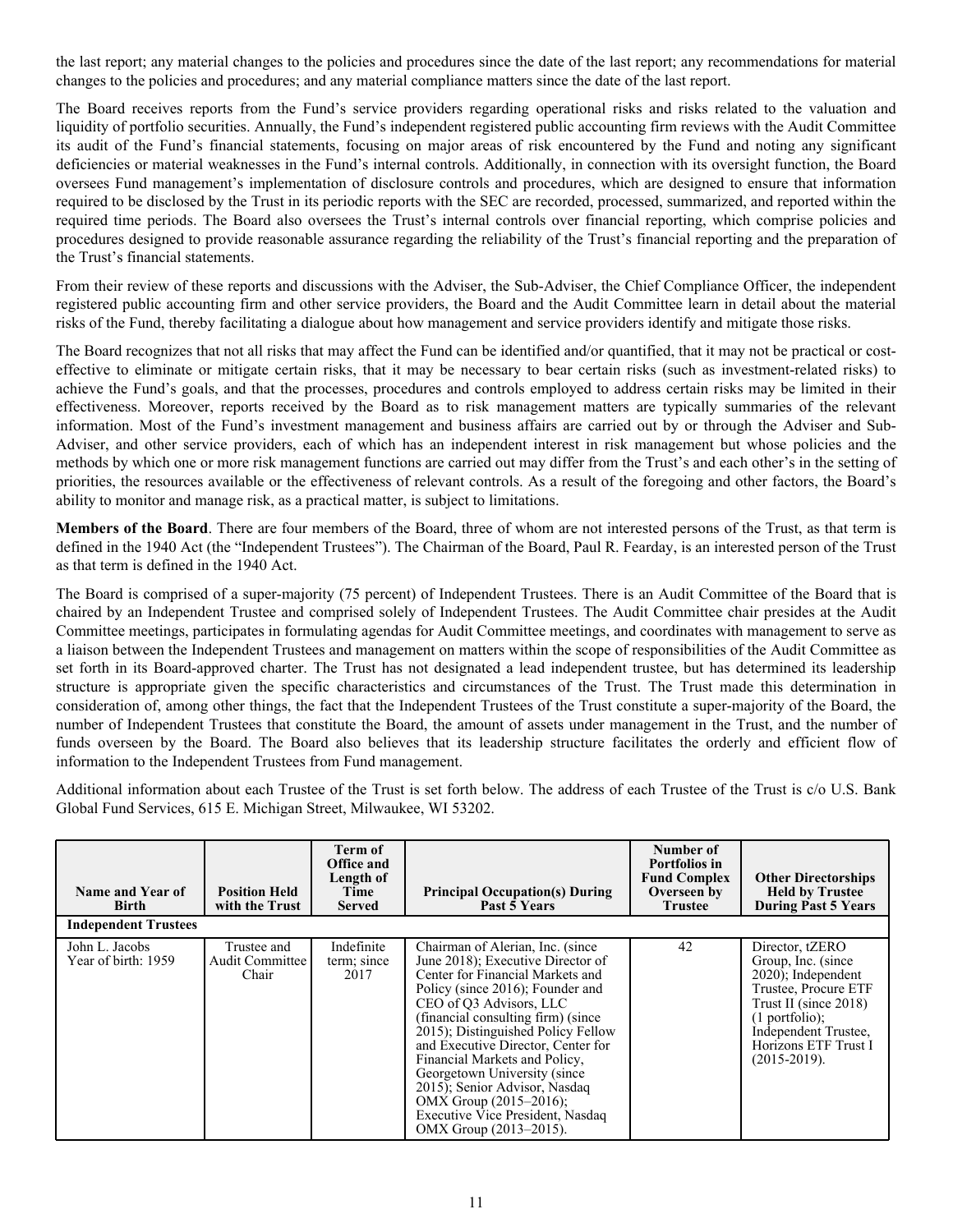the last report; any material changes to the policies and procedures since the date of the last report; any recommendations for material changes to the policies and procedures; and any material compliance matters since the date of the last report.

The Board receives reports from the Fund's service providers regarding operational risks and risks related to the valuation and liquidity of portfolio securities. Annually, the Fund's independent registered public accounting firm reviews with the Audit Committee its audit of the Fund's financial statements, focusing on major areas of risk encountered by the Fund and noting any significant deficiencies or material weaknesses in the Fund's internal controls. Additionally, in connection with its oversight function, the Board oversees Fund management's implementation of disclosure controls and procedures, which are designed to ensure that information required to be disclosed by the Trust in its periodic reports with the SEC are recorded, processed, summarized, and reported within the required time periods. The Board also oversees the Trust's internal controls over financial reporting, which comprise policies and procedures designed to provide reasonable assurance regarding the reliability of the Trust's financial reporting and the preparation of the Trust's financial statements.

From their review of these reports and discussions with the Adviser, the Sub-Adviser, the Chief Compliance Officer, the independent registered public accounting firm and other service providers, the Board and the Audit Committee learn in detail about the material risks of the Fund, thereby facilitating a dialogue about how management and service providers identify and mitigate those risks.

The Board recognizes that not all risks that may affect the Fund can be identified and/or quantified, that it may not be practical or costeffective to eliminate or mitigate certain risks, that it may be necessary to bear certain risks (such as investment-related risks) to achieve the Fund's goals, and that the processes, procedures and controls employed to address certain risks may be limited in their effectiveness. Moreover, reports received by the Board as to risk management matters are typically summaries of the relevant information. Most of the Fund's investment management and business affairs are carried out by or through the Adviser and Sub-Adviser, and other service providers, each of which has an independent interest in risk management but whose policies and the methods by which one or more risk management functions are carried out may differ from the Trust's and each other's in the setting of priorities, the resources available or the effectiveness of relevant controls. As a result of the foregoing and other factors, the Board's ability to monitor and manage risk, as a practical matter, is subject to limitations.

**Members of the Board**. There are four members of the Board, three of whom are not interested persons of the Trust, as that term is defined in the 1940 Act (the "Independent Trustees"). The Chairman of the Board, Paul R. Fearday, is an interested person of the Trust as that term is defined in the 1940 Act.

The Board is comprised of a super-majority (75 percent) of Independent Trustees. There is an Audit Committee of the Board that is chaired by an Independent Trustee and comprised solely of Independent Trustees. The Audit Committee chair presides at the Audit Committee meetings, participates in formulating agendas for Audit Committee meetings, and coordinates with management to serve as a liaison between the Independent Trustees and management on matters within the scope of responsibilities of the Audit Committee as set forth in its Board-approved charter. The Trust has not designated a lead independent trustee, but has determined its leadership structure is appropriate given the specific characteristics and circumstances of the Trust. The Trust made this determination in consideration of, among other things, the fact that the Independent Trustees of the Trust constitute a super-majority of the Board, the number of Independent Trustees that constitute the Board, the amount of assets under management in the Trust, and the number of funds overseen by the Board. The Board also believes that its leadership structure facilitates the orderly and efficient flow of information to the Independent Trustees from Fund management.

Additional information about each Trustee of the Trust is set forth below. The address of each Trustee of the Trust is c/o U.S. Bank Global Fund Services, 615 E. Michigan Street, Milwaukee, WI 53202.

| Name and Year of<br>Birth             | <b>Position Held</b><br>with the Trust         | Term of<br>Office and<br>Length of<br>Time<br><b>Served</b> | <b>Principal Occupation(s) During</b><br>Past 5 Years                                                                                                                                                                                                                                                                                                                                                                                                                                     | Number of<br>Portfolios in<br><b>Fund Complex</b><br>Overseen by<br><b>Trustee</b> | <b>Other Directorships</b><br><b>Held by Trustee</b><br><b>During Past 5 Years</b>                                                                                                                       |
|---------------------------------------|------------------------------------------------|-------------------------------------------------------------|-------------------------------------------------------------------------------------------------------------------------------------------------------------------------------------------------------------------------------------------------------------------------------------------------------------------------------------------------------------------------------------------------------------------------------------------------------------------------------------------|------------------------------------------------------------------------------------|----------------------------------------------------------------------------------------------------------------------------------------------------------------------------------------------------------|
| <b>Independent Trustees</b>           |                                                |                                                             |                                                                                                                                                                                                                                                                                                                                                                                                                                                                                           |                                                                                    |                                                                                                                                                                                                          |
| John L. Jacobs<br>Year of birth: 1959 | Trustee and<br><b>Audit Committee</b><br>Chair | Indefinite<br>term; since<br>2017                           | Chairman of Alerian, Inc. (since<br>June 2018); Executive Director of<br>Center for Financial Markets and<br>Policy (since 2016); Founder and<br>CEO of O3 Advisors, LLC<br>(financial consulting firm) (since)<br>2015); Distinguished Policy Fellow<br>and Executive Director, Center for<br>Financial Markets and Policy,<br>Georgetown University (since)<br>2015); Senior Advisor, Nasdaq<br>OMX Group $(2015-2016)$ ;<br>Executive Vice President, Nasdaq<br>OMX Group (2013–2015). | 42                                                                                 | Director, tZERO<br>Group, Inc. (since)<br>$2020$ ; Independent<br>Trustee, Procure ETF<br>Trust II (since 2018)<br>$(1$ portfolio);<br>Independent Trustee,<br>Horizons ETF Trust I<br>$(2015 - 2019)$ . |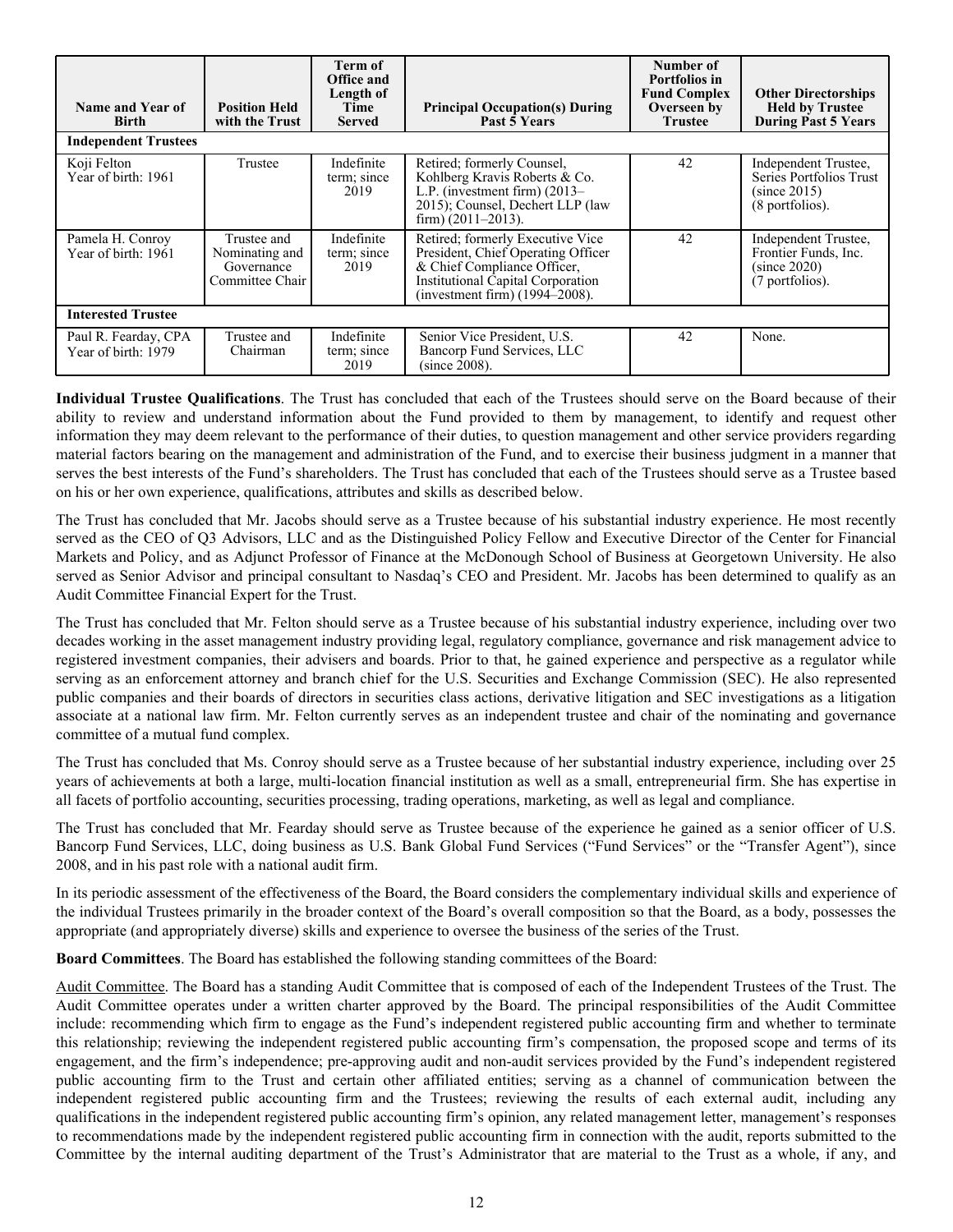| Name and Year of<br><b>Birth</b><br><b>Independent Trustees</b> | <b>Position Held</b><br>with the Trust                         | Term of<br><b>Office and</b><br>Length of<br>Time<br><b>Served</b> | <b>Principal Occupation(s) During</b><br>Past 5 Years                                                                                                                        | Number of<br>Portfolios in<br><b>Fund Complex</b><br>Overseen by<br><b>Trustee</b> | <b>Other Directorships</b><br><b>Held by Trustee</b><br><b>During Past 5 Years</b> |
|-----------------------------------------------------------------|----------------------------------------------------------------|--------------------------------------------------------------------|------------------------------------------------------------------------------------------------------------------------------------------------------------------------------|------------------------------------------------------------------------------------|------------------------------------------------------------------------------------|
| Koji Felton<br>Year of birth: 1961                              | Trustee                                                        | Indefinite<br>term; since<br>2019                                  | Retired; formerly Counsel,<br>Kohlberg Kravis Roberts & Co.<br>L.P. (investment firm) $(2013-$<br>2015); Counsel, Dechert LLP (law<br>firm) $(2011-2013)$ .                  | 42                                                                                 | Independent Trustee,<br>Series Portfolios Trust<br>(since 2015)<br>(8 portfolios). |
| Pamela H. Conroy<br>Year of birth: 1961                         | Trustee and<br>Nominating and<br>Governance<br>Committee Chair | Indefinite<br>term; since<br>2019                                  | Retired: formerly Executive Vice<br>President, Chief Operating Officer<br>& Chief Compliance Officer,<br>Institutional Capital Corporation<br>(investment firm) (1994–2008). | 42                                                                                 | Independent Trustee,<br>Frontier Funds, Inc.<br>(since 2020)<br>(7 portfolios).    |
| <b>Interested Trustee</b>                                       |                                                                |                                                                    |                                                                                                                                                                              |                                                                                    |                                                                                    |
| Paul R. Fearday, CPA<br>Year of birth: 1979                     | Trustee and<br>Chairman                                        | Indefinite<br>term; since<br>2019                                  | Senior Vice President, U.S.<br>Bancorp Fund Services, LLC<br>(since 2008).                                                                                                   | 42                                                                                 | None.                                                                              |

**Individual Trustee Qualifications**. The Trust has concluded that each of the Trustees should serve on the Board because of their ability to review and understand information about the Fund provided to them by management, to identify and request other information they may deem relevant to the performance of their duties, to question management and other service providers regarding material factors bearing on the management and administration of the Fund, and to exercise their business judgment in a manner that serves the best interests of the Fund's shareholders. The Trust has concluded that each of the Trustees should serve as a Trustee based on his or her own experience, qualifications, attributes and skills as described below.

The Trust has concluded that Mr. Jacobs should serve as a Trustee because of his substantial industry experience. He most recently served as the CEO of Q3 Advisors, LLC and as the Distinguished Policy Fellow and Executive Director of the Center for Financial Markets and Policy, and as Adjunct Professor of Finance at the McDonough School of Business at Georgetown University. He also served as Senior Advisor and principal consultant to Nasdaq's CEO and President. Mr. Jacobs has been determined to qualify as an Audit Committee Financial Expert for the Trust.

The Trust has concluded that Mr. Felton should serve as a Trustee because of his substantial industry experience, including over two decades working in the asset management industry providing legal, regulatory compliance, governance and risk management advice to registered investment companies, their advisers and boards. Prior to that, he gained experience and perspective as a regulator while serving as an enforcement attorney and branch chief for the U.S. Securities and Exchange Commission (SEC). He also represented public companies and their boards of directors in securities class actions, derivative litigation and SEC investigations as a litigation associate at a national law firm. Mr. Felton currently serves as an independent trustee and chair of the nominating and governance committee of a mutual fund complex.

The Trust has concluded that Ms. Conroy should serve as a Trustee because of her substantial industry experience, including over 25 years of achievements at both a large, multi-location financial institution as well as a small, entrepreneurial firm. She has expertise in all facets of portfolio accounting, securities processing, trading operations, marketing, as well as legal and compliance.

The Trust has concluded that Mr. Fearday should serve as Trustee because of the experience he gained as a senior officer of U.S. Bancorp Fund Services, LLC, doing business as U.S. Bank Global Fund Services ("Fund Services" or the "Transfer Agent"), since 2008, and in his past role with a national audit firm.

In its periodic assessment of the effectiveness of the Board, the Board considers the complementary individual skills and experience of the individual Trustees primarily in the broader context of the Board's overall composition so that the Board, as a body, possesses the appropriate (and appropriately diverse) skills and experience to oversee the business of the series of the Trust.

**Board Committees**. The Board has established the following standing committees of the Board:

Audit Committee. The Board has a standing Audit Committee that is composed of each of the Independent Trustees of the Trust. The Audit Committee operates under a written charter approved by the Board. The principal responsibilities of the Audit Committee include: recommending which firm to engage as the Fund's independent registered public accounting firm and whether to terminate this relationship; reviewing the independent registered public accounting firm's compensation, the proposed scope and terms of its engagement, and the firm's independence; pre-approving audit and non-audit services provided by the Fund's independent registered public accounting firm to the Trust and certain other affiliated entities; serving as a channel of communication between the independent registered public accounting firm and the Trustees; reviewing the results of each external audit, including any qualifications in the independent registered public accounting firm's opinion, any related management letter, management's responses to recommendations made by the independent registered public accounting firm in connection with the audit, reports submitted to the Committee by the internal auditing department of the Trust's Administrator that are material to the Trust as a whole, if any, and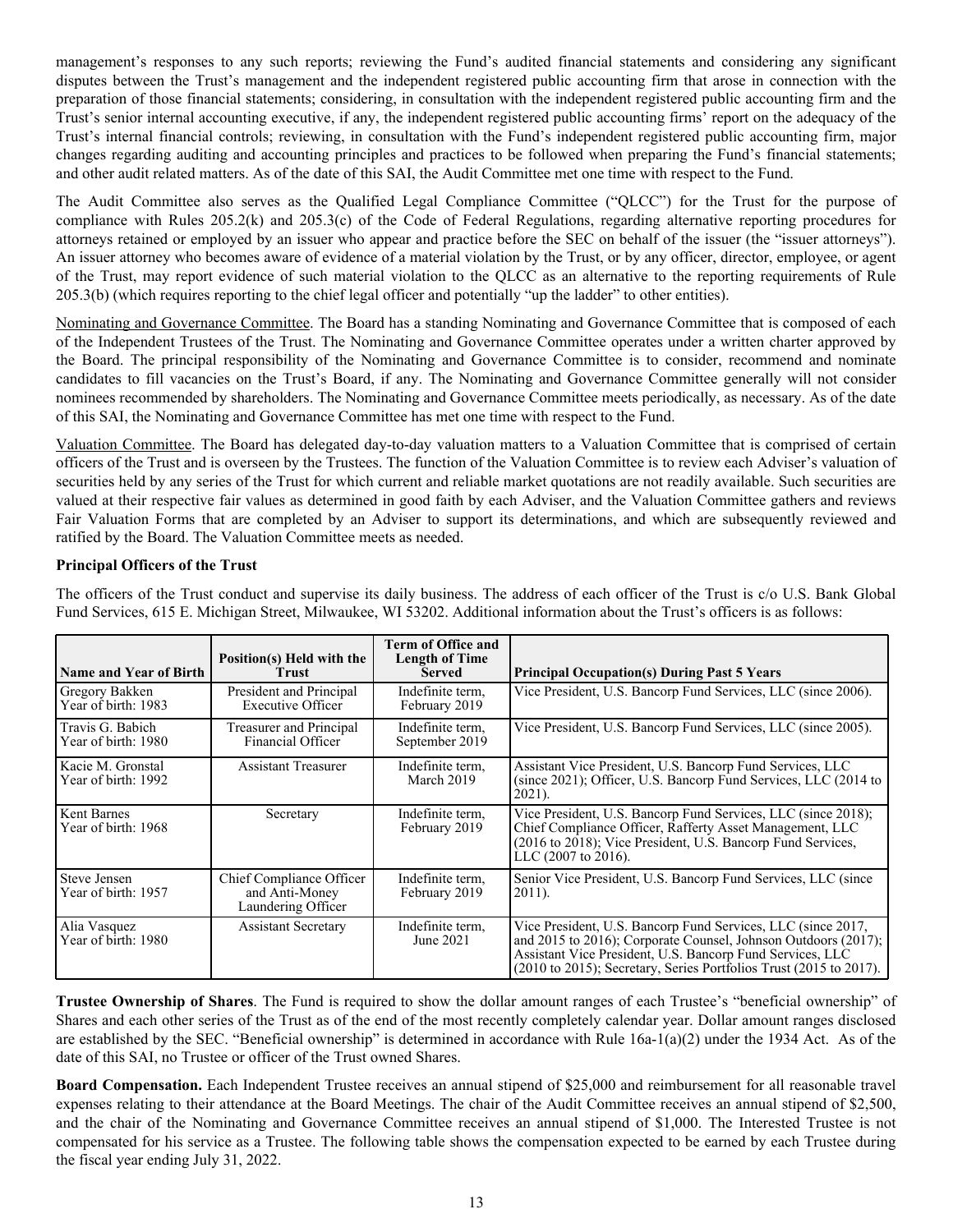management's responses to any such reports; reviewing the Fund's audited financial statements and considering any significant disputes between the Trust's management and the independent registered public accounting firm that arose in connection with the preparation of those financial statements; considering, in consultation with the independent registered public accounting firm and the Trust's senior internal accounting executive, if any, the independent registered public accounting firms' report on the adequacy of the Trust's internal financial controls; reviewing, in consultation with the Fund's independent registered public accounting firm, major changes regarding auditing and accounting principles and practices to be followed when preparing the Fund's financial statements; and other audit related matters. As of the date of this SAI, the Audit Committee met one time with respect to the Fund.

The Audit Committee also serves as the Qualified Legal Compliance Committee ("QLCC") for the Trust for the purpose of compliance with Rules 205.2(k) and 205.3(c) of the Code of Federal Regulations, regarding alternative reporting procedures for attorneys retained or employed by an issuer who appear and practice before the SEC on behalf of the issuer (the "issuer attorneys"). An issuer attorney who becomes aware of evidence of a material violation by the Trust, or by any officer, director, employee, or agent of the Trust, may report evidence of such material violation to the QLCC as an alternative to the reporting requirements of Rule 205.3(b) (which requires reporting to the chief legal officer and potentially "up the ladder" to other entities).

Nominating and Governance Committee. The Board has a standing Nominating and Governance Committee that is composed of each of the Independent Trustees of the Trust. The Nominating and Governance Committee operates under a written charter approved by the Board. The principal responsibility of the Nominating and Governance Committee is to consider, recommend and nominate candidates to fill vacancies on the Trust's Board, if any. The Nominating and Governance Committee generally will not consider nominees recommended by shareholders. The Nominating and Governance Committee meets periodically, as necessary. As of the date of this SAI, the Nominating and Governance Committee has met one time with respect to the Fund.

Valuation Committee. The Board has delegated day-to-day valuation matters to a Valuation Committee that is comprised of certain officers of the Trust and is overseen by the Trustees. The function of the Valuation Committee is to review each Adviser's valuation of securities held by any series of the Trust for which current and reliable market quotations are not readily available. Such securities are valued at their respective fair values as determined in good faith by each Adviser, and the Valuation Committee gathers and reviews Fair Valuation Forms that are completed by an Adviser to support its determinations, and which are subsequently reviewed and ratified by the Board. The Valuation Committee meets as needed.

# **Principal Officers of the Trust**

| <b>Name and Year of Birth</b>            | Position(s) Held with the<br><b>Trust</b>                        | <b>Term of Office and</b><br><b>Length of Time</b><br><b>Served</b> | <b>Principal Occupation(s) During Past 5 Years</b>                                                                                                                                                                                                                                        |
|------------------------------------------|------------------------------------------------------------------|---------------------------------------------------------------------|-------------------------------------------------------------------------------------------------------------------------------------------------------------------------------------------------------------------------------------------------------------------------------------------|
| Gregory Bakken<br>Year of birth: 1983    | President and Principal<br><b>Executive Officer</b>              | Indefinite term.<br>February 2019                                   | Vice President, U.S. Bancorp Fund Services, LLC (since 2006).                                                                                                                                                                                                                             |
| Travis G. Babich<br>Year of birth: 1980  | Treasurer and Principal<br>Financial Officer                     | Indefinite term.<br>September 2019                                  | Vice President, U.S. Bancorp Fund Services, LLC (since 2005).                                                                                                                                                                                                                             |
| Kacie M. Gronstal<br>Year of birth: 1992 | <b>Assistant Treasurer</b>                                       | Indefinite term.<br>March 2019                                      | Assistant Vice President, U.S. Bancorp Fund Services, LLC<br>(since 2021); Officer, U.S. Bancorp Fund Services, LLC (2014 to<br>2021).                                                                                                                                                    |
| Kent Barnes<br>Year of birth: 1968       | Secretary                                                        | Indefinite term.<br>February 2019                                   | Vice President, U.S. Bancorp Fund Services, LLC (since 2018);<br>Chief Compliance Officer, Rafferty Asset Management, LLC<br>(2016 to 2018); Vice President, U.S. Bancorp Fund Services,<br>LLC (2007 to 2016).                                                                           |
| Steve Jensen<br>Year of birth: 1957      | Chief Compliance Officer<br>and Anti-Money<br>Laundering Officer | Indefinite term.<br>February 2019                                   | Senior Vice President, U.S. Bancorp Fund Services, LLC (since<br>2011).                                                                                                                                                                                                                   |
| Alia Vasquez<br>Year of birth: 1980      | <b>Assistant Secretary</b>                                       | Indefinite term.<br>June 2021                                       | Vice President, U.S. Bancorp Fund Services, LLC (since 2017,<br>and 2015 to 2016); Corporate Counsel, Johnson Outdoors (2017);<br>Assistant Vice President, U.S. Bancorp Fund Services, LLC<br>$(2010 \text{ to } 2015)$ ; Secretary, Series Portfolios Trust $(2015 \text{ to } 2017)$ . |

The officers of the Trust conduct and supervise its daily business. The address of each officer of the Trust is c/o U.S. Bank Global Fund Services, 615 E. Michigan Street, Milwaukee, WI 53202. Additional information about the Trust's officers is as follows:

**Trustee Ownership of Shares**. The Fund is required to show the dollar amount ranges of each Trustee's "beneficial ownership" of Shares and each other series of the Trust as of the end of the most recently completely calendar year. Dollar amount ranges disclosed are established by the SEC. "Beneficial ownership" is determined in accordance with Rule  $16a-1(a)(2)$  under the 1934 Act. As of the date of this SAI, no Trustee or officer of the Trust owned Shares.

**Board Compensation.** Each Independent Trustee receives an annual stipend of \$25,000 and reimbursement for all reasonable travel expenses relating to their attendance at the Board Meetings. The chair of the Audit Committee receives an annual stipend of \$2,500, and the chair of the Nominating and Governance Committee receives an annual stipend of \$1,000. The Interested Trustee is not compensated for his service as a Trustee. The following table shows the compensation expected to be earned by each Trustee during the fiscal year ending July 31, 2022.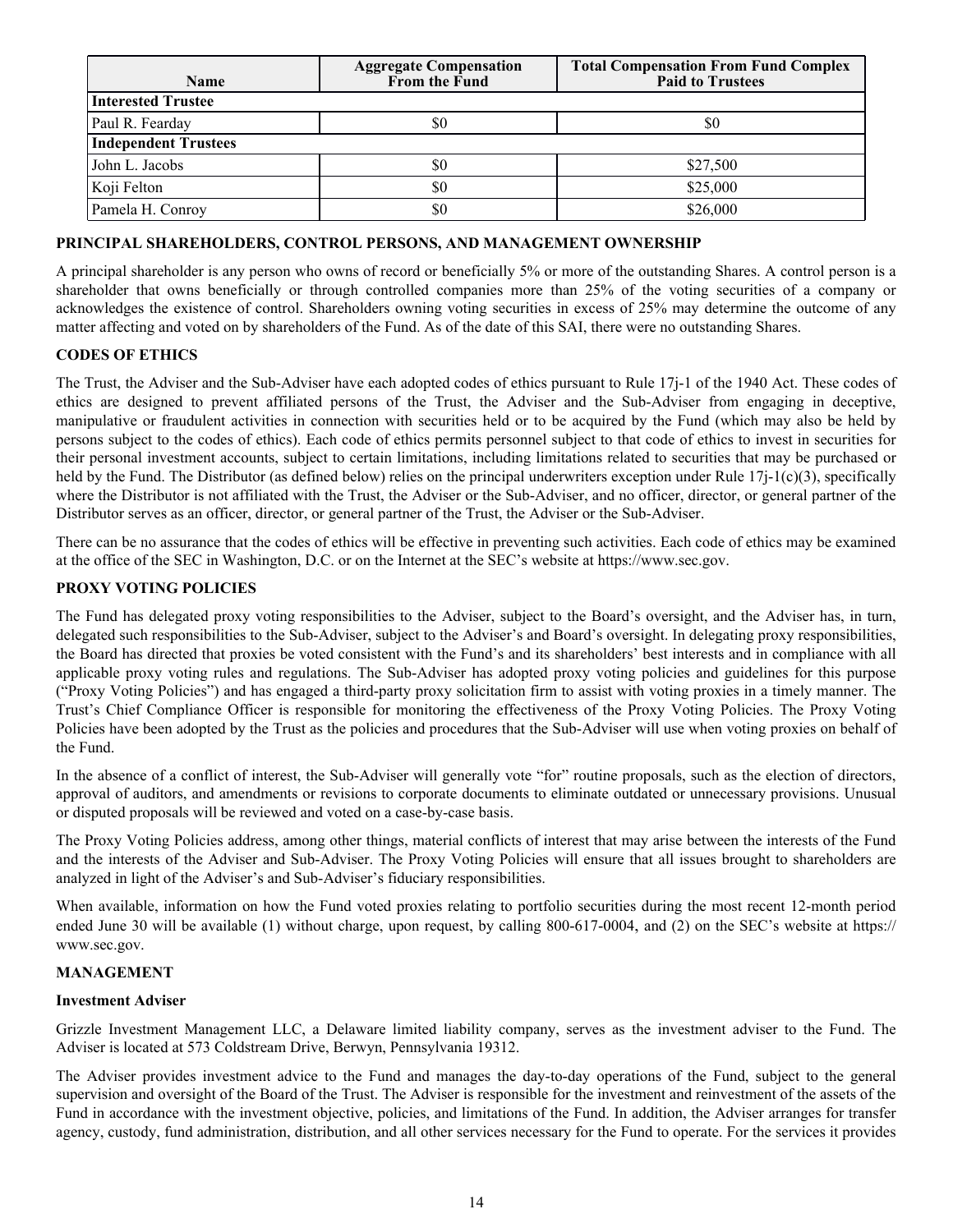<span id="page-16-0"></span>

| <b>Name</b>                 | <b>Aggregate Compensation</b><br>From the Fund | <b>Total Compensation From Fund Complex</b><br><b>Paid to Trustees</b> |  |  |  |  |
|-----------------------------|------------------------------------------------|------------------------------------------------------------------------|--|--|--|--|
| <b>Interested Trustee</b>   |                                                |                                                                        |  |  |  |  |
| Paul R. Fearday             | \$0                                            | \$0                                                                    |  |  |  |  |
| <b>Independent Trustees</b> |                                                |                                                                        |  |  |  |  |
| John L. Jacobs              | \$0                                            | \$27,500                                                               |  |  |  |  |
| Koji Felton                 | \$0                                            | \$25,000                                                               |  |  |  |  |
| Pamela H. Conroy            | \$0                                            | \$26,000                                                               |  |  |  |  |

## **PRINCIPAL SHAREHOLDERS, CONTROL PERSONS, AND MANAGEMENT OWNERSHIP**

A principal shareholder is any person who owns of record or beneficially 5% or more of the outstanding Shares. A control person is a shareholder that owns beneficially or through controlled companies more than 25% of the voting securities of a company or acknowledges the existence of control. Shareholders owning voting securities in excess of 25% may determine the outcome of any matter affecting and voted on by shareholders of the Fund. As of the date of this SAI, there were no outstanding Shares.

## **CODES OF ETHICS**

The Trust, the Adviser and the Sub-Adviser have each adopted codes of ethics pursuant to Rule 17j-1 of the 1940 Act. These codes of ethics are designed to prevent affiliated persons of the Trust, the Adviser and the Sub-Adviser from engaging in deceptive, manipulative or fraudulent activities in connection with securities held or to be acquired by the Fund (which may also be held by persons subject to the codes of ethics). Each code of ethics permits personnel subject to that code of ethics to invest in securities for their personal investment accounts, subject to certain limitations, including limitations related to securities that may be purchased or held by the Fund. The Distributor (as defined below) relies on the principal underwriters exception under Rule 17 $i$ -1(c)(3), specifically where the Distributor is not affiliated with the Trust, the Adviser or the Sub-Adviser, and no officer, director, or general partner of the Distributor serves as an officer, director, or general partner of the Trust, the Adviser or the Sub-Adviser.

There can be no assurance that the codes of ethics will be effective in preventing such activities. Each code of ethics may be examined at the office of the SEC in Washington, D.C. or on the Internet at the SEC's website at https://www.sec.gov.

#### **PROXY VOTING POLICIES**

The Fund has delegated proxy voting responsibilities to the Adviser, subject to the Board's oversight, and the Adviser has, in turn, delegated such responsibilities to the Sub-Adviser, subject to the Adviser's and Board's oversight. In delegating proxy responsibilities, the Board has directed that proxies be voted consistent with the Fund's and its shareholders' best interests and in compliance with all applicable proxy voting rules and regulations. The Sub-Adviser has adopted proxy voting policies and guidelines for this purpose ("Proxy Voting Policies") and has engaged a third-party proxy solicitation firm to assist with voting proxies in a timely manner. The Trust's Chief Compliance Officer is responsible for monitoring the effectiveness of the Proxy Voting Policies. The Proxy Voting Policies have been adopted by the Trust as the policies and procedures that the Sub-Adviser will use when voting proxies on behalf of the Fund.

In the absence of a conflict of interest, the Sub-Adviser will generally vote "for" routine proposals, such as the election of directors, approval of auditors, and amendments or revisions to corporate documents to eliminate outdated or unnecessary provisions. Unusual or disputed proposals will be reviewed and voted on a case-by-case basis.

The Proxy Voting Policies address, among other things, material conflicts of interest that may arise between the interests of the Fund and the interests of the Adviser and Sub-Adviser. The Proxy Voting Policies will ensure that all issues brought to shareholders are analyzed in light of the Adviser's and Sub-Adviser's fiduciary responsibilities.

When available, information on how the Fund voted proxies relating to portfolio securities during the most recent 12-month period ended June 30 will be available (1) without charge, upon request, by calling 800-617-0004, and (2) on the SEC's website at https:// www.sec.gov.

#### **MANAGEMENT**

#### **Investment Adviser**

Grizzle Investment Management LLC, a Delaware limited liability company, serves as the investment adviser to the Fund. The Adviser is located at 573 Coldstream Drive, Berwyn, Pennsylvania 19312.

The Adviser provides investment advice to the Fund and manages the day-to-day operations of the Fund, subject to the general supervision and oversight of the Board of the Trust. The Adviser is responsible for the investment and reinvestment of the assets of the Fund in accordance with the investment objective, policies, and limitations of the Fund. In addition, the Adviser arranges for transfer agency, custody, fund administration, distribution, and all other services necessary for the Fund to operate. For the services it provides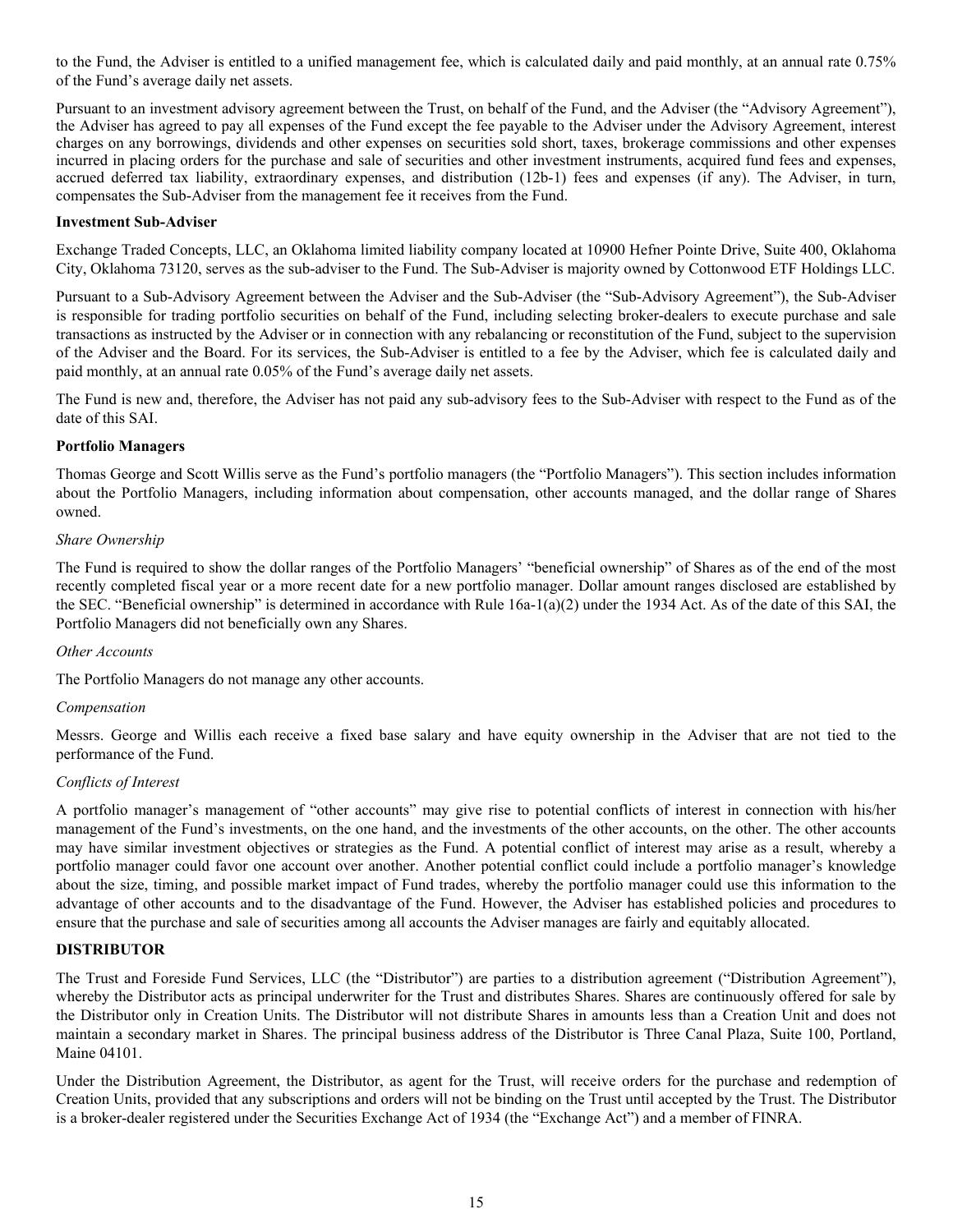<span id="page-17-0"></span>to the Fund, the Adviser is entitled to a unified management fee, which is calculated daily and paid monthly, at an annual rate 0.75% of the Fund's average daily net assets.

Pursuant to an investment advisory agreement between the Trust, on behalf of the Fund, and the Adviser (the "Advisory Agreement"), the Adviser has agreed to pay all expenses of the Fund except the fee payable to the Adviser under the Advisory Agreement, interest charges on any borrowings, dividends and other expenses on securities sold short, taxes, brokerage commissions and other expenses incurred in placing orders for the purchase and sale of securities and other investment instruments, acquired fund fees and expenses, accrued deferred tax liability, extraordinary expenses, and distribution (12b-1) fees and expenses (if any). The Adviser, in turn, compensates the Sub-Adviser from the management fee it receives from the Fund.

### **Investment Sub-Adviser**

Exchange Traded Concepts, LLC, an Oklahoma limited liability company located at 10900 Hefner Pointe Drive, Suite 400, Oklahoma City, Oklahoma 73120, serves as the sub-adviser to the Fund. The Sub-Adviser is majority owned by Cottonwood ETF Holdings LLC.

Pursuant to a Sub-Advisory Agreement between the Adviser and the Sub-Adviser (the "Sub-Advisory Agreement"), the Sub-Adviser is responsible for trading portfolio securities on behalf of the Fund, including selecting broker-dealers to execute purchase and sale transactions as instructed by the Adviser or in connection with any rebalancing or reconstitution of the Fund, subject to the supervision of the Adviser and the Board. For its services, the Sub-Adviser is entitled to a fee by the Adviser, which fee is calculated daily and paid monthly, at an annual rate 0.05% of the Fund's average daily net assets.

The Fund is new and, therefore, the Adviser has not paid any sub-advisory fees to the Sub-Adviser with respect to the Fund as of the date of this SAI.

#### **Portfolio Managers**

Thomas George and Scott Willis serve as the Fund's portfolio managers (the "Portfolio Managers"). This section includes information about the Portfolio Managers, including information about compensation, other accounts managed, and the dollar range of Shares owned.

#### *Share Ownership*

The Fund is required to show the dollar ranges of the Portfolio Managers' "beneficial ownership" of Shares as of the end of the most recently completed fiscal year or a more recent date for a new portfolio manager. Dollar amount ranges disclosed are established by the SEC. "Beneficial ownership" is determined in accordance with Rule 16a-1(a)(2) under the 1934 Act. As of the date of this SAI, the Portfolio Managers did not beneficially own any Shares.

#### *Other Accounts*

The Portfolio Managers do not manage any other accounts.

#### *Compensation*

Messrs. George and Willis each receive a fixed base salary and have equity ownership in the Adviser that are not tied to the performance of the Fund.

#### *Conflicts of Interest*

A portfolio manager's management of "other accounts" may give rise to potential conflicts of interest in connection with his/her management of the Fund's investments, on the one hand, and the investments of the other accounts, on the other. The other accounts may have similar investment objectives or strategies as the Fund. A potential conflict of interest may arise as a result, whereby a portfolio manager could favor one account over another. Another potential conflict could include a portfolio manager's knowledge about the size, timing, and possible market impact of Fund trades, whereby the portfolio manager could use this information to the advantage of other accounts and to the disadvantage of the Fund. However, the Adviser has established policies and procedures to ensure that the purchase and sale of securities among all accounts the Adviser manages are fairly and equitably allocated.

# **DISTRIBUTOR**

The Trust and Foreside Fund Services, LLC (the "Distributor") are parties to a distribution agreement ("Distribution Agreement"), whereby the Distributor acts as principal underwriter for the Trust and distributes Shares. Shares are continuously offered for sale by the Distributor only in Creation Units. The Distributor will not distribute Shares in amounts less than a Creation Unit and does not maintain a secondary market in Shares. The principal business address of the Distributor is Three Canal Plaza, Suite 100, Portland, Maine 04101.

Under the Distribution Agreement, the Distributor, as agent for the Trust, will receive orders for the purchase and redemption of Creation Units, provided that any subscriptions and orders will not be binding on the Trust until accepted by the Trust. The Distributor is a broker-dealer registered under the Securities Exchange Act of 1934 (the "Exchange Act") and a member of FINRA.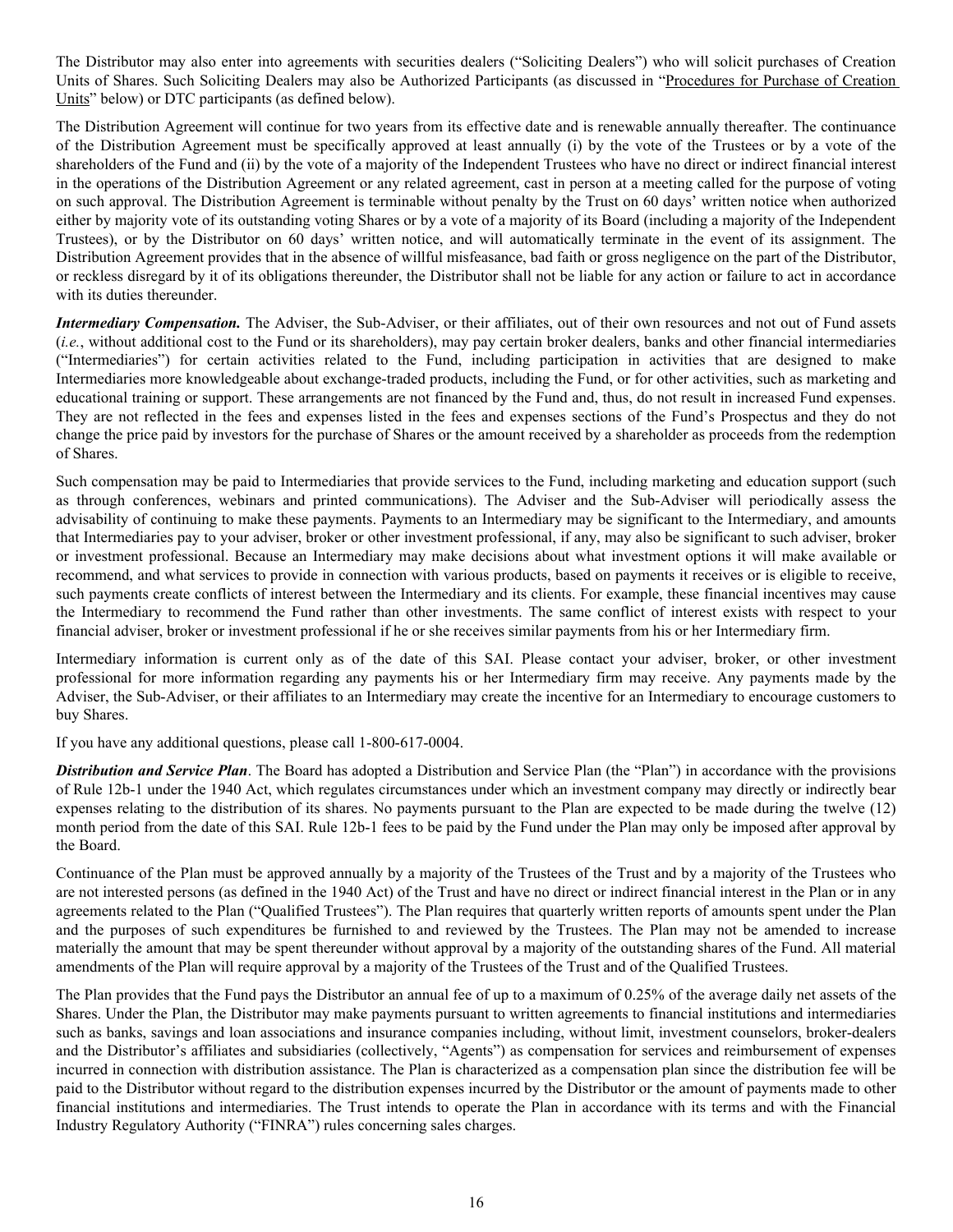The Distributor may also enter into agreements with securities dealers ("Soliciting Dealers") who will solicit purchases of Creation Units of Shares. Such Soliciting Dealers may also be Authorized Participants (as discussed in "Procedures for Purchase of Creation Units" below) or DTC participants (as defined below).

The Distribution Agreement will continue for two years from its effective date and is renewable annually thereafter. The continuance of the Distribution Agreement must be specifically approved at least annually (i) by the vote of the Trustees or by a vote of the shareholders of the Fund and (ii) by the vote of a majority of the Independent Trustees who have no direct or indirect financial interest in the operations of the Distribution Agreement or any related agreement, cast in person at a meeting called for the purpose of voting on such approval. The Distribution Agreement is terminable without penalty by the Trust on 60 days' written notice when authorized either by majority vote of its outstanding voting Shares or by a vote of a majority of its Board (including a majority of the Independent Trustees), or by the Distributor on 60 days' written notice, and will automatically terminate in the event of its assignment. The Distribution Agreement provides that in the absence of willful misfeasance, bad faith or gross negligence on the part of the Distributor, or reckless disregard by it of its obligations thereunder, the Distributor shall not be liable for any action or failure to act in accordance with its duties thereunder.

*Intermediary Compensation.* The Adviser, the Sub-Adviser, or their affiliates, out of their own resources and not out of Fund assets (*i.e.*, without additional cost to the Fund or its shareholders), may pay certain broker dealers, banks and other financial intermediaries ("Intermediaries") for certain activities related to the Fund, including participation in activities that are designed to make Intermediaries more knowledgeable about exchange-traded products, including the Fund, or for other activities, such as marketing and educational training or support. These arrangements are not financed by the Fund and, thus, do not result in increased Fund expenses. They are not reflected in the fees and expenses listed in the fees and expenses sections of the Fund's Prospectus and they do not change the price paid by investors for the purchase of Shares or the amount received by a shareholder as proceeds from the redemption of Shares.

Such compensation may be paid to Intermediaries that provide services to the Fund, including marketing and education support (such as through conferences, webinars and printed communications). The Adviser and the Sub-Adviser will periodically assess the advisability of continuing to make these payments. Payments to an Intermediary may be significant to the Intermediary, and amounts that Intermediaries pay to your adviser, broker or other investment professional, if any, may also be significant to such adviser, broker or investment professional. Because an Intermediary may make decisions about what investment options it will make available or recommend, and what services to provide in connection with various products, based on payments it receives or is eligible to receive, such payments create conflicts of interest between the Intermediary and its clients. For example, these financial incentives may cause the Intermediary to recommend the Fund rather than other investments. The same conflict of interest exists with respect to your financial adviser, broker or investment professional if he or she receives similar payments from his or her Intermediary firm.

Intermediary information is current only as of the date of this SAI. Please contact your adviser, broker, or other investment professional for more information regarding any payments his or her Intermediary firm may receive. Any payments made by the Adviser, the Sub-Adviser, or their affiliates to an Intermediary may create the incentive for an Intermediary to encourage customers to buy Shares.

If you have any additional questions, please call 1-800-617-0004.

*Distribution and Service Plan*. The Board has adopted a Distribution and Service Plan (the "Plan") in accordance with the provisions of Rule 12b-1 under the 1940 Act, which regulates circumstances under which an investment company may directly or indirectly bear expenses relating to the distribution of its shares. No payments pursuant to the Plan are expected to be made during the twelve (12) month period from the date of this SAI. Rule 12b-1 fees to be paid by the Fund under the Plan may only be imposed after approval by the Board.

Continuance of the Plan must be approved annually by a majority of the Trustees of the Trust and by a majority of the Trustees who are not interested persons (as defined in the 1940 Act) of the Trust and have no direct or indirect financial interest in the Plan or in any agreements related to the Plan ("Qualified Trustees"). The Plan requires that quarterly written reports of amounts spent under the Plan and the purposes of such expenditures be furnished to and reviewed by the Trustees. The Plan may not be amended to increase materially the amount that may be spent thereunder without approval by a majority of the outstanding shares of the Fund. All material amendments of the Plan will require approval by a majority of the Trustees of the Trust and of the Qualified Trustees.

The Plan provides that the Fund pays the Distributor an annual fee of up to a maximum of 0.25% of the average daily net assets of the Shares. Under the Plan, the Distributor may make payments pursuant to written agreements to financial institutions and intermediaries such as banks, savings and loan associations and insurance companies including, without limit, investment counselors, broker-dealers and the Distributor's affiliates and subsidiaries (collectively, "Agents") as compensation for services and reimbursement of expenses incurred in connection with distribution assistance. The Plan is characterized as a compensation plan since the distribution fee will be paid to the Distributor without regard to the distribution expenses incurred by the Distributor or the amount of payments made to other financial institutions and intermediaries. The Trust intends to operate the Plan in accordance with its terms and with the Financial Industry Regulatory Authority ("FINRA") rules concerning sales charges.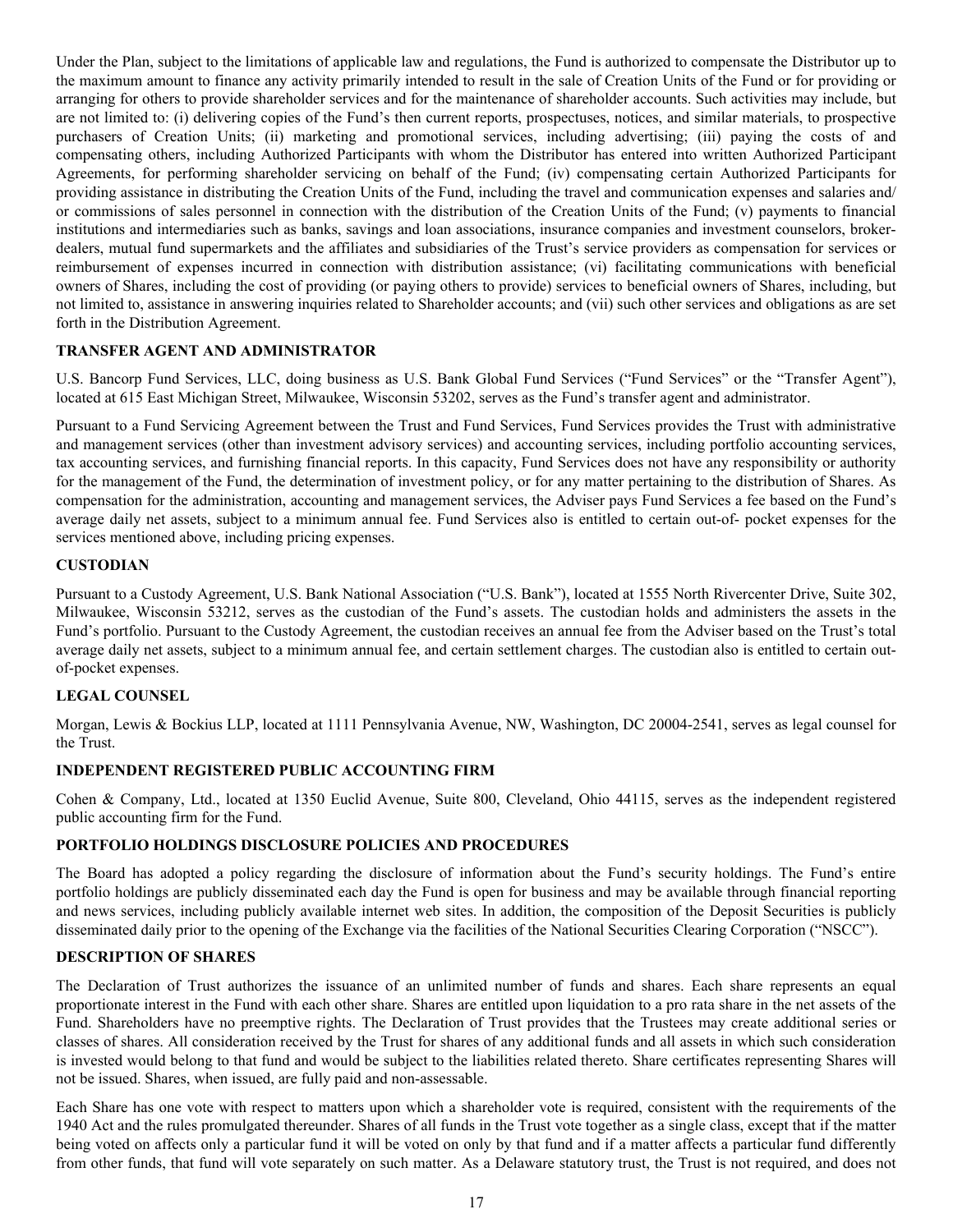<span id="page-19-0"></span>Under the Plan, subject to the limitations of applicable law and regulations, the Fund is authorized to compensate the Distributor up to the maximum amount to finance any activity primarily intended to result in the sale of Creation Units of the Fund or for providing or arranging for others to provide shareholder services and for the maintenance of shareholder accounts. Such activities may include, but are not limited to: (i) delivering copies of the Fund's then current reports, prospectuses, notices, and similar materials, to prospective purchasers of Creation Units; (ii) marketing and promotional services, including advertising; (iii) paying the costs of and compensating others, including Authorized Participants with whom the Distributor has entered into written Authorized Participant Agreements, for performing shareholder servicing on behalf of the Fund; (iv) compensating certain Authorized Participants for providing assistance in distributing the Creation Units of the Fund, including the travel and communication expenses and salaries and/ or commissions of sales personnel in connection with the distribution of the Creation Units of the Fund; (v) payments to financial institutions and intermediaries such as banks, savings and loan associations, insurance companies and investment counselors, brokerdealers, mutual fund supermarkets and the affiliates and subsidiaries of the Trust's service providers as compensation for services or reimbursement of expenses incurred in connection with distribution assistance; (vi) facilitating communications with beneficial owners of Shares, including the cost of providing (or paying others to provide) services to beneficial owners of Shares, including, but not limited to, assistance in answering inquiries related to Shareholder accounts; and (vii) such other services and obligations as are set forth in the Distribution Agreement.

# **TRANSFER AGENT AND ADMINISTRATOR**

U.S. Bancorp Fund Services, LLC, doing business as U.S. Bank Global Fund Services ("Fund Services" or the "Transfer Agent"), located at 615 East Michigan Street, Milwaukee, Wisconsin 53202, serves as the Fund's transfer agent and administrator.

Pursuant to a Fund Servicing Agreement between the Trust and Fund Services, Fund Services provides the Trust with administrative and management services (other than investment advisory services) and accounting services, including portfolio accounting services, tax accounting services, and furnishing financial reports. In this capacity, Fund Services does not have any responsibility or authority for the management of the Fund, the determination of investment policy, or for any matter pertaining to the distribution of Shares. As compensation for the administration, accounting and management services, the Adviser pays Fund Services a fee based on the Fund's average daily net assets, subject to a minimum annual fee. Fund Services also is entitled to certain out-of- pocket expenses for the services mentioned above, including pricing expenses.

# **CUSTODIAN**

Pursuant to a Custody Agreement, U.S. Bank National Association ("U.S. Bank"), located at 1555 North Rivercenter Drive, Suite 302, Milwaukee, Wisconsin 53212, serves as the custodian of the Fund's assets. The custodian holds and administers the assets in the Fund's portfolio. Pursuant to the Custody Agreement, the custodian receives an annual fee from the Adviser based on the Trust's total average daily net assets, subject to a minimum annual fee, and certain settlement charges. The custodian also is entitled to certain outof-pocket expenses.

# **LEGAL COUNSEL**

Morgan, Lewis & Bockius LLP, located at 1111 Pennsylvania Avenue, NW, Washington, DC 20004-2541, serves as legal counsel for the Trust.

# **INDEPENDENT REGISTERED PUBLIC ACCOUNTING FIRM**

Cohen & Company, Ltd., located at 1350 Euclid Avenue, Suite 800, Cleveland, Ohio 44115, serves as the independent registered public accounting firm for the Fund.

# **PORTFOLIO HOLDINGS DISCLOSURE POLICIES AND PROCEDURES**

The Board has adopted a policy regarding the disclosure of information about the Fund's security holdings. The Fund's entire portfolio holdings are publicly disseminated each day the Fund is open for business and may be available through financial reporting and news services, including publicly available internet web sites. In addition, the composition of the Deposit Securities is publicly disseminated daily prior to the opening of the Exchange via the facilities of the National Securities Clearing Corporation ("NSCC").

## **DESCRIPTION OF SHARES**

The Declaration of Trust authorizes the issuance of an unlimited number of funds and shares. Each share represents an equal proportionate interest in the Fund with each other share. Shares are entitled upon liquidation to a pro rata share in the net assets of the Fund. Shareholders have no preemptive rights. The Declaration of Trust provides that the Trustees may create additional series or classes of shares. All consideration received by the Trust for shares of any additional funds and all assets in which such consideration is invested would belong to that fund and would be subject to the liabilities related thereto. Share certificates representing Shares will not be issued. Shares, when issued, are fully paid and non-assessable.

Each Share has one vote with respect to matters upon which a shareholder vote is required, consistent with the requirements of the 1940 Act and the rules promulgated thereunder. Shares of all funds in the Trust vote together as a single class, except that if the matter being voted on affects only a particular fund it will be voted on only by that fund and if a matter affects a particular fund differently from other funds, that fund will vote separately on such matter. As a Delaware statutory trust, the Trust is not required, and does not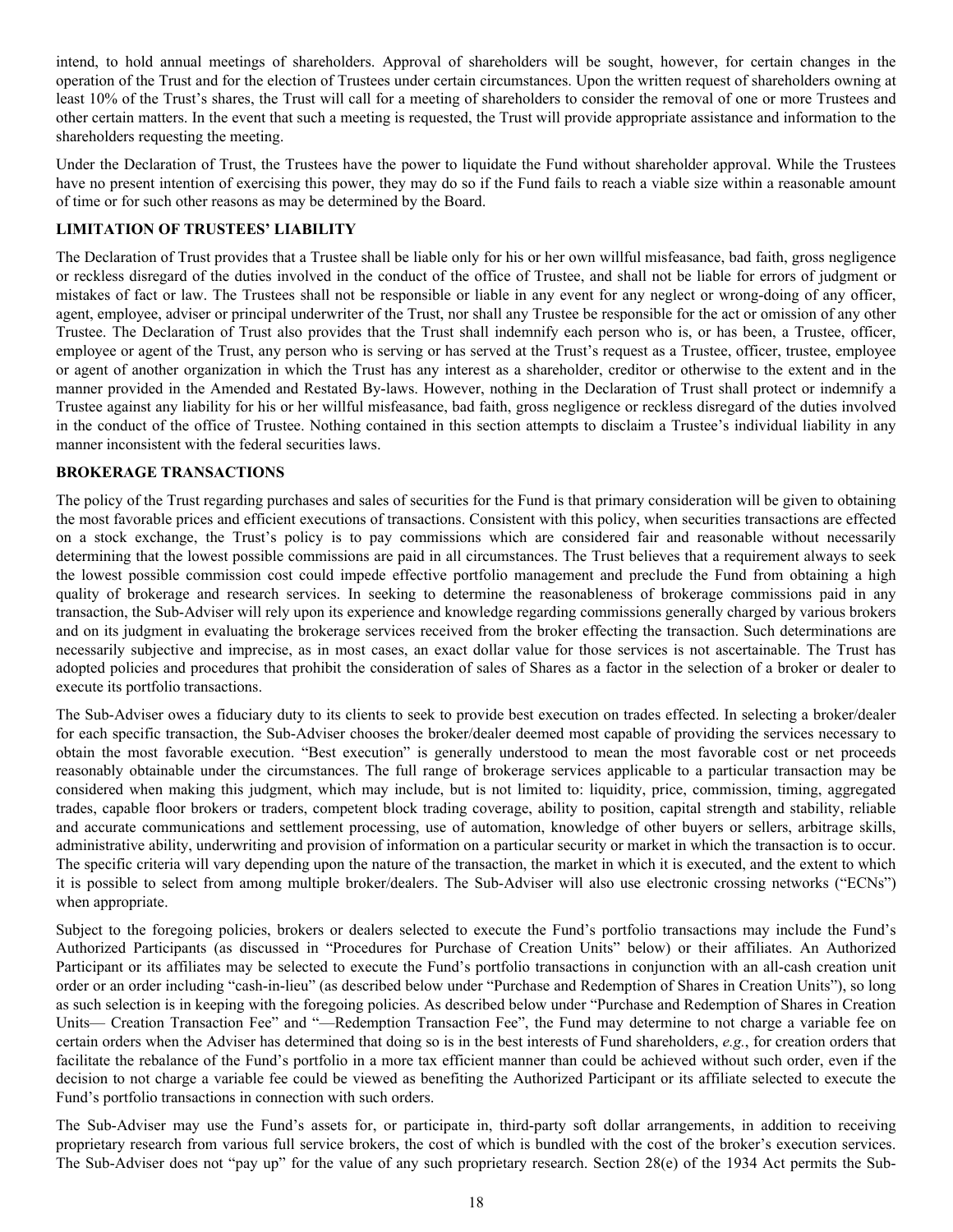<span id="page-20-0"></span>intend, to hold annual meetings of shareholders. Approval of shareholders will be sought, however, for certain changes in the operation of the Trust and for the election of Trustees under certain circumstances. Upon the written request of shareholders owning at least 10% of the Trust's shares, the Trust will call for a meeting of shareholders to consider the removal of one or more Trustees and other certain matters. In the event that such a meeting is requested, the Trust will provide appropriate assistance and information to the shareholders requesting the meeting.

Under the Declaration of Trust, the Trustees have the power to liquidate the Fund without shareholder approval. While the Trustees have no present intention of exercising this power, they may do so if the Fund fails to reach a viable size within a reasonable amount of time or for such other reasons as may be determined by the Board.

# **LIMITATION OF TRUSTEES' LIABILITY**

The Declaration of Trust provides that a Trustee shall be liable only for his or her own willful misfeasance, bad faith, gross negligence or reckless disregard of the duties involved in the conduct of the office of Trustee, and shall not be liable for errors of judgment or mistakes of fact or law. The Trustees shall not be responsible or liable in any event for any neglect or wrong-doing of any officer, agent, employee, adviser or principal underwriter of the Trust, nor shall any Trustee be responsible for the act or omission of any other Trustee. The Declaration of Trust also provides that the Trust shall indemnify each person who is, or has been, a Trustee, officer, employee or agent of the Trust, any person who is serving or has served at the Trust's request as a Trustee, officer, trustee, employee or agent of another organization in which the Trust has any interest as a shareholder, creditor or otherwise to the extent and in the manner provided in the Amended and Restated By-laws. However, nothing in the Declaration of Trust shall protect or indemnify a Trustee against any liability for his or her willful misfeasance, bad faith, gross negligence or reckless disregard of the duties involved in the conduct of the office of Trustee. Nothing contained in this section attempts to disclaim a Trustee's individual liability in any manner inconsistent with the federal securities laws.

## **BROKERAGE TRANSACTIONS**

The policy of the Trust regarding purchases and sales of securities for the Fund is that primary consideration will be given to obtaining the most favorable prices and efficient executions of transactions. Consistent with this policy, when securities transactions are effected on a stock exchange, the Trust's policy is to pay commissions which are considered fair and reasonable without necessarily determining that the lowest possible commissions are paid in all circumstances. The Trust believes that a requirement always to seek the lowest possible commission cost could impede effective portfolio management and preclude the Fund from obtaining a high quality of brokerage and research services. In seeking to determine the reasonableness of brokerage commissions paid in any transaction, the Sub-Adviser will rely upon its experience and knowledge regarding commissions generally charged by various brokers and on its judgment in evaluating the brokerage services received from the broker effecting the transaction. Such determinations are necessarily subjective and imprecise, as in most cases, an exact dollar value for those services is not ascertainable. The Trust has adopted policies and procedures that prohibit the consideration of sales of Shares as a factor in the selection of a broker or dealer to execute its portfolio transactions.

The Sub-Adviser owes a fiduciary duty to its clients to seek to provide best execution on trades effected. In selecting a broker/dealer for each specific transaction, the Sub-Adviser chooses the broker/dealer deemed most capable of providing the services necessary to obtain the most favorable execution. "Best execution" is generally understood to mean the most favorable cost or net proceeds reasonably obtainable under the circumstances. The full range of brokerage services applicable to a particular transaction may be considered when making this judgment, which may include, but is not limited to: liquidity, price, commission, timing, aggregated trades, capable floor brokers or traders, competent block trading coverage, ability to position, capital strength and stability, reliable and accurate communications and settlement processing, use of automation, knowledge of other buyers or sellers, arbitrage skills, administrative ability, underwriting and provision of information on a particular security or market in which the transaction is to occur. The specific criteria will vary depending upon the nature of the transaction, the market in which it is executed, and the extent to which it is possible to select from among multiple broker/dealers. The Sub-Adviser will also use electronic crossing networks ("ECNs") when appropriate.

Subject to the foregoing policies, brokers or dealers selected to execute the Fund's portfolio transactions may include the Fund's Authorized Participants (as discussed in "Procedures for Purchase of Creation Units" below) or their affiliates. An Authorized Participant or its affiliates may be selected to execute the Fund's portfolio transactions in conjunction with an all-cash creation unit order or an order including "cash-in-lieu" (as described below under "Purchase and Redemption of Shares in Creation Units"), so long as such selection is in keeping with the foregoing policies. As described below under "Purchase and Redemption of Shares in Creation Units— Creation Transaction Fee" and "—Redemption Transaction Fee", the Fund may determine to not charge a variable fee on certain orders when the Adviser has determined that doing so is in the best interests of Fund shareholders, *e.g.*, for creation orders that facilitate the rebalance of the Fund's portfolio in a more tax efficient manner than could be achieved without such order, even if the decision to not charge a variable fee could be viewed as benefiting the Authorized Participant or its affiliate selected to execute the Fund's portfolio transactions in connection with such orders.

The Sub-Adviser may use the Fund's assets for, or participate in, third-party soft dollar arrangements, in addition to receiving proprietary research from various full service brokers, the cost of which is bundled with the cost of the broker's execution services. The Sub-Adviser does not "pay up" for the value of any such proprietary research. Section 28(e) of the 1934 Act permits the Sub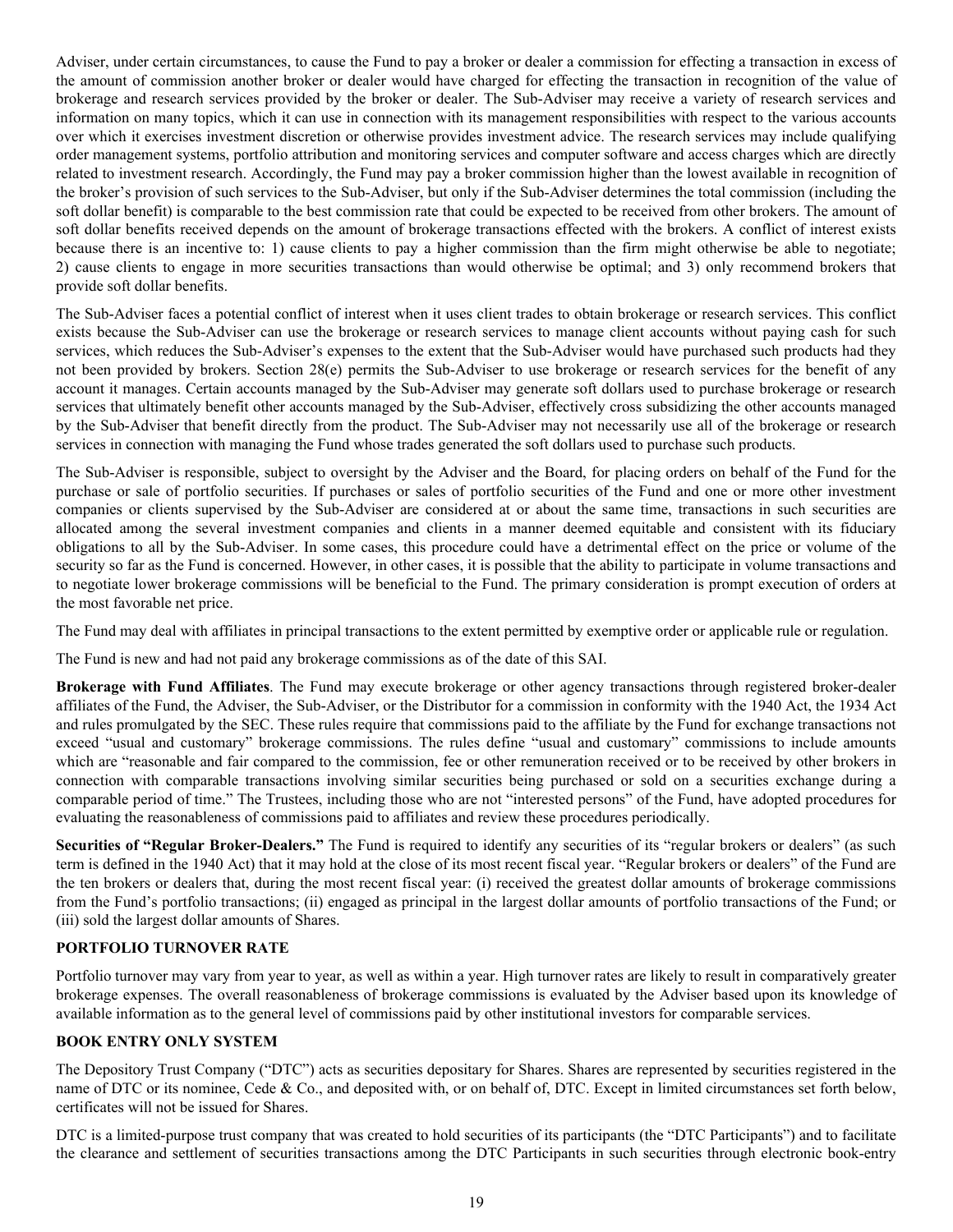<span id="page-21-0"></span>Adviser, under certain circumstances, to cause the Fund to pay a broker or dealer a commission for effecting a transaction in excess of the amount of commission another broker or dealer would have charged for effecting the transaction in recognition of the value of brokerage and research services provided by the broker or dealer. The Sub-Adviser may receive a variety of research services and information on many topics, which it can use in connection with its management responsibilities with respect to the various accounts over which it exercises investment discretion or otherwise provides investment advice. The research services may include qualifying order management systems, portfolio attribution and monitoring services and computer software and access charges which are directly related to investment research. Accordingly, the Fund may pay a broker commission higher than the lowest available in recognition of the broker's provision of such services to the Sub-Adviser, but only if the Sub-Adviser determines the total commission (including the soft dollar benefit) is comparable to the best commission rate that could be expected to be received from other brokers. The amount of soft dollar benefits received depends on the amount of brokerage transactions effected with the brokers. A conflict of interest exists because there is an incentive to: 1) cause clients to pay a higher commission than the firm might otherwise be able to negotiate; 2) cause clients to engage in more securities transactions than would otherwise be optimal; and 3) only recommend brokers that provide soft dollar benefits.

The Sub-Adviser faces a potential conflict of interest when it uses client trades to obtain brokerage or research services. This conflict exists because the Sub-Adviser can use the brokerage or research services to manage client accounts without paying cash for such services, which reduces the Sub-Adviser's expenses to the extent that the Sub-Adviser would have purchased such products had they not been provided by brokers. Section 28(e) permits the Sub-Adviser to use brokerage or research services for the benefit of any account it manages. Certain accounts managed by the Sub-Adviser may generate soft dollars used to purchase brokerage or research services that ultimately benefit other accounts managed by the Sub-Adviser, effectively cross subsidizing the other accounts managed by the Sub-Adviser that benefit directly from the product. The Sub-Adviser may not necessarily use all of the brokerage or research services in connection with managing the Fund whose trades generated the soft dollars used to purchase such products.

The Sub-Adviser is responsible, subject to oversight by the Adviser and the Board, for placing orders on behalf of the Fund for the purchase or sale of portfolio securities. If purchases or sales of portfolio securities of the Fund and one or more other investment companies or clients supervised by the Sub-Adviser are considered at or about the same time, transactions in such securities are allocated among the several investment companies and clients in a manner deemed equitable and consistent with its fiduciary obligations to all by the Sub-Adviser. In some cases, this procedure could have a detrimental effect on the price or volume of the security so far as the Fund is concerned. However, in other cases, it is possible that the ability to participate in volume transactions and to negotiate lower brokerage commissions will be beneficial to the Fund. The primary consideration is prompt execution of orders at the most favorable net price.

The Fund may deal with affiliates in principal transactions to the extent permitted by exemptive order or applicable rule or regulation.

The Fund is new and had not paid any brokerage commissions as of the date of this SAI.

**Brokerage with Fund Affiliates**. The Fund may execute brokerage or other agency transactions through registered broker-dealer affiliates of the Fund, the Adviser, the Sub-Adviser, or the Distributor for a commission in conformity with the 1940 Act, the 1934 Act and rules promulgated by the SEC. These rules require that commissions paid to the affiliate by the Fund for exchange transactions not exceed "usual and customary" brokerage commissions. The rules define "usual and customary" commissions to include amounts which are "reasonable and fair compared to the commission, fee or other remuneration received or to be received by other brokers in connection with comparable transactions involving similar securities being purchased or sold on a securities exchange during a comparable period of time." The Trustees, including those who are not "interested persons" of the Fund, have adopted procedures for evaluating the reasonableness of commissions paid to affiliates and review these procedures periodically.

**Securities of "Regular Broker-Dealers."** The Fund is required to identify any securities of its "regular brokers or dealers" (as such term is defined in the 1940 Act) that it may hold at the close of its most recent fiscal year. "Regular brokers or dealers" of the Fund are the ten brokers or dealers that, during the most recent fiscal year: (i) received the greatest dollar amounts of brokerage commissions from the Fund's portfolio transactions; (ii) engaged as principal in the largest dollar amounts of portfolio transactions of the Fund; or (iii) sold the largest dollar amounts of Shares.

# **PORTFOLIO TURNOVER RATE**

Portfolio turnover may vary from year to year, as well as within a year. High turnover rates are likely to result in comparatively greater brokerage expenses. The overall reasonableness of brokerage commissions is evaluated by the Adviser based upon its knowledge of available information as to the general level of commissions paid by other institutional investors for comparable services.

# **BOOK ENTRY ONLY SYSTEM**

The Depository Trust Company ("DTC") acts as securities depositary for Shares. Shares are represented by securities registered in the name of DTC or its nominee, Cede & Co., and deposited with, or on behalf of, DTC. Except in limited circumstances set forth below, certificates will not be issued for Shares.

DTC is a limited-purpose trust company that was created to hold securities of its participants (the "DTC Participants") and to facilitate the clearance and settlement of securities transactions among the DTC Participants in such securities through electronic book-entry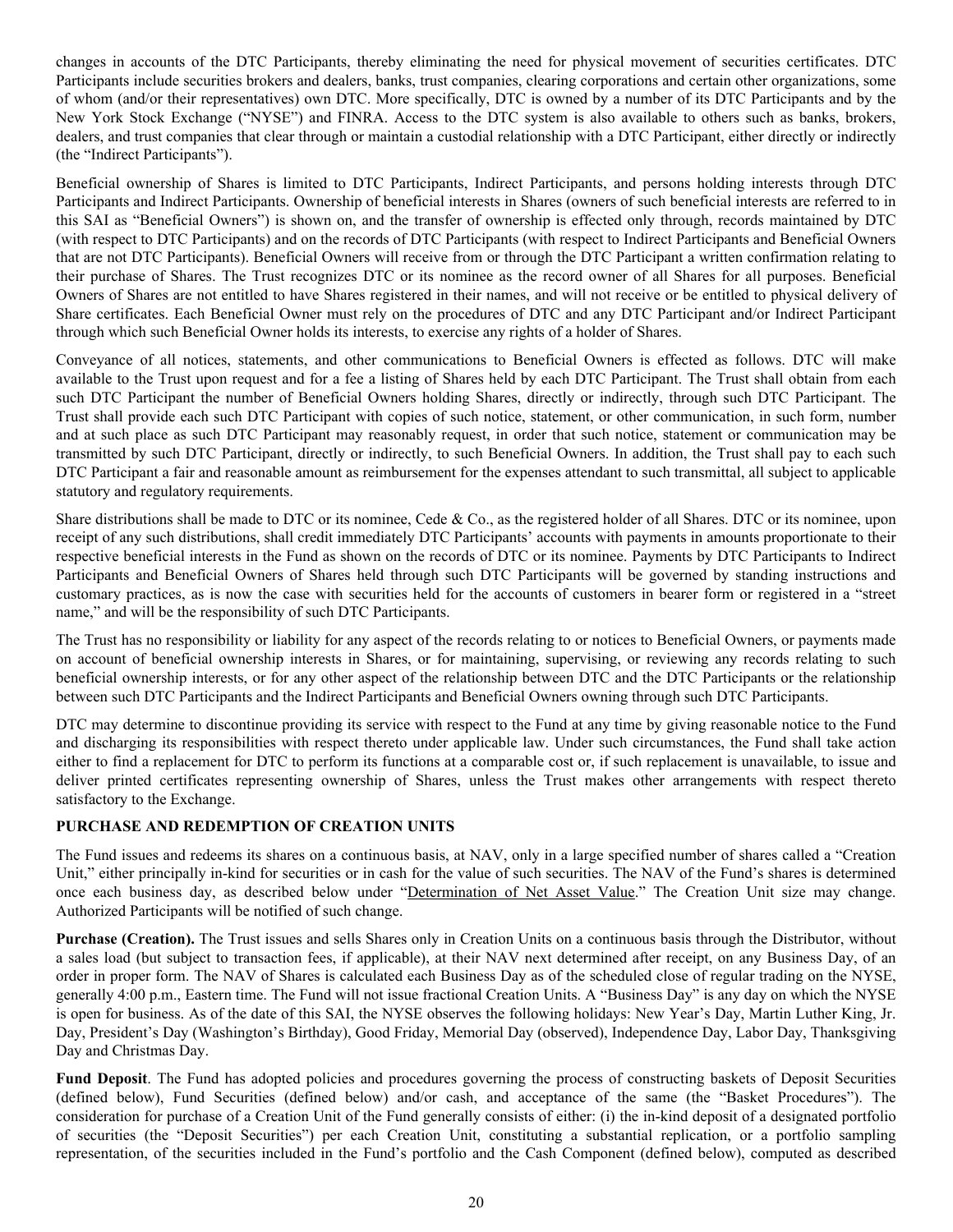<span id="page-22-0"></span>changes in accounts of the DTC Participants, thereby eliminating the need for physical movement of securities certificates. DTC Participants include securities brokers and dealers, banks, trust companies, clearing corporations and certain other organizations, some of whom (and/or their representatives) own DTC. More specifically, DTC is owned by a number of its DTC Participants and by the New York Stock Exchange ("NYSE") and FINRA. Access to the DTC system is also available to others such as banks, brokers, dealers, and trust companies that clear through or maintain a custodial relationship with a DTC Participant, either directly or indirectly (the "Indirect Participants").

Beneficial ownership of Shares is limited to DTC Participants, Indirect Participants, and persons holding interests through DTC Participants and Indirect Participants. Ownership of beneficial interests in Shares (owners of such beneficial interests are referred to in this SAI as "Beneficial Owners") is shown on, and the transfer of ownership is effected only through, records maintained by DTC (with respect to DTC Participants) and on the records of DTC Participants (with respect to Indirect Participants and Beneficial Owners that are not DTC Participants). Beneficial Owners will receive from or through the DTC Participant a written confirmation relating to their purchase of Shares. The Trust recognizes DTC or its nominee as the record owner of all Shares for all purposes. Beneficial Owners of Shares are not entitled to have Shares registered in their names, and will not receive or be entitled to physical delivery of Share certificates. Each Beneficial Owner must rely on the procedures of DTC and any DTC Participant and/or Indirect Participant through which such Beneficial Owner holds its interests, to exercise any rights of a holder of Shares.

Conveyance of all notices, statements, and other communications to Beneficial Owners is effected as follows. DTC will make available to the Trust upon request and for a fee a listing of Shares held by each DTC Participant. The Trust shall obtain from each such DTC Participant the number of Beneficial Owners holding Shares, directly or indirectly, through such DTC Participant. The Trust shall provide each such DTC Participant with copies of such notice, statement, or other communication, in such form, number and at such place as such DTC Participant may reasonably request, in order that such notice, statement or communication may be transmitted by such DTC Participant, directly or indirectly, to such Beneficial Owners. In addition, the Trust shall pay to each such DTC Participant a fair and reasonable amount as reimbursement for the expenses attendant to such transmittal, all subject to applicable statutory and regulatory requirements.

Share distributions shall be made to DTC or its nominee, Cede & Co., as the registered holder of all Shares. DTC or its nominee, upon receipt of any such distributions, shall credit immediately DTC Participants' accounts with payments in amounts proportionate to their respective beneficial interests in the Fund as shown on the records of DTC or its nominee. Payments by DTC Participants to Indirect Participants and Beneficial Owners of Shares held through such DTC Participants will be governed by standing instructions and customary practices, as is now the case with securities held for the accounts of customers in bearer form or registered in a "street name," and will be the responsibility of such DTC Participants.

The Trust has no responsibility or liability for any aspect of the records relating to or notices to Beneficial Owners, or payments made on account of beneficial ownership interests in Shares, or for maintaining, supervising, or reviewing any records relating to such beneficial ownership interests, or for any other aspect of the relationship between DTC and the DTC Participants or the relationship between such DTC Participants and the Indirect Participants and Beneficial Owners owning through such DTC Participants.

DTC may determine to discontinue providing its service with respect to the Fund at any time by giving reasonable notice to the Fund and discharging its responsibilities with respect thereto under applicable law. Under such circumstances, the Fund shall take action either to find a replacement for DTC to perform its functions at a comparable cost or, if such replacement is unavailable, to issue and deliver printed certificates representing ownership of Shares, unless the Trust makes other arrangements with respect thereto satisfactory to the Exchange.

# **PURCHASE AND REDEMPTION OF CREATION UNITS**

The Fund issues and redeems its shares on a continuous basis, at NAV, only in a large specified number of shares called a "Creation Unit," either principally in-kind for securities or in cash for the value of such securities. The NAV of the Fund's shares is determined once each business day, as described below under "Determination of Net Asset Value." The Creation Unit size may change. Authorized Participants will be notified of such change.

**Purchase (Creation).** The Trust issues and sells Shares only in Creation Units on a continuous basis through the Distributor, without a sales load (but subject to transaction fees, if applicable), at their NAV next determined after receipt, on any Business Day, of an order in proper form. The NAV of Shares is calculated each Business Day as of the scheduled close of regular trading on the NYSE, generally 4:00 p.m., Eastern time. The Fund will not issue fractional Creation Units. A "Business Day" is any day on which the NYSE is open for business. As of the date of this SAI, the NYSE observes the following holidays: New Year's Day, Martin Luther King, Jr. Day, President's Day (Washington's Birthday), Good Friday, Memorial Day (observed), Independence Day, Labor Day, Thanksgiving Day and Christmas Day.

**Fund Deposit**. The Fund has adopted policies and procedures governing the process of constructing baskets of Deposit Securities (defined below), Fund Securities (defined below) and/or cash, and acceptance of the same (the "Basket Procedures"). The consideration for purchase of a Creation Unit of the Fund generally consists of either: (i) the in-kind deposit of a designated portfolio of securities (the "Deposit Securities") per each Creation Unit, constituting a substantial replication, or a portfolio sampling representation, of the securities included in the Fund's portfolio and the Cash Component (defined below), computed as described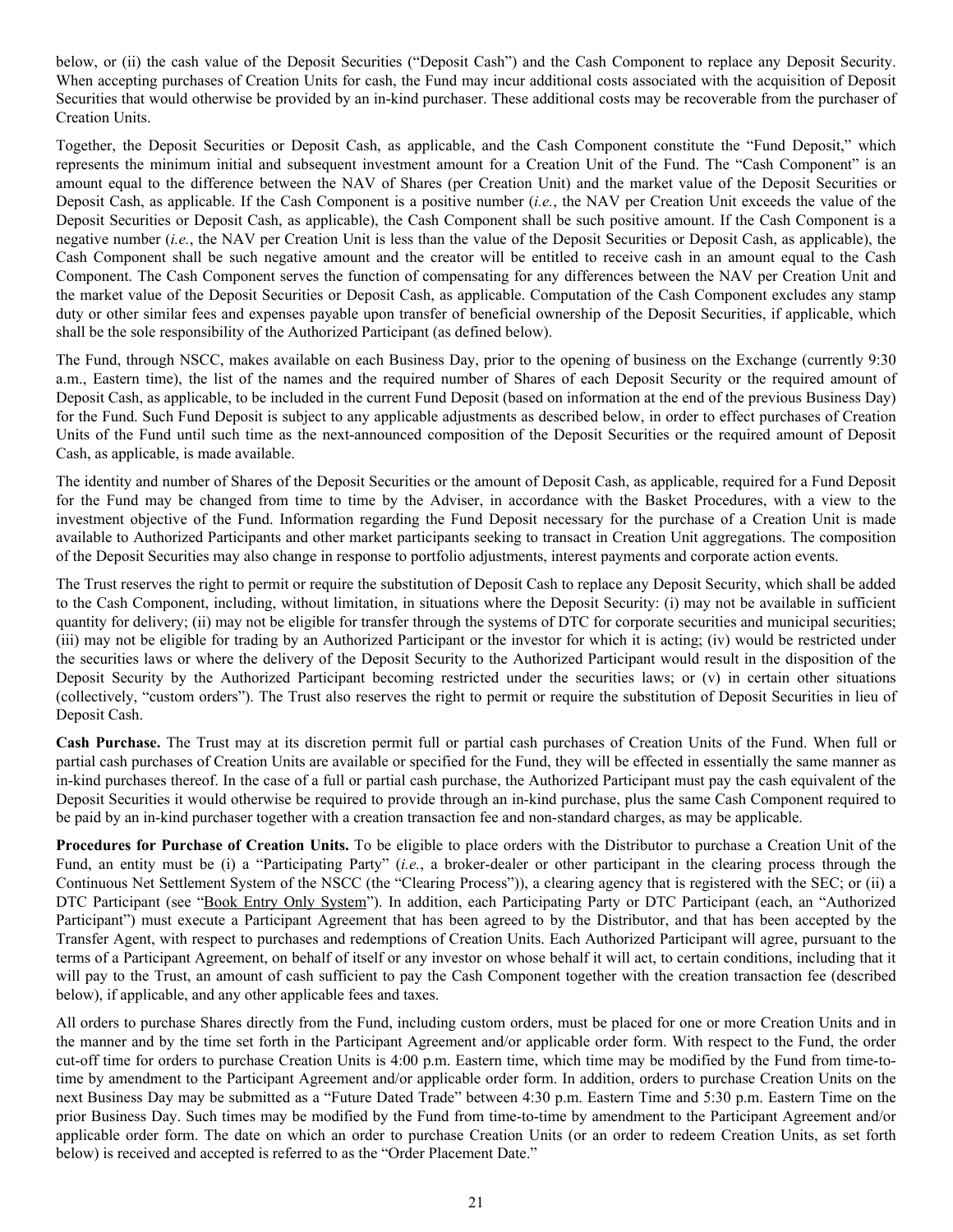below, or (ii) the cash value of the Deposit Securities ("Deposit Cash") and the Cash Component to replace any Deposit Security. When accepting purchases of Creation Units for cash, the Fund may incur additional costs associated with the acquisition of Deposit Securities that would otherwise be provided by an in-kind purchaser. These additional costs may be recoverable from the purchaser of Creation Units.

Together, the Deposit Securities or Deposit Cash, as applicable, and the Cash Component constitute the "Fund Deposit," which represents the minimum initial and subsequent investment amount for a Creation Unit of the Fund. The "Cash Component" is an amount equal to the difference between the NAV of Shares (per Creation Unit) and the market value of the Deposit Securities or Deposit Cash, as applicable. If the Cash Component is a positive number (*i.e.*, the NAV per Creation Unit exceeds the value of the Deposit Securities or Deposit Cash, as applicable), the Cash Component shall be such positive amount. If the Cash Component is a negative number (*i.e.*, the NAV per Creation Unit is less than the value of the Deposit Securities or Deposit Cash, as applicable), the Cash Component shall be such negative amount and the creator will be entitled to receive cash in an amount equal to the Cash Component. The Cash Component serves the function of compensating for any differences between the NAV per Creation Unit and the market value of the Deposit Securities or Deposit Cash, as applicable. Computation of the Cash Component excludes any stamp duty or other similar fees and expenses payable upon transfer of beneficial ownership of the Deposit Securities, if applicable, which shall be the sole responsibility of the Authorized Participant (as defined below).

The Fund, through NSCC, makes available on each Business Day, prior to the opening of business on the Exchange (currently 9:30 a.m., Eastern time), the list of the names and the required number of Shares of each Deposit Security or the required amount of Deposit Cash, as applicable, to be included in the current Fund Deposit (based on information at the end of the previous Business Day) for the Fund. Such Fund Deposit is subject to any applicable adjustments as described below, in order to effect purchases of Creation Units of the Fund until such time as the next-announced composition of the Deposit Securities or the required amount of Deposit Cash, as applicable, is made available.

The identity and number of Shares of the Deposit Securities or the amount of Deposit Cash, as applicable, required for a Fund Deposit for the Fund may be changed from time to time by the Adviser, in accordance with the Basket Procedures, with a view to the investment objective of the Fund. Information regarding the Fund Deposit necessary for the purchase of a Creation Unit is made available to Authorized Participants and other market participants seeking to transact in Creation Unit aggregations. The composition of the Deposit Securities may also change in response to portfolio adjustments, interest payments and corporate action events.

The Trust reserves the right to permit or require the substitution of Deposit Cash to replace any Deposit Security, which shall be added to the Cash Component, including, without limitation, in situations where the Deposit Security: (i) may not be available in sufficient quantity for delivery; (ii) may not be eligible for transfer through the systems of DTC for corporate securities and municipal securities; (iii) may not be eligible for trading by an Authorized Participant or the investor for which it is acting; (iv) would be restricted under the securities laws or where the delivery of the Deposit Security to the Authorized Participant would result in the disposition of the Deposit Security by the Authorized Participant becoming restricted under the securities laws; or (v) in certain other situations (collectively, "custom orders"). The Trust also reserves the right to permit or require the substitution of Deposit Securities in lieu of Deposit Cash.

**Cash Purchase.** The Trust may at its discretion permit full or partial cash purchases of Creation Units of the Fund. When full or partial cash purchases of Creation Units are available or specified for the Fund, they will be effected in essentially the same manner as in-kind purchases thereof. In the case of a full or partial cash purchase, the Authorized Participant must pay the cash equivalent of the Deposit Securities it would otherwise be required to provide through an in-kind purchase, plus the same Cash Component required to be paid by an in-kind purchaser together with a creation transaction fee and non-standard charges, as may be applicable.

**Procedures for Purchase of Creation Units.** To be eligible to place orders with the Distributor to purchase a Creation Unit of the Fund, an entity must be (i) a "Participating Party" (*i.e.*, a broker-dealer or other participant in the clearing process through the Continuous Net Settlement System of the NSCC (the "Clearing Process")), a clearing agency that is registered with the SEC; or (ii) a DTC Participant (see "Book Entry Only System"). In addition, each Participating Party or DTC Participant (each, an "Authorized Participant") must execute a Participant Agreement that has been agreed to by the Distributor, and that has been accepted by the Transfer Agent, with respect to purchases and redemptions of Creation Units. Each Authorized Participant will agree, pursuant to the terms of a Participant Agreement, on behalf of itself or any investor on whose behalf it will act, to certain conditions, including that it will pay to the Trust, an amount of cash sufficient to pay the Cash Component together with the creation transaction fee (described below), if applicable, and any other applicable fees and taxes.

All orders to purchase Shares directly from the Fund, including custom orders, must be placed for one or more Creation Units and in the manner and by the time set forth in the Participant Agreement and/or applicable order form. With respect to the Fund, the order cut-off time for orders to purchase Creation Units is 4:00 p.m. Eastern time, which time may be modified by the Fund from time-totime by amendment to the Participant Agreement and/or applicable order form. In addition, orders to purchase Creation Units on the next Business Day may be submitted as a "Future Dated Trade" between 4:30 p.m. Eastern Time and 5:30 p.m. Eastern Time on the prior Business Day. Such times may be modified by the Fund from time-to-time by amendment to the Participant Agreement and/or applicable order form. The date on which an order to purchase Creation Units (or an order to redeem Creation Units, as set forth below) is received and accepted is referred to as the "Order Placement Date."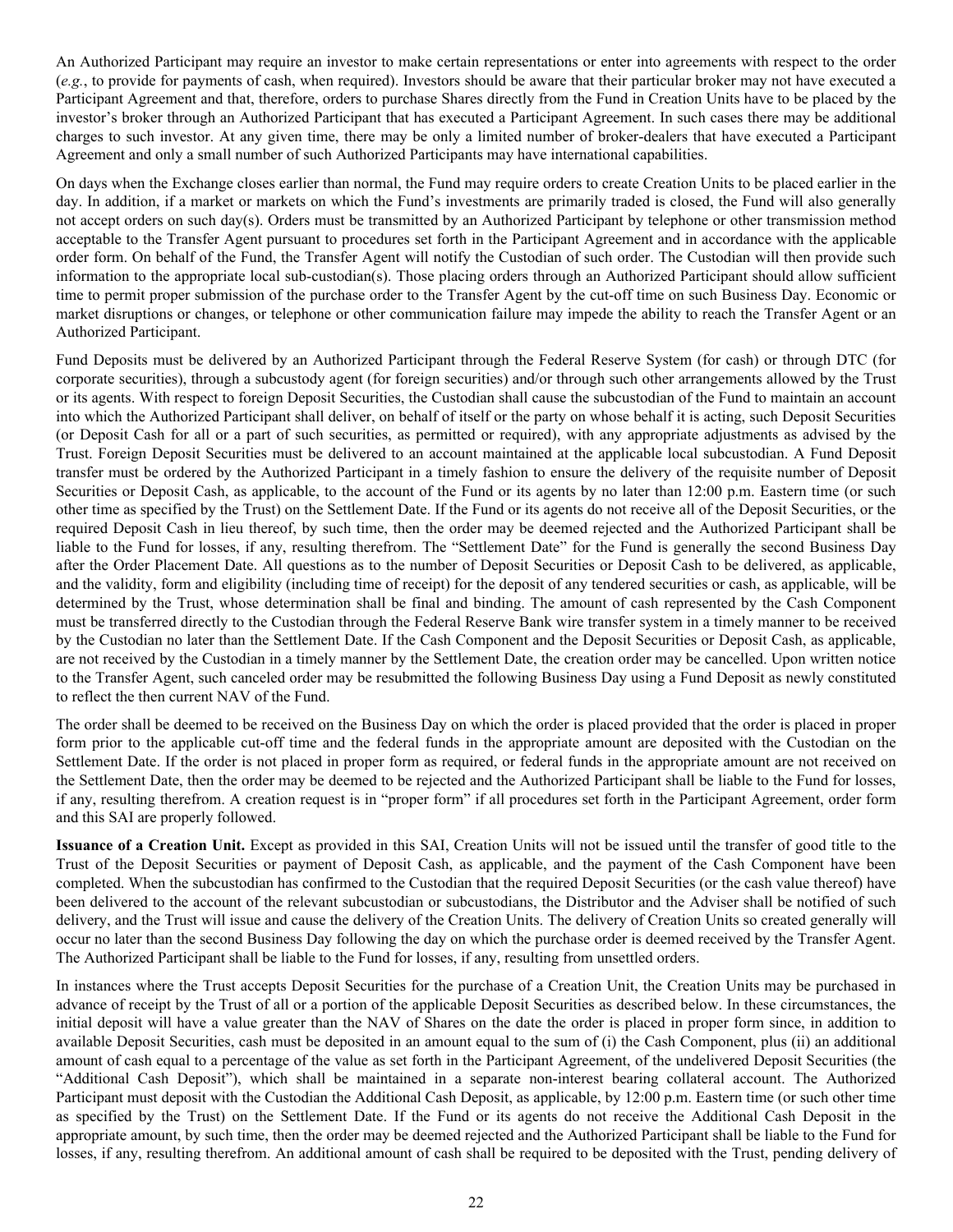An Authorized Participant may require an investor to make certain representations or enter into agreements with respect to the order (*e.g.*, to provide for payments of cash, when required). Investors should be aware that their particular broker may not have executed a Participant Agreement and that, therefore, orders to purchase Shares directly from the Fund in Creation Units have to be placed by the investor's broker through an Authorized Participant that has executed a Participant Agreement. In such cases there may be additional charges to such investor. At any given time, there may be only a limited number of broker-dealers that have executed a Participant Agreement and only a small number of such Authorized Participants may have international capabilities.

On days when the Exchange closes earlier than normal, the Fund may require orders to create Creation Units to be placed earlier in the day. In addition, if a market or markets on which the Fund's investments are primarily traded is closed, the Fund will also generally not accept orders on such day(s). Orders must be transmitted by an Authorized Participant by telephone or other transmission method acceptable to the Transfer Agent pursuant to procedures set forth in the Participant Agreement and in accordance with the applicable order form. On behalf of the Fund, the Transfer Agent will notify the Custodian of such order. The Custodian will then provide such information to the appropriate local sub-custodian(s). Those placing orders through an Authorized Participant should allow sufficient time to permit proper submission of the purchase order to the Transfer Agent by the cut-off time on such Business Day. Economic or market disruptions or changes, or telephone or other communication failure may impede the ability to reach the Transfer Agent or an Authorized Participant.

Fund Deposits must be delivered by an Authorized Participant through the Federal Reserve System (for cash) or through DTC (for corporate securities), through a subcustody agent (for foreign securities) and/or through such other arrangements allowed by the Trust or its agents. With respect to foreign Deposit Securities, the Custodian shall cause the subcustodian of the Fund to maintain an account into which the Authorized Participant shall deliver, on behalf of itself or the party on whose behalf it is acting, such Deposit Securities (or Deposit Cash for all or a part of such securities, as permitted or required), with any appropriate adjustments as advised by the Trust. Foreign Deposit Securities must be delivered to an account maintained at the applicable local subcustodian. A Fund Deposit transfer must be ordered by the Authorized Participant in a timely fashion to ensure the delivery of the requisite number of Deposit Securities or Deposit Cash, as applicable, to the account of the Fund or its agents by no later than 12:00 p.m. Eastern time (or such other time as specified by the Trust) on the Settlement Date. If the Fund or its agents do not receive all of the Deposit Securities, or the required Deposit Cash in lieu thereof, by such time, then the order may be deemed rejected and the Authorized Participant shall be liable to the Fund for losses, if any, resulting therefrom. The "Settlement Date" for the Fund is generally the second Business Day after the Order Placement Date. All questions as to the number of Deposit Securities or Deposit Cash to be delivered, as applicable, and the validity, form and eligibility (including time of receipt) for the deposit of any tendered securities or cash, as applicable, will be determined by the Trust, whose determination shall be final and binding. The amount of cash represented by the Cash Component must be transferred directly to the Custodian through the Federal Reserve Bank wire transfer system in a timely manner to be received by the Custodian no later than the Settlement Date. If the Cash Component and the Deposit Securities or Deposit Cash, as applicable, are not received by the Custodian in a timely manner by the Settlement Date, the creation order may be cancelled. Upon written notice to the Transfer Agent, such canceled order may be resubmitted the following Business Day using a Fund Deposit as newly constituted to reflect the then current NAV of the Fund.

The order shall be deemed to be received on the Business Day on which the order is placed provided that the order is placed in proper form prior to the applicable cut-off time and the federal funds in the appropriate amount are deposited with the Custodian on the Settlement Date. If the order is not placed in proper form as required, or federal funds in the appropriate amount are not received on the Settlement Date, then the order may be deemed to be rejected and the Authorized Participant shall be liable to the Fund for losses, if any, resulting therefrom. A creation request is in "proper form" if all procedures set forth in the Participant Agreement, order form and this SAI are properly followed.

**Issuance of a Creation Unit.** Except as provided in this SAI, Creation Units will not be issued until the transfer of good title to the Trust of the Deposit Securities or payment of Deposit Cash, as applicable, and the payment of the Cash Component have been completed. When the subcustodian has confirmed to the Custodian that the required Deposit Securities (or the cash value thereof) have been delivered to the account of the relevant subcustodian or subcustodians, the Distributor and the Adviser shall be notified of such delivery, and the Trust will issue and cause the delivery of the Creation Units. The delivery of Creation Units so created generally will occur no later than the second Business Day following the day on which the purchase order is deemed received by the Transfer Agent. The Authorized Participant shall be liable to the Fund for losses, if any, resulting from unsettled orders.

In instances where the Trust accepts Deposit Securities for the purchase of a Creation Unit, the Creation Units may be purchased in advance of receipt by the Trust of all or a portion of the applicable Deposit Securities as described below. In these circumstances, the initial deposit will have a value greater than the NAV of Shares on the date the order is placed in proper form since, in addition to available Deposit Securities, cash must be deposited in an amount equal to the sum of (i) the Cash Component, plus (ii) an additional amount of cash equal to a percentage of the value as set forth in the Participant Agreement, of the undelivered Deposit Securities (the "Additional Cash Deposit"), which shall be maintained in a separate non-interest bearing collateral account. The Authorized Participant must deposit with the Custodian the Additional Cash Deposit, as applicable, by 12:00 p.m. Eastern time (or such other time as specified by the Trust) on the Settlement Date. If the Fund or its agents do not receive the Additional Cash Deposit in the appropriate amount, by such time, then the order may be deemed rejected and the Authorized Participant shall be liable to the Fund for losses, if any, resulting therefrom. An additional amount of cash shall be required to be deposited with the Trust, pending delivery of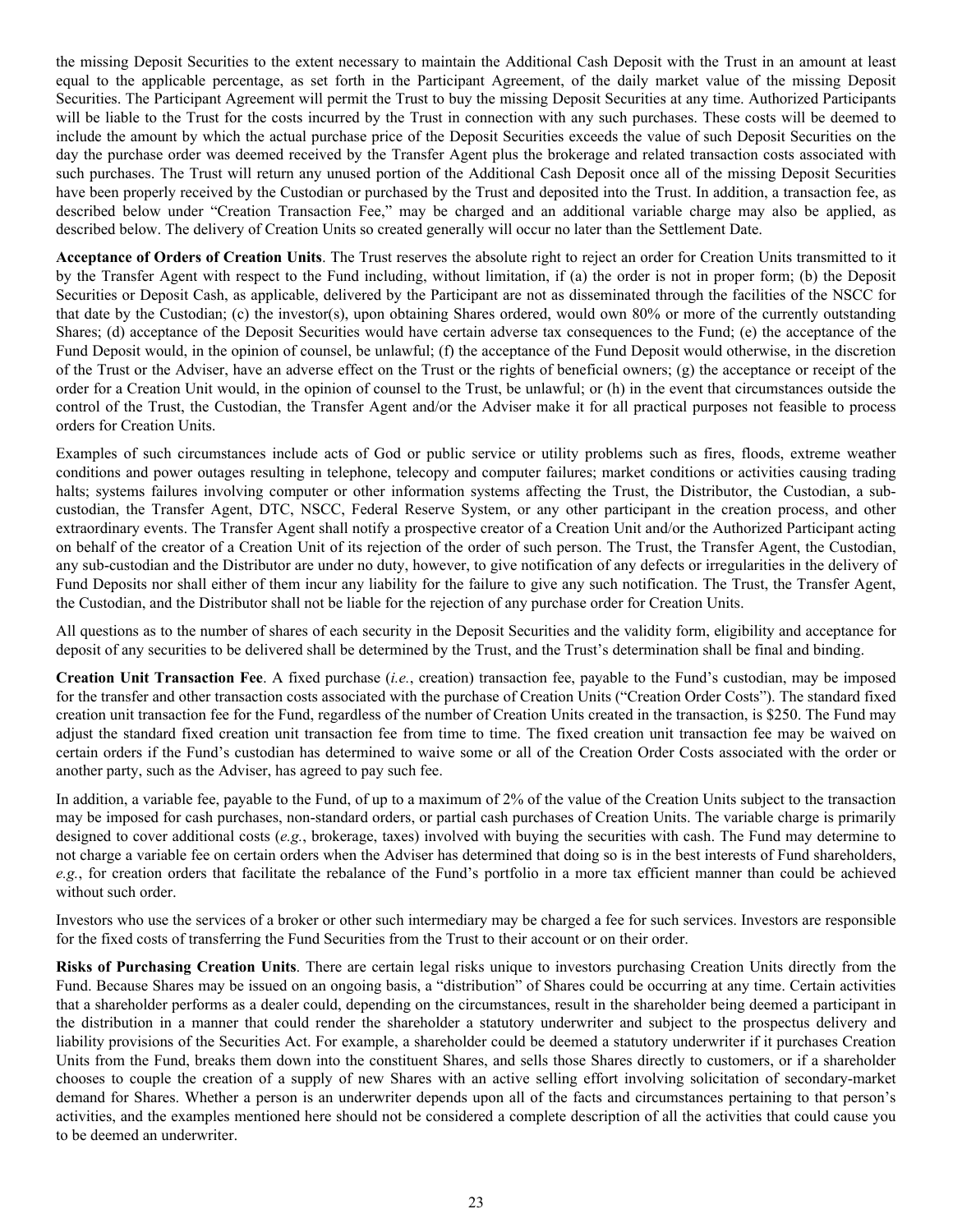the missing Deposit Securities to the extent necessary to maintain the Additional Cash Deposit with the Trust in an amount at least equal to the applicable percentage, as set forth in the Participant Agreement, of the daily market value of the missing Deposit Securities. The Participant Agreement will permit the Trust to buy the missing Deposit Securities at any time. Authorized Participants will be liable to the Trust for the costs incurred by the Trust in connection with any such purchases. These costs will be deemed to include the amount by which the actual purchase price of the Deposit Securities exceeds the value of such Deposit Securities on the day the purchase order was deemed received by the Transfer Agent plus the brokerage and related transaction costs associated with such purchases. The Trust will return any unused portion of the Additional Cash Deposit once all of the missing Deposit Securities have been properly received by the Custodian or purchased by the Trust and deposited into the Trust. In addition, a transaction fee, as described below under "Creation Transaction Fee," may be charged and an additional variable charge may also be applied, as described below. The delivery of Creation Units so created generally will occur no later than the Settlement Date.

**Acceptance of Orders of Creation Units**. The Trust reserves the absolute right to reject an order for Creation Units transmitted to it by the Transfer Agent with respect to the Fund including, without limitation, if (a) the order is not in proper form; (b) the Deposit Securities or Deposit Cash, as applicable, delivered by the Participant are not as disseminated through the facilities of the NSCC for that date by the Custodian; (c) the investor(s), upon obtaining Shares ordered, would own 80% or more of the currently outstanding Shares; (d) acceptance of the Deposit Securities would have certain adverse tax consequences to the Fund; (e) the acceptance of the Fund Deposit would, in the opinion of counsel, be unlawful; (f) the acceptance of the Fund Deposit would otherwise, in the discretion of the Trust or the Adviser, have an adverse effect on the Trust or the rights of beneficial owners; (g) the acceptance or receipt of the order for a Creation Unit would, in the opinion of counsel to the Trust, be unlawful; or (h) in the event that circumstances outside the control of the Trust, the Custodian, the Transfer Agent and/or the Adviser make it for all practical purposes not feasible to process orders for Creation Units.

Examples of such circumstances include acts of God or public service or utility problems such as fires, floods, extreme weather conditions and power outages resulting in telephone, telecopy and computer failures; market conditions or activities causing trading halts; systems failures involving computer or other information systems affecting the Trust, the Distributor, the Custodian, a subcustodian, the Transfer Agent, DTC, NSCC, Federal Reserve System, or any other participant in the creation process, and other extraordinary events. The Transfer Agent shall notify a prospective creator of a Creation Unit and/or the Authorized Participant acting on behalf of the creator of a Creation Unit of its rejection of the order of such person. The Trust, the Transfer Agent, the Custodian, any sub-custodian and the Distributor are under no duty, however, to give notification of any defects or irregularities in the delivery of Fund Deposits nor shall either of them incur any liability for the failure to give any such notification. The Trust, the Transfer Agent, the Custodian, and the Distributor shall not be liable for the rejection of any purchase order for Creation Units.

All questions as to the number of shares of each security in the Deposit Securities and the validity form, eligibility and acceptance for deposit of any securities to be delivered shall be determined by the Trust, and the Trust's determination shall be final and binding.

**Creation Unit Transaction Fee**. A fixed purchase (*i.e.*, creation) transaction fee, payable to the Fund's custodian, may be imposed for the transfer and other transaction costs associated with the purchase of Creation Units ("Creation Order Costs"). The standard fixed creation unit transaction fee for the Fund, regardless of the number of Creation Units created in the transaction, is \$250. The Fund may adjust the standard fixed creation unit transaction fee from time to time. The fixed creation unit transaction fee may be waived on certain orders if the Fund's custodian has determined to waive some or all of the Creation Order Costs associated with the order or another party, such as the Adviser, has agreed to pay such fee.

In addition, a variable fee, payable to the Fund, of up to a maximum of 2% of the value of the Creation Units subject to the transaction may be imposed for cash purchases, non-standard orders, or partial cash purchases of Creation Units. The variable charge is primarily designed to cover additional costs (*e.g.*, brokerage, taxes) involved with buying the securities with cash. The Fund may determine to not charge a variable fee on certain orders when the Adviser has determined that doing so is in the best interests of Fund shareholders, *e.g.*, for creation orders that facilitate the rebalance of the Fund's portfolio in a more tax efficient manner than could be achieved without such order.

Investors who use the services of a broker or other such intermediary may be charged a fee for such services. Investors are responsible for the fixed costs of transferring the Fund Securities from the Trust to their account or on their order.

**Risks of Purchasing Creation Units**. There are certain legal risks unique to investors purchasing Creation Units directly from the Fund. Because Shares may be issued on an ongoing basis, a "distribution" of Shares could be occurring at any time. Certain activities that a shareholder performs as a dealer could, depending on the circumstances, result in the shareholder being deemed a participant in the distribution in a manner that could render the shareholder a statutory underwriter and subject to the prospectus delivery and liability provisions of the Securities Act. For example, a shareholder could be deemed a statutory underwriter if it purchases Creation Units from the Fund, breaks them down into the constituent Shares, and sells those Shares directly to customers, or if a shareholder chooses to couple the creation of a supply of new Shares with an active selling effort involving solicitation of secondary-market demand for Shares. Whether a person is an underwriter depends upon all of the facts and circumstances pertaining to that person's activities, and the examples mentioned here should not be considered a complete description of all the activities that could cause you to be deemed an underwriter.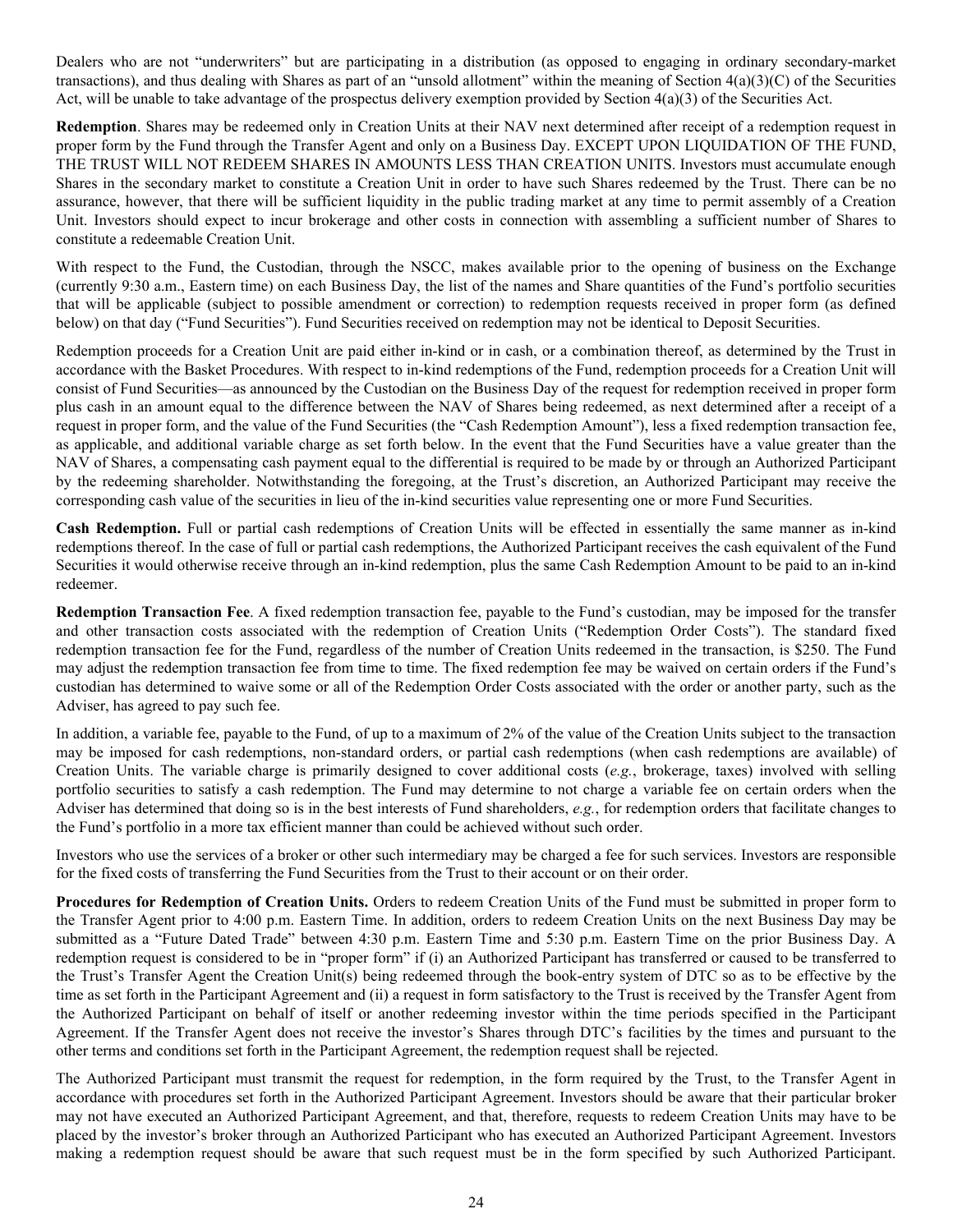Dealers who are not "underwriters" but are participating in a distribution (as opposed to engaging in ordinary secondary-market transactions), and thus dealing with Shares as part of an "unsold allotment" within the meaning of Section  $4(a)(3)(C)$  of the Securities Act, will be unable to take advantage of the prospectus delivery exemption provided by Section  $4(a)(3)$  of the Securities Act.

**Redemption**. Shares may be redeemed only in Creation Units at their NAV next determined after receipt of a redemption request in proper form by the Fund through the Transfer Agent and only on a Business Day. EXCEPT UPON LIQUIDATION OF THE FUND, THE TRUST WILL NOT REDEEM SHARES IN AMOUNTS LESS THAN CREATION UNITS. Investors must accumulate enough Shares in the secondary market to constitute a Creation Unit in order to have such Shares redeemed by the Trust. There can be no assurance, however, that there will be sufficient liquidity in the public trading market at any time to permit assembly of a Creation Unit. Investors should expect to incur brokerage and other costs in connection with assembling a sufficient number of Shares to constitute a redeemable Creation Unit.

With respect to the Fund, the Custodian, through the NSCC, makes available prior to the opening of business on the Exchange (currently 9:30 a.m., Eastern time) on each Business Day, the list of the names and Share quantities of the Fund's portfolio securities that will be applicable (subject to possible amendment or correction) to redemption requests received in proper form (as defined below) on that day ("Fund Securities"). Fund Securities received on redemption may not be identical to Deposit Securities.

Redemption proceeds for a Creation Unit are paid either in-kind or in cash, or a combination thereof, as determined by the Trust in accordance with the Basket Procedures. With respect to in-kind redemptions of the Fund, redemption proceeds for a Creation Unit will consist of Fund Securities—as announced by the Custodian on the Business Day of the request for redemption received in proper form plus cash in an amount equal to the difference between the NAV of Shares being redeemed, as next determined after a receipt of a request in proper form, and the value of the Fund Securities (the "Cash Redemption Amount"), less a fixed redemption transaction fee, as applicable, and additional variable charge as set forth below. In the event that the Fund Securities have a value greater than the NAV of Shares, a compensating cash payment equal to the differential is required to be made by or through an Authorized Participant by the redeeming shareholder. Notwithstanding the foregoing, at the Trust's discretion, an Authorized Participant may receive the corresponding cash value of the securities in lieu of the in-kind securities value representing one or more Fund Securities.

**Cash Redemption.** Full or partial cash redemptions of Creation Units will be effected in essentially the same manner as in-kind redemptions thereof. In the case of full or partial cash redemptions, the Authorized Participant receives the cash equivalent of the Fund Securities it would otherwise receive through an in-kind redemption, plus the same Cash Redemption Amount to be paid to an in-kind redeemer.

**Redemption Transaction Fee**. A fixed redemption transaction fee, payable to the Fund's custodian, may be imposed for the transfer and other transaction costs associated with the redemption of Creation Units ("Redemption Order Costs"). The standard fixed redemption transaction fee for the Fund, regardless of the number of Creation Units redeemed in the transaction, is \$250. The Fund may adjust the redemption transaction fee from time to time. The fixed redemption fee may be waived on certain orders if the Fund's custodian has determined to waive some or all of the Redemption Order Costs associated with the order or another party, such as the Adviser, has agreed to pay such fee.

In addition, a variable fee, payable to the Fund, of up to a maximum of 2% of the value of the Creation Units subject to the transaction may be imposed for cash redemptions, non-standard orders, or partial cash redemptions (when cash redemptions are available) of Creation Units. The variable charge is primarily designed to cover additional costs (*e.g.*, brokerage, taxes) involved with selling portfolio securities to satisfy a cash redemption. The Fund may determine to not charge a variable fee on certain orders when the Adviser has determined that doing so is in the best interests of Fund shareholders, *e.g.*, for redemption orders that facilitate changes to the Fund's portfolio in a more tax efficient manner than could be achieved without such order.

Investors who use the services of a broker or other such intermediary may be charged a fee for such services. Investors are responsible for the fixed costs of transferring the Fund Securities from the Trust to their account or on their order.

**Procedures for Redemption of Creation Units.** Orders to redeem Creation Units of the Fund must be submitted in proper form to the Transfer Agent prior to 4:00 p.m. Eastern Time. In addition, orders to redeem Creation Units on the next Business Day may be submitted as a "Future Dated Trade" between 4:30 p.m. Eastern Time and 5:30 p.m. Eastern Time on the prior Business Day. A redemption request is considered to be in "proper form" if (i) an Authorized Participant has transferred or caused to be transferred to the Trust's Transfer Agent the Creation Unit(s) being redeemed through the book-entry system of DTC so as to be effective by the time as set forth in the Participant Agreement and (ii) a request in form satisfactory to the Trust is received by the Transfer Agent from the Authorized Participant on behalf of itself or another redeeming investor within the time periods specified in the Participant Agreement. If the Transfer Agent does not receive the investor's Shares through DTC's facilities by the times and pursuant to the other terms and conditions set forth in the Participant Agreement, the redemption request shall be rejected.

The Authorized Participant must transmit the request for redemption, in the form required by the Trust, to the Transfer Agent in accordance with procedures set forth in the Authorized Participant Agreement. Investors should be aware that their particular broker may not have executed an Authorized Participant Agreement, and that, therefore, requests to redeem Creation Units may have to be placed by the investor's broker through an Authorized Participant who has executed an Authorized Participant Agreement. Investors making a redemption request should be aware that such request must be in the form specified by such Authorized Participant.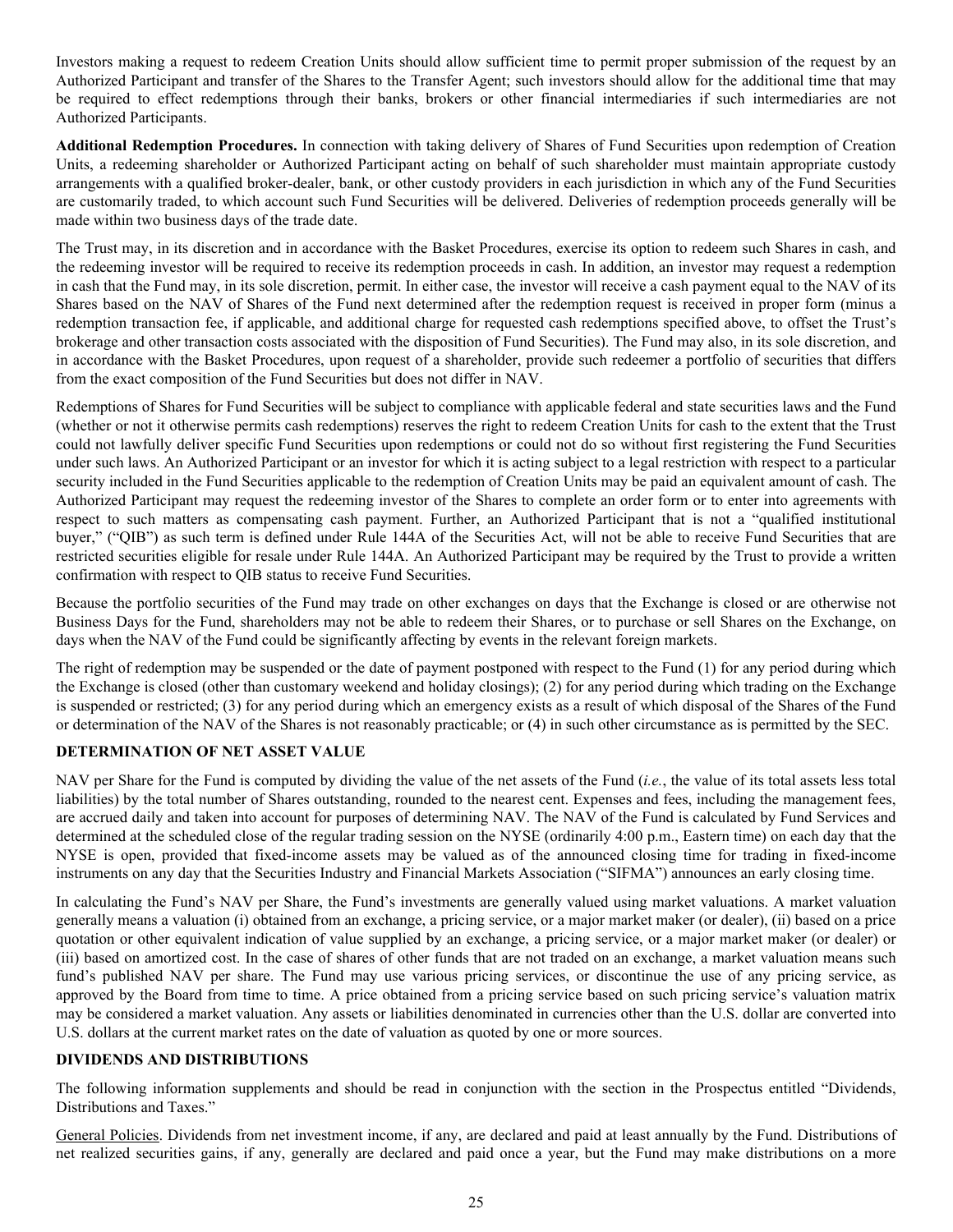<span id="page-27-0"></span>Investors making a request to redeem Creation Units should allow sufficient time to permit proper submission of the request by an Authorized Participant and transfer of the Shares to the Transfer Agent; such investors should allow for the additional time that may be required to effect redemptions through their banks, brokers or other financial intermediaries if such intermediaries are not Authorized Participants.

**Additional Redemption Procedures.** In connection with taking delivery of Shares of Fund Securities upon redemption of Creation Units, a redeeming shareholder or Authorized Participant acting on behalf of such shareholder must maintain appropriate custody arrangements with a qualified broker-dealer, bank, or other custody providers in each jurisdiction in which any of the Fund Securities are customarily traded, to which account such Fund Securities will be delivered. Deliveries of redemption proceeds generally will be made within two business days of the trade date.

The Trust may, in its discretion and in accordance with the Basket Procedures, exercise its option to redeem such Shares in cash, and the redeeming investor will be required to receive its redemption proceeds in cash. In addition, an investor may request a redemption in cash that the Fund may, in its sole discretion, permit. In either case, the investor will receive a cash payment equal to the NAV of its Shares based on the NAV of Shares of the Fund next determined after the redemption request is received in proper form (minus a redemption transaction fee, if applicable, and additional charge for requested cash redemptions specified above, to offset the Trust's brokerage and other transaction costs associated with the disposition of Fund Securities). The Fund may also, in its sole discretion, and in accordance with the Basket Procedures, upon request of a shareholder, provide such redeemer a portfolio of securities that differs from the exact composition of the Fund Securities but does not differ in NAV.

Redemptions of Shares for Fund Securities will be subject to compliance with applicable federal and state securities laws and the Fund (whether or not it otherwise permits cash redemptions) reserves the right to redeem Creation Units for cash to the extent that the Trust could not lawfully deliver specific Fund Securities upon redemptions or could not do so without first registering the Fund Securities under such laws. An Authorized Participant or an investor for which it is acting subject to a legal restriction with respect to a particular security included in the Fund Securities applicable to the redemption of Creation Units may be paid an equivalent amount of cash. The Authorized Participant may request the redeeming investor of the Shares to complete an order form or to enter into agreements with respect to such matters as compensating cash payment. Further, an Authorized Participant that is not a "qualified institutional buyer," ("QIB") as such term is defined under Rule 144A of the Securities Act, will not be able to receive Fund Securities that are restricted securities eligible for resale under Rule 144A. An Authorized Participant may be required by the Trust to provide a written confirmation with respect to QIB status to receive Fund Securities.

Because the portfolio securities of the Fund may trade on other exchanges on days that the Exchange is closed or are otherwise not Business Days for the Fund, shareholders may not be able to redeem their Shares, or to purchase or sell Shares on the Exchange, on days when the NAV of the Fund could be significantly affecting by events in the relevant foreign markets.

The right of redemption may be suspended or the date of payment postponed with respect to the Fund (1) for any period during which the Exchange is closed (other than customary weekend and holiday closings); (2) for any period during which trading on the Exchange is suspended or restricted; (3) for any period during which an emergency exists as a result of which disposal of the Shares of the Fund or determination of the NAV of the Shares is not reasonably practicable; or (4) in such other circumstance as is permitted by the SEC.

# **DETERMINATION OF NET ASSET VALUE**

NAV per Share for the Fund is computed by dividing the value of the net assets of the Fund (*i.e.*, the value of its total assets less total liabilities) by the total number of Shares outstanding, rounded to the nearest cent. Expenses and fees, including the management fees, are accrued daily and taken into account for purposes of determining NAV. The NAV of the Fund is calculated by Fund Services and determined at the scheduled close of the regular trading session on the NYSE (ordinarily 4:00 p.m., Eastern time) on each day that the NYSE is open, provided that fixed-income assets may be valued as of the announced closing time for trading in fixed-income instruments on any day that the Securities Industry and Financial Markets Association ("SIFMA") announces an early closing time.

In calculating the Fund's NAV per Share, the Fund's investments are generally valued using market valuations. A market valuation generally means a valuation (i) obtained from an exchange, a pricing service, or a major market maker (or dealer), (ii) based on a price quotation or other equivalent indication of value supplied by an exchange, a pricing service, or a major market maker (or dealer) or (iii) based on amortized cost. In the case of shares of other funds that are not traded on an exchange, a market valuation means such fund's published NAV per share. The Fund may use various pricing services, or discontinue the use of any pricing service, as approved by the Board from time to time. A price obtained from a pricing service based on such pricing service's valuation matrix may be considered a market valuation. Any assets or liabilities denominated in currencies other than the U.S. dollar are converted into U.S. dollars at the current market rates on the date of valuation as quoted by one or more sources.

# **DIVIDENDS AND DISTRIBUTIONS**

The following information supplements and should be read in conjunction with the section in the Prospectus entitled "Dividends, Distributions and Taxes."

General Policies. Dividends from net investment income, if any, are declared and paid at least annually by the Fund. Distributions of net realized securities gains, if any, generally are declared and paid once a year, but the Fund may make distributions on a more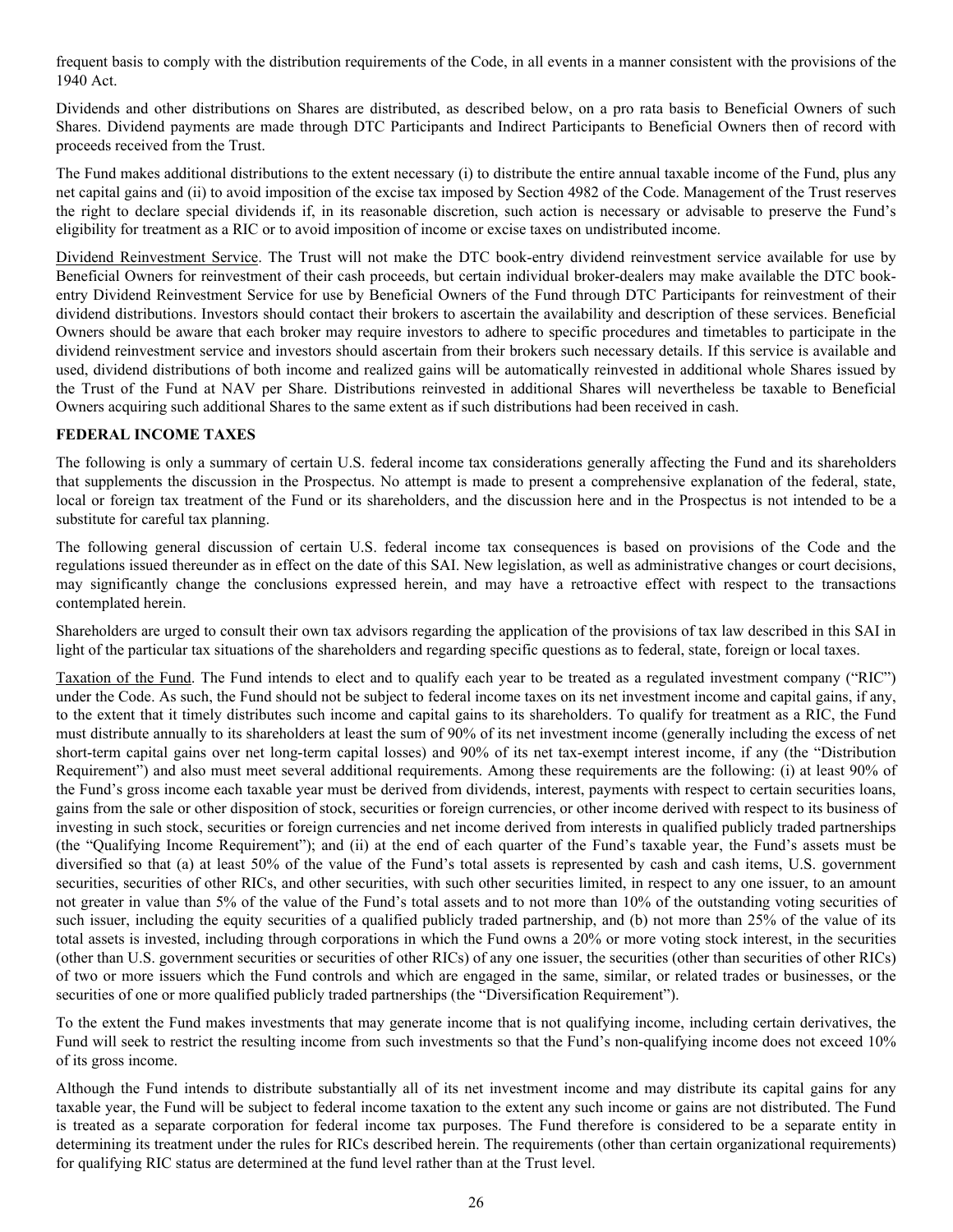<span id="page-28-0"></span>frequent basis to comply with the distribution requirements of the Code, in all events in a manner consistent with the provisions of the 1940 Act.

Dividends and other distributions on Shares are distributed, as described below, on a pro rata basis to Beneficial Owners of such Shares. Dividend payments are made through DTC Participants and Indirect Participants to Beneficial Owners then of record with proceeds received from the Trust.

The Fund makes additional distributions to the extent necessary (i) to distribute the entire annual taxable income of the Fund, plus any net capital gains and (ii) to avoid imposition of the excise tax imposed by Section 4982 of the Code. Management of the Trust reserves the right to declare special dividends if, in its reasonable discretion, such action is necessary or advisable to preserve the Fund's eligibility for treatment as a RIC or to avoid imposition of income or excise taxes on undistributed income.

Dividend Reinvestment Service. The Trust will not make the DTC book-entry dividend reinvestment service available for use by Beneficial Owners for reinvestment of their cash proceeds, but certain individual broker-dealers may make available the DTC bookentry Dividend Reinvestment Service for use by Beneficial Owners of the Fund through DTC Participants for reinvestment of their dividend distributions. Investors should contact their brokers to ascertain the availability and description of these services. Beneficial Owners should be aware that each broker may require investors to adhere to specific procedures and timetables to participate in the dividend reinvestment service and investors should ascertain from their brokers such necessary details. If this service is available and used, dividend distributions of both income and realized gains will be automatically reinvested in additional whole Shares issued by the Trust of the Fund at NAV per Share. Distributions reinvested in additional Shares will nevertheless be taxable to Beneficial Owners acquiring such additional Shares to the same extent as if such distributions had been received in cash.

# **FEDERAL INCOME TAXES**

The following is only a summary of certain U.S. federal income tax considerations generally affecting the Fund and its shareholders that supplements the discussion in the Prospectus. No attempt is made to present a comprehensive explanation of the federal, state, local or foreign tax treatment of the Fund or its shareholders, and the discussion here and in the Prospectus is not intended to be a substitute for careful tax planning.

The following general discussion of certain U.S. federal income tax consequences is based on provisions of the Code and the regulations issued thereunder as in effect on the date of this SAI. New legislation, as well as administrative changes or court decisions, may significantly change the conclusions expressed herein, and may have a retroactive effect with respect to the transactions contemplated herein.

Shareholders are urged to consult their own tax advisors regarding the application of the provisions of tax law described in this SAI in light of the particular tax situations of the shareholders and regarding specific questions as to federal, state, foreign or local taxes.

Taxation of the Fund. The Fund intends to elect and to qualify each year to be treated as a regulated investment company ("RIC") under the Code. As such, the Fund should not be subject to federal income taxes on its net investment income and capital gains, if any, to the extent that it timely distributes such income and capital gains to its shareholders. To qualify for treatment as a RIC, the Fund must distribute annually to its shareholders at least the sum of 90% of its net investment income (generally including the excess of net short-term capital gains over net long-term capital losses) and 90% of its net tax-exempt interest income, if any (the "Distribution Requirement") and also must meet several additional requirements. Among these requirements are the following: (i) at least 90% of the Fund's gross income each taxable year must be derived from dividends, interest, payments with respect to certain securities loans, gains from the sale or other disposition of stock, securities or foreign currencies, or other income derived with respect to its business of investing in such stock, securities or foreign currencies and net income derived from interests in qualified publicly traded partnerships (the "Qualifying Income Requirement"); and (ii) at the end of each quarter of the Fund's taxable year, the Fund's assets must be diversified so that (a) at least 50% of the value of the Fund's total assets is represented by cash and cash items, U.S. government securities, securities of other RICs, and other securities, with such other securities limited, in respect to any one issuer, to an amount not greater in value than 5% of the value of the Fund's total assets and to not more than 10% of the outstanding voting securities of such issuer, including the equity securities of a qualified publicly traded partnership, and (b) not more than 25% of the value of its total assets is invested, including through corporations in which the Fund owns a 20% or more voting stock interest, in the securities (other than U.S. government securities or securities of other RICs) of any one issuer, the securities (other than securities of other RICs) of two or more issuers which the Fund controls and which are engaged in the same, similar, or related trades or businesses, or the securities of one or more qualified publicly traded partnerships (the "Diversification Requirement").

To the extent the Fund makes investments that may generate income that is not qualifying income, including certain derivatives, the Fund will seek to restrict the resulting income from such investments so that the Fund's non-qualifying income does not exceed 10% of its gross income.

Although the Fund intends to distribute substantially all of its net investment income and may distribute its capital gains for any taxable year, the Fund will be subject to federal income taxation to the extent any such income or gains are not distributed. The Fund is treated as a separate corporation for federal income tax purposes. The Fund therefore is considered to be a separate entity in determining its treatment under the rules for RICs described herein. The requirements (other than certain organizational requirements) for qualifying RIC status are determined at the fund level rather than at the Trust level.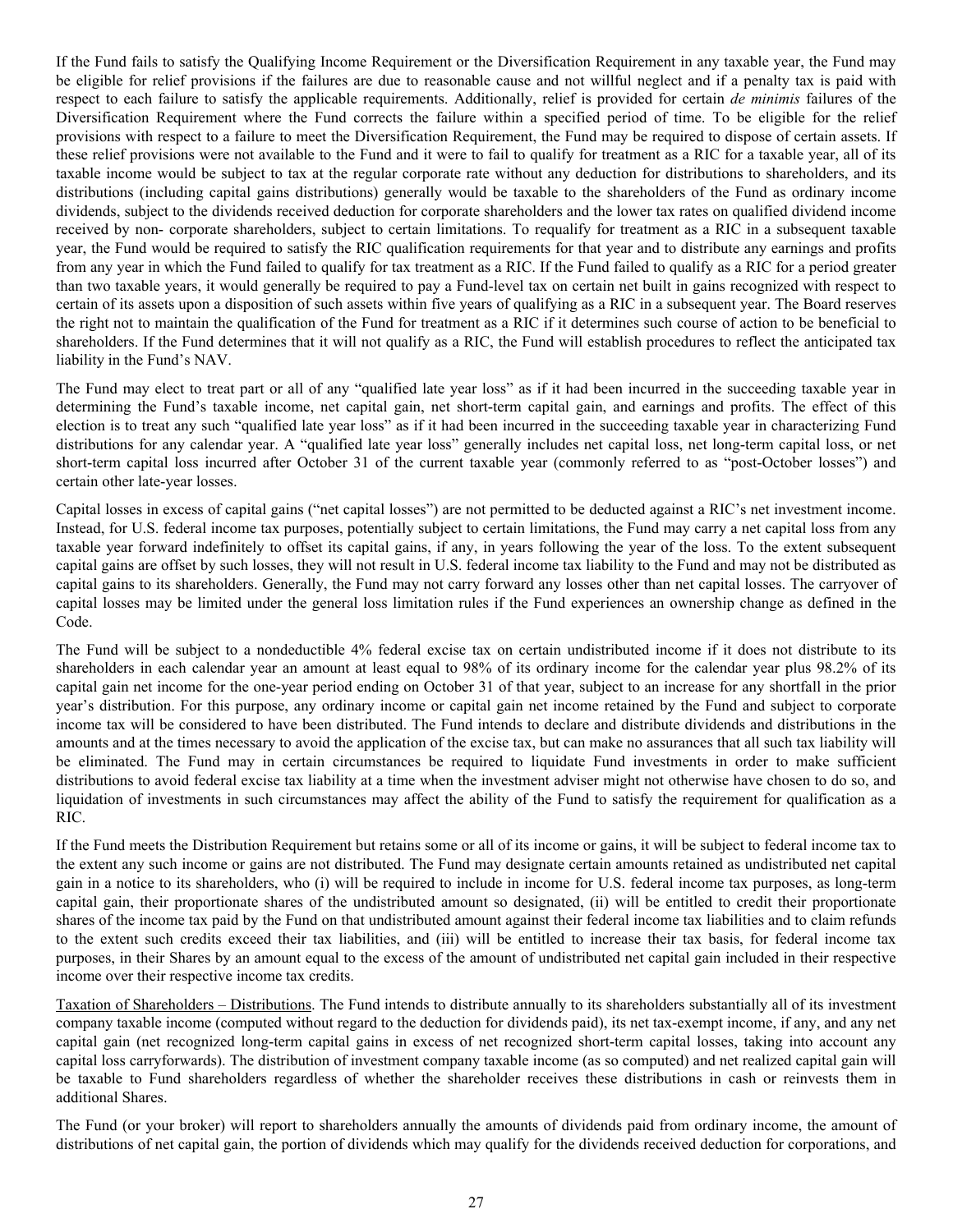If the Fund fails to satisfy the Qualifying Income Requirement or the Diversification Requirement in any taxable year, the Fund may be eligible for relief provisions if the failures are due to reasonable cause and not willful neglect and if a penalty tax is paid with respect to each failure to satisfy the applicable requirements. Additionally, relief is provided for certain *de minimis* failures of the Diversification Requirement where the Fund corrects the failure within a specified period of time. To be eligible for the relief provisions with respect to a failure to meet the Diversification Requirement, the Fund may be required to dispose of certain assets. If these relief provisions were not available to the Fund and it were to fail to qualify for treatment as a RIC for a taxable year, all of its taxable income would be subject to tax at the regular corporate rate without any deduction for distributions to shareholders, and its distributions (including capital gains distributions) generally would be taxable to the shareholders of the Fund as ordinary income dividends, subject to the dividends received deduction for corporate shareholders and the lower tax rates on qualified dividend income received by non- corporate shareholders, subject to certain limitations. To requalify for treatment as a RIC in a subsequent taxable year, the Fund would be required to satisfy the RIC qualification requirements for that year and to distribute any earnings and profits from any year in which the Fund failed to qualify for tax treatment as a RIC. If the Fund failed to qualify as a RIC for a period greater than two taxable years, it would generally be required to pay a Fund-level tax on certain net built in gains recognized with respect to certain of its assets upon a disposition of such assets within five years of qualifying as a RIC in a subsequent year. The Board reserves the right not to maintain the qualification of the Fund for treatment as a RIC if it determines such course of action to be beneficial to shareholders. If the Fund determines that it will not qualify as a RIC, the Fund will establish procedures to reflect the anticipated tax liability in the Fund's NAV.

The Fund may elect to treat part or all of any "qualified late year loss" as if it had been incurred in the succeeding taxable year in determining the Fund's taxable income, net capital gain, net short-term capital gain, and earnings and profits. The effect of this election is to treat any such "qualified late year loss" as if it had been incurred in the succeeding taxable year in characterizing Fund distributions for any calendar year. A "qualified late year loss" generally includes net capital loss, net long-term capital loss, or net short-term capital loss incurred after October 31 of the current taxable year (commonly referred to as "post-October losses") and certain other late-year losses.

Capital losses in excess of capital gains ("net capital losses") are not permitted to be deducted against a RIC's net investment income. Instead, for U.S. federal income tax purposes, potentially subject to certain limitations, the Fund may carry a net capital loss from any taxable year forward indefinitely to offset its capital gains, if any, in years following the year of the loss. To the extent subsequent capital gains are offset by such losses, they will not result in U.S. federal income tax liability to the Fund and may not be distributed as capital gains to its shareholders. Generally, the Fund may not carry forward any losses other than net capital losses. The carryover of capital losses may be limited under the general loss limitation rules if the Fund experiences an ownership change as defined in the Code.

The Fund will be subject to a nondeductible 4% federal excise tax on certain undistributed income if it does not distribute to its shareholders in each calendar year an amount at least equal to 98% of its ordinary income for the calendar year plus 98.2% of its capital gain net income for the one-year period ending on October 31 of that year, subject to an increase for any shortfall in the prior year's distribution. For this purpose, any ordinary income or capital gain net income retained by the Fund and subject to corporate income tax will be considered to have been distributed. The Fund intends to declare and distribute dividends and distributions in the amounts and at the times necessary to avoid the application of the excise tax, but can make no assurances that all such tax liability will be eliminated. The Fund may in certain circumstances be required to liquidate Fund investments in order to make sufficient distributions to avoid federal excise tax liability at a time when the investment adviser might not otherwise have chosen to do so, and liquidation of investments in such circumstances may affect the ability of the Fund to satisfy the requirement for qualification as a RIC.

If the Fund meets the Distribution Requirement but retains some or all of its income or gains, it will be subject to federal income tax to the extent any such income or gains are not distributed. The Fund may designate certain amounts retained as undistributed net capital gain in a notice to its shareholders, who (i) will be required to include in income for U.S. federal income tax purposes, as long-term capital gain, their proportionate shares of the undistributed amount so designated, (ii) will be entitled to credit their proportionate shares of the income tax paid by the Fund on that undistributed amount against their federal income tax liabilities and to claim refunds to the extent such credits exceed their tax liabilities, and (iii) will be entitled to increase their tax basis, for federal income tax purposes, in their Shares by an amount equal to the excess of the amount of undistributed net capital gain included in their respective income over their respective income tax credits.

Taxation of Shareholders – Distributions. The Fund intends to distribute annually to its shareholders substantially all of its investment company taxable income (computed without regard to the deduction for dividends paid), its net tax-exempt income, if any, and any net capital gain (net recognized long-term capital gains in excess of net recognized short-term capital losses, taking into account any capital loss carryforwards). The distribution of investment company taxable income (as so computed) and net realized capital gain will be taxable to Fund shareholders regardless of whether the shareholder receives these distributions in cash or reinvests them in additional Shares.

The Fund (or your broker) will report to shareholders annually the amounts of dividends paid from ordinary income, the amount of distributions of net capital gain, the portion of dividends which may qualify for the dividends received deduction for corporations, and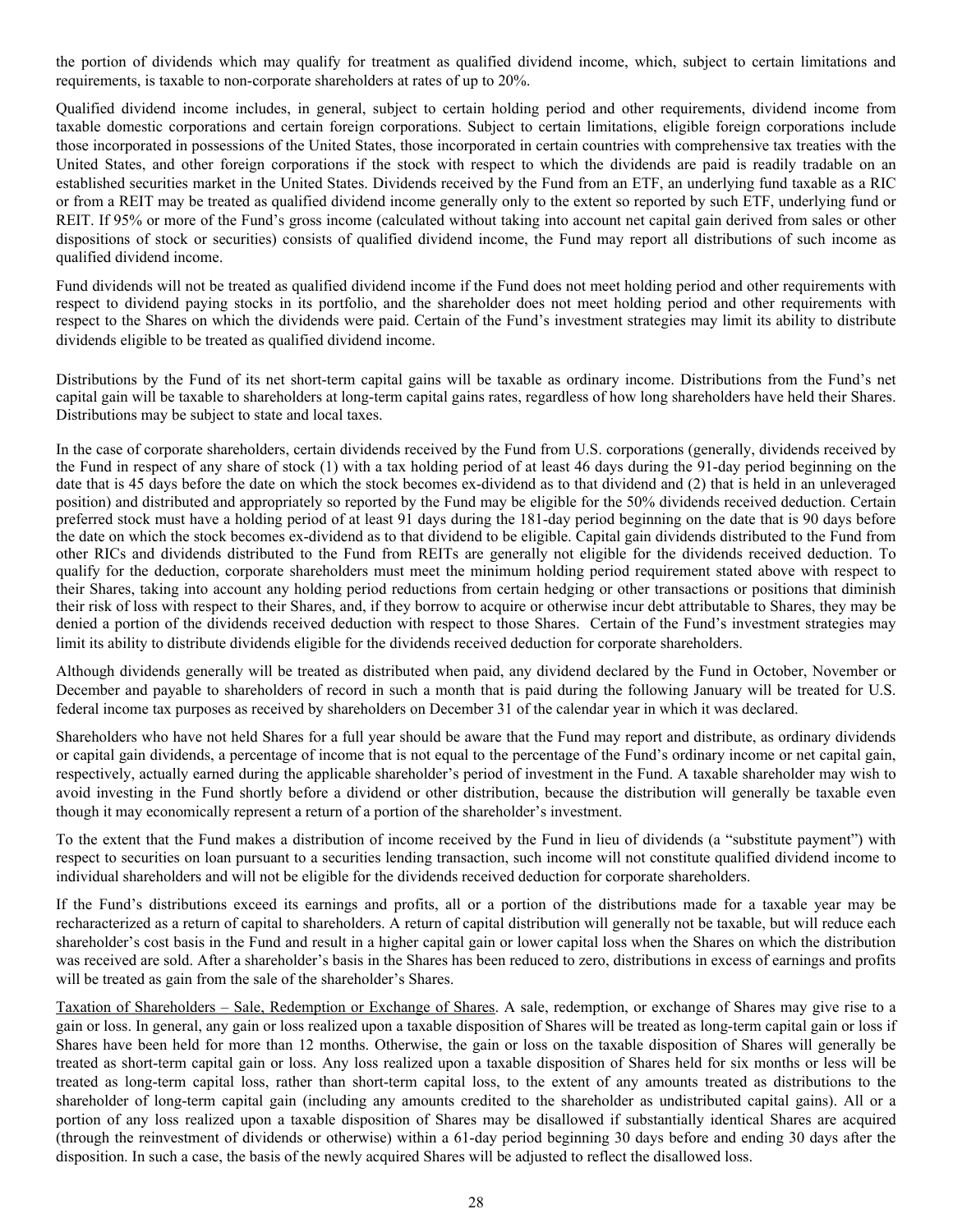the portion of dividends which may qualify for treatment as qualified dividend income, which, subject to certain limitations and requirements, is taxable to non-corporate shareholders at rates of up to 20%.

Qualified dividend income includes, in general, subject to certain holding period and other requirements, dividend income from taxable domestic corporations and certain foreign corporations. Subject to certain limitations, eligible foreign corporations include those incorporated in possessions of the United States, those incorporated in certain countries with comprehensive tax treaties with the United States, and other foreign corporations if the stock with respect to which the dividends are paid is readily tradable on an established securities market in the United States. Dividends received by the Fund from an ETF, an underlying fund taxable as a RIC or from a REIT may be treated as qualified dividend income generally only to the extent so reported by such ETF, underlying fund or REIT. If 95% or more of the Fund's gross income (calculated without taking into account net capital gain derived from sales or other dispositions of stock or securities) consists of qualified dividend income, the Fund may report all distributions of such income as qualified dividend income.

Fund dividends will not be treated as qualified dividend income if the Fund does not meet holding period and other requirements with respect to dividend paying stocks in its portfolio, and the shareholder does not meet holding period and other requirements with respect to the Shares on which the dividends were paid. Certain of the Fund's investment strategies may limit its ability to distribute dividends eligible to be treated as qualified dividend income.

Distributions by the Fund of its net short-term capital gains will be taxable as ordinary income. Distributions from the Fund's net capital gain will be taxable to shareholders at long-term capital gains rates, regardless of how long shareholders have held their Shares. Distributions may be subject to state and local taxes.

In the case of corporate shareholders, certain dividends received by the Fund from U.S. corporations (generally, dividends received by the Fund in respect of any share of stock (1) with a tax holding period of at least 46 days during the 91-day period beginning on the date that is 45 days before the date on which the stock becomes ex-dividend as to that dividend and (2) that is held in an unleveraged position) and distributed and appropriately so reported by the Fund may be eligible for the 50% dividends received deduction. Certain preferred stock must have a holding period of at least 91 days during the 181-day period beginning on the date that is 90 days before the date on which the stock becomes ex-dividend as to that dividend to be eligible. Capital gain dividends distributed to the Fund from other RICs and dividends distributed to the Fund from REITs are generally not eligible for the dividends received deduction. To qualify for the deduction, corporate shareholders must meet the minimum holding period requirement stated above with respect to their Shares, taking into account any holding period reductions from certain hedging or other transactions or positions that diminish their risk of loss with respect to their Shares, and, if they borrow to acquire or otherwise incur debt attributable to Shares, they may be denied a portion of the dividends received deduction with respect to those Shares. Certain of the Fund's investment strategies may limit its ability to distribute dividends eligible for the dividends received deduction for corporate shareholders.

Although dividends generally will be treated as distributed when paid, any dividend declared by the Fund in October, November or December and payable to shareholders of record in such a month that is paid during the following January will be treated for U.S. federal income tax purposes as received by shareholders on December 31 of the calendar year in which it was declared.

Shareholders who have not held Shares for a full year should be aware that the Fund may report and distribute, as ordinary dividends or capital gain dividends, a percentage of income that is not equal to the percentage of the Fund's ordinary income or net capital gain, respectively, actually earned during the applicable shareholder's period of investment in the Fund. A taxable shareholder may wish to avoid investing in the Fund shortly before a dividend or other distribution, because the distribution will generally be taxable even though it may economically represent a return of a portion of the shareholder's investment.

To the extent that the Fund makes a distribution of income received by the Fund in lieu of dividends (a "substitute payment") with respect to securities on loan pursuant to a securities lending transaction, such income will not constitute qualified dividend income to individual shareholders and will not be eligible for the dividends received deduction for corporate shareholders.

If the Fund's distributions exceed its earnings and profits, all or a portion of the distributions made for a taxable year may be recharacterized as a return of capital to shareholders. A return of capital distribution will generally not be taxable, but will reduce each shareholder's cost basis in the Fund and result in a higher capital gain or lower capital loss when the Shares on which the distribution was received are sold. After a shareholder's basis in the Shares has been reduced to zero, distributions in excess of earnings and profits will be treated as gain from the sale of the shareholder's Shares.

Taxation of Shareholders – Sale, Redemption or Exchange of Shares. A sale, redemption, or exchange of Shares may give rise to a gain or loss. In general, any gain or loss realized upon a taxable disposition of Shares will be treated as long-term capital gain or loss if Shares have been held for more than 12 months. Otherwise, the gain or loss on the taxable disposition of Shares will generally be treated as short-term capital gain or loss. Any loss realized upon a taxable disposition of Shares held for six months or less will be treated as long-term capital loss, rather than short-term capital loss, to the extent of any amounts treated as distributions to the shareholder of long-term capital gain (including any amounts credited to the shareholder as undistributed capital gains). All or a portion of any loss realized upon a taxable disposition of Shares may be disallowed if substantially identical Shares are acquired (through the reinvestment of dividends or otherwise) within a 61-day period beginning 30 days before and ending 30 days after the disposition. In such a case, the basis of the newly acquired Shares will be adjusted to reflect the disallowed loss.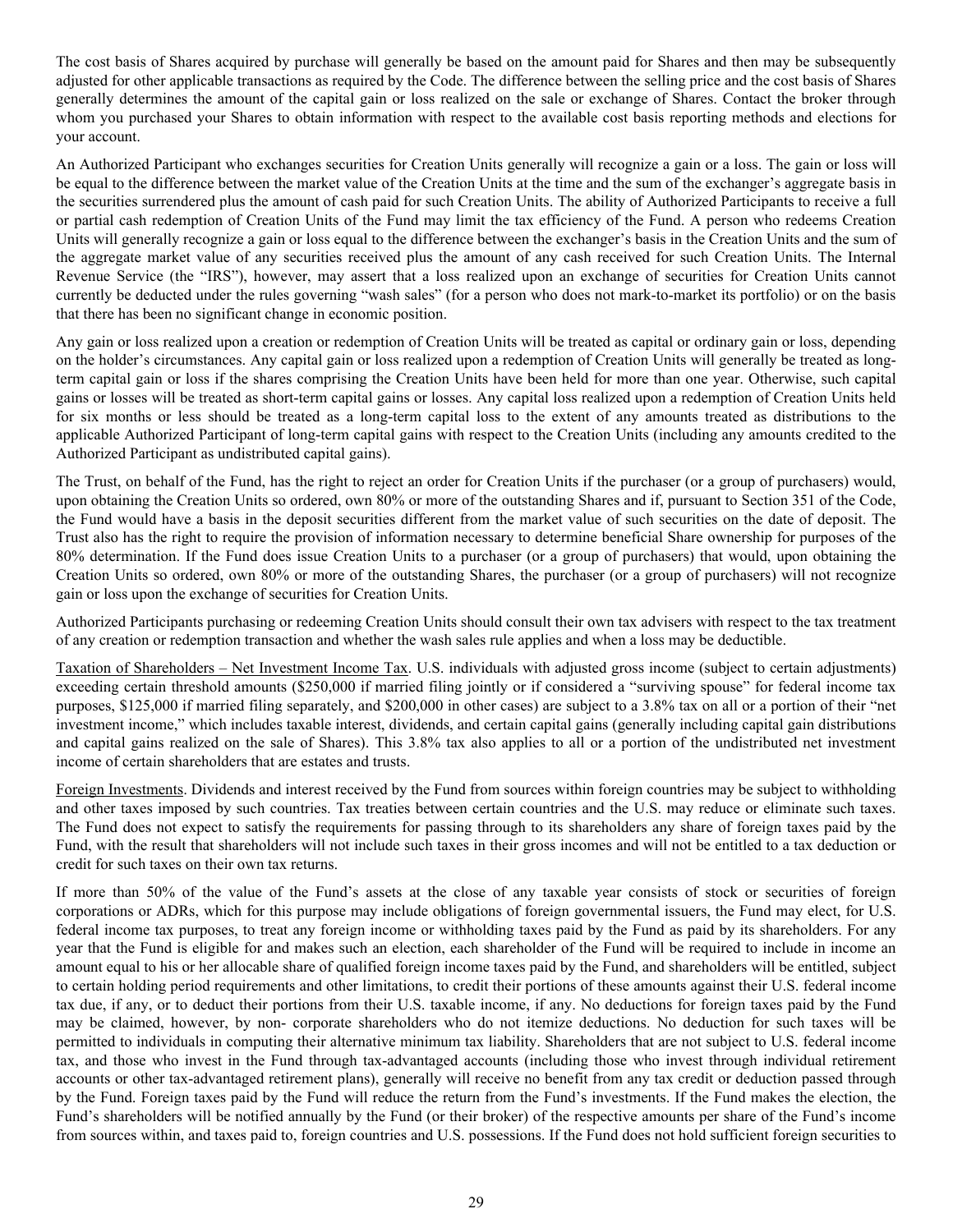The cost basis of Shares acquired by purchase will generally be based on the amount paid for Shares and then may be subsequently adjusted for other applicable transactions as required by the Code. The difference between the selling price and the cost basis of Shares generally determines the amount of the capital gain or loss realized on the sale or exchange of Shares. Contact the broker through whom you purchased your Shares to obtain information with respect to the available cost basis reporting methods and elections for your account.

An Authorized Participant who exchanges securities for Creation Units generally will recognize a gain or a loss. The gain or loss will be equal to the difference between the market value of the Creation Units at the time and the sum of the exchanger's aggregate basis in the securities surrendered plus the amount of cash paid for such Creation Units. The ability of Authorized Participants to receive a full or partial cash redemption of Creation Units of the Fund may limit the tax efficiency of the Fund. A person who redeems Creation Units will generally recognize a gain or loss equal to the difference between the exchanger's basis in the Creation Units and the sum of the aggregate market value of any securities received plus the amount of any cash received for such Creation Units. The Internal Revenue Service (the "IRS"), however, may assert that a loss realized upon an exchange of securities for Creation Units cannot currently be deducted under the rules governing "wash sales" (for a person who does not mark-to-market its portfolio) or on the basis that there has been no significant change in economic position.

Any gain or loss realized upon a creation or redemption of Creation Units will be treated as capital or ordinary gain or loss, depending on the holder's circumstances. Any capital gain or loss realized upon a redemption of Creation Units will generally be treated as longterm capital gain or loss if the shares comprising the Creation Units have been held for more than one year. Otherwise, such capital gains or losses will be treated as short-term capital gains or losses. Any capital loss realized upon a redemption of Creation Units held for six months or less should be treated as a long-term capital loss to the extent of any amounts treated as distributions to the applicable Authorized Participant of long-term capital gains with respect to the Creation Units (including any amounts credited to the Authorized Participant as undistributed capital gains).

The Trust, on behalf of the Fund, has the right to reject an order for Creation Units if the purchaser (or a group of purchasers) would, upon obtaining the Creation Units so ordered, own 80% or more of the outstanding Shares and if, pursuant to Section 351 of the Code, the Fund would have a basis in the deposit securities different from the market value of such securities on the date of deposit. The Trust also has the right to require the provision of information necessary to determine beneficial Share ownership for purposes of the 80% determination. If the Fund does issue Creation Units to a purchaser (or a group of purchasers) that would, upon obtaining the Creation Units so ordered, own 80% or more of the outstanding Shares, the purchaser (or a group of purchasers) will not recognize gain or loss upon the exchange of securities for Creation Units.

Authorized Participants purchasing or redeeming Creation Units should consult their own tax advisers with respect to the tax treatment of any creation or redemption transaction and whether the wash sales rule applies and when a loss may be deductible.

Taxation of Shareholders – Net Investment Income Tax. U.S. individuals with adjusted gross income (subject to certain adjustments) exceeding certain threshold amounts (\$250,000 if married filing jointly or if considered a "surviving spouse" for federal income tax purposes, \$125,000 if married filing separately, and \$200,000 in other cases) are subject to a 3.8% tax on all or a portion of their "net investment income," which includes taxable interest, dividends, and certain capital gains (generally including capital gain distributions and capital gains realized on the sale of Shares). This 3.8% tax also applies to all or a portion of the undistributed net investment income of certain shareholders that are estates and trusts.

Foreign Investments. Dividends and interest received by the Fund from sources within foreign countries may be subject to withholding and other taxes imposed by such countries. Tax treaties between certain countries and the U.S. may reduce or eliminate such taxes. The Fund does not expect to satisfy the requirements for passing through to its shareholders any share of foreign taxes paid by the Fund, with the result that shareholders will not include such taxes in their gross incomes and will not be entitled to a tax deduction or credit for such taxes on their own tax returns.

If more than 50% of the value of the Fund's assets at the close of any taxable year consists of stock or securities of foreign corporations or ADRs, which for this purpose may include obligations of foreign governmental issuers, the Fund may elect, for U.S. federal income tax purposes, to treat any foreign income or withholding taxes paid by the Fund as paid by its shareholders. For any year that the Fund is eligible for and makes such an election, each shareholder of the Fund will be required to include in income an amount equal to his or her allocable share of qualified foreign income taxes paid by the Fund, and shareholders will be entitled, subject to certain holding period requirements and other limitations, to credit their portions of these amounts against their U.S. federal income tax due, if any, or to deduct their portions from their U.S. taxable income, if any. No deductions for foreign taxes paid by the Fund may be claimed, however, by non- corporate shareholders who do not itemize deductions. No deduction for such taxes will be permitted to individuals in computing their alternative minimum tax liability. Shareholders that are not subject to U.S. federal income tax, and those who invest in the Fund through tax-advantaged accounts (including those who invest through individual retirement accounts or other tax-advantaged retirement plans), generally will receive no benefit from any tax credit or deduction passed through by the Fund. Foreign taxes paid by the Fund will reduce the return from the Fund's investments. If the Fund makes the election, the Fund's shareholders will be notified annually by the Fund (or their broker) of the respective amounts per share of the Fund's income from sources within, and taxes paid to, foreign countries and U.S. possessions. If the Fund does not hold sufficient foreign securities to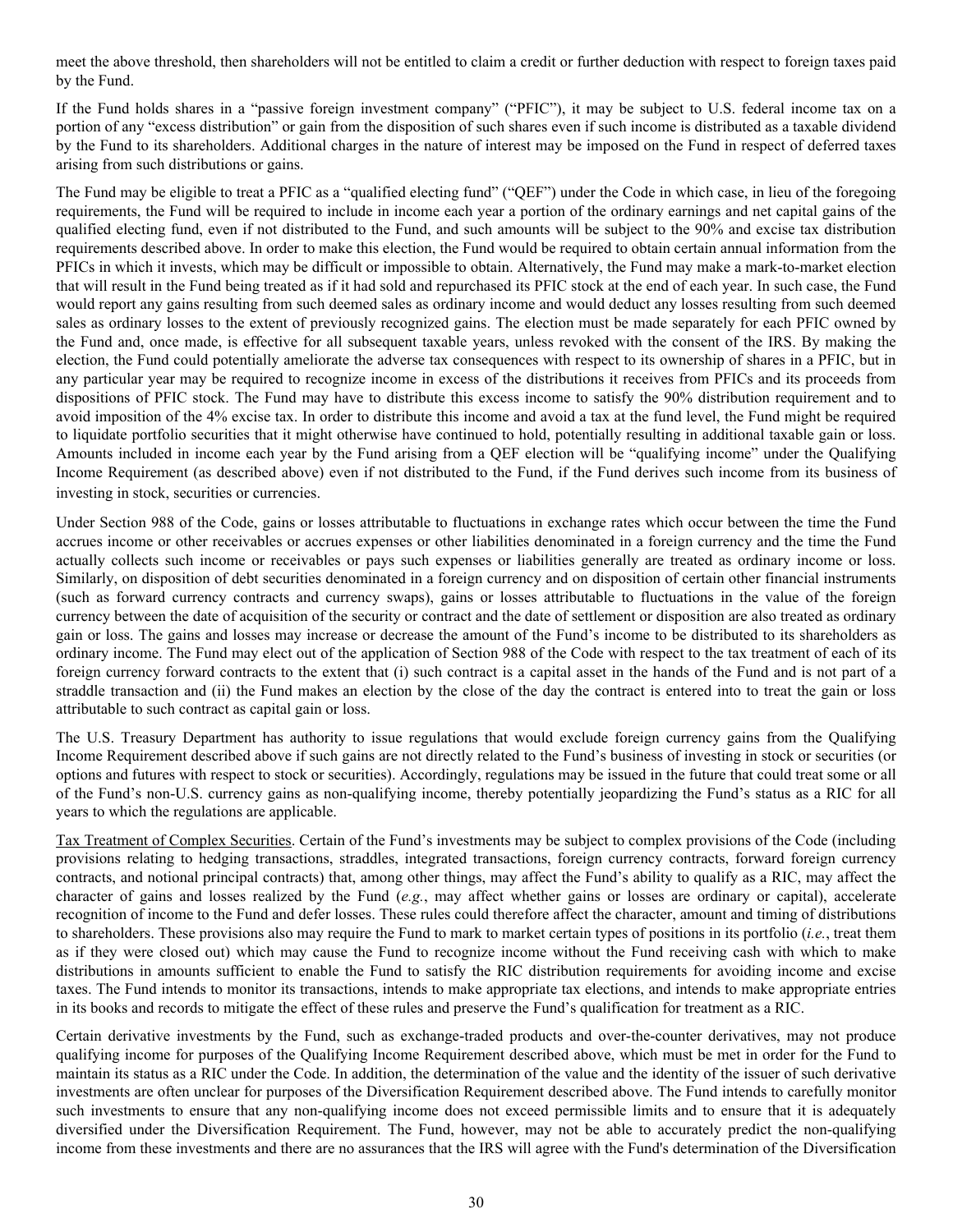meet the above threshold, then shareholders will not be entitled to claim a credit or further deduction with respect to foreign taxes paid by the Fund.

If the Fund holds shares in a "passive foreign investment company" ("PFIC"), it may be subject to U.S. federal income tax on a portion of any "excess distribution" or gain from the disposition of such shares even if such income is distributed as a taxable dividend by the Fund to its shareholders. Additional charges in the nature of interest may be imposed on the Fund in respect of deferred taxes arising from such distributions or gains.

The Fund may be eligible to treat a PFIC as a "qualified electing fund" ("QEF") under the Code in which case, in lieu of the foregoing requirements, the Fund will be required to include in income each year a portion of the ordinary earnings and net capital gains of the qualified electing fund, even if not distributed to the Fund, and such amounts will be subject to the 90% and excise tax distribution requirements described above. In order to make this election, the Fund would be required to obtain certain annual information from the PFICs in which it invests, which may be difficult or impossible to obtain. Alternatively, the Fund may make a mark-to-market election that will result in the Fund being treated as if it had sold and repurchased its PFIC stock at the end of each year. In such case, the Fund would report any gains resulting from such deemed sales as ordinary income and would deduct any losses resulting from such deemed sales as ordinary losses to the extent of previously recognized gains. The election must be made separately for each PFIC owned by the Fund and, once made, is effective for all subsequent taxable years, unless revoked with the consent of the IRS. By making the election, the Fund could potentially ameliorate the adverse tax consequences with respect to its ownership of shares in a PFIC, but in any particular year may be required to recognize income in excess of the distributions it receives from PFICs and its proceeds from dispositions of PFIC stock. The Fund may have to distribute this excess income to satisfy the 90% distribution requirement and to avoid imposition of the 4% excise tax. In order to distribute this income and avoid a tax at the fund level, the Fund might be required to liquidate portfolio securities that it might otherwise have continued to hold, potentially resulting in additional taxable gain or loss. Amounts included in income each year by the Fund arising from a QEF election will be "qualifying income" under the Qualifying Income Requirement (as described above) even if not distributed to the Fund, if the Fund derives such income from its business of investing in stock, securities or currencies.

Under Section 988 of the Code, gains or losses attributable to fluctuations in exchange rates which occur between the time the Fund accrues income or other receivables or accrues expenses or other liabilities denominated in a foreign currency and the time the Fund actually collects such income or receivables or pays such expenses or liabilities generally are treated as ordinary income or loss. Similarly, on disposition of debt securities denominated in a foreign currency and on disposition of certain other financial instruments (such as forward currency contracts and currency swaps), gains or losses attributable to fluctuations in the value of the foreign currency between the date of acquisition of the security or contract and the date of settlement or disposition are also treated as ordinary gain or loss. The gains and losses may increase or decrease the amount of the Fund's income to be distributed to its shareholders as ordinary income. The Fund may elect out of the application of Section 988 of the Code with respect to the tax treatment of each of its foreign currency forward contracts to the extent that (i) such contract is a capital asset in the hands of the Fund and is not part of a straddle transaction and (ii) the Fund makes an election by the close of the day the contract is entered into to treat the gain or loss attributable to such contract as capital gain or loss.

The U.S. Treasury Department has authority to issue regulations that would exclude foreign currency gains from the Qualifying Income Requirement described above if such gains are not directly related to the Fund's business of investing in stock or securities (or options and futures with respect to stock or securities). Accordingly, regulations may be issued in the future that could treat some or all of the Fund's non-U.S. currency gains as non-qualifying income, thereby potentially jeopardizing the Fund's status as a RIC for all years to which the regulations are applicable.

Tax Treatment of Complex Securities. Certain of the Fund's investments may be subject to complex provisions of the Code (including provisions relating to hedging transactions, straddles, integrated transactions, foreign currency contracts, forward foreign currency contracts, and notional principal contracts) that, among other things, may affect the Fund's ability to qualify as a RIC, may affect the character of gains and losses realized by the Fund (*e.g.*, may affect whether gains or losses are ordinary or capital), accelerate recognition of income to the Fund and defer losses. These rules could therefore affect the character, amount and timing of distributions to shareholders. These provisions also may require the Fund to mark to market certain types of positions in its portfolio (*i.e.*, treat them as if they were closed out) which may cause the Fund to recognize income without the Fund receiving cash with which to make distributions in amounts sufficient to enable the Fund to satisfy the RIC distribution requirements for avoiding income and excise taxes. The Fund intends to monitor its transactions, intends to make appropriate tax elections, and intends to make appropriate entries in its books and records to mitigate the effect of these rules and preserve the Fund's qualification for treatment as a RIC.

Certain derivative investments by the Fund, such as exchange-traded products and over-the-counter derivatives, may not produce qualifying income for purposes of the Qualifying Income Requirement described above, which must be met in order for the Fund to maintain its status as a RIC under the Code. In addition, the determination of the value and the identity of the issuer of such derivative investments are often unclear for purposes of the Diversification Requirement described above. The Fund intends to carefully monitor such investments to ensure that any non-qualifying income does not exceed permissible limits and to ensure that it is adequately diversified under the Diversification Requirement. The Fund, however, may not be able to accurately predict the non-qualifying income from these investments and there are no assurances that the IRS will agree with the Fund's determination of the Diversification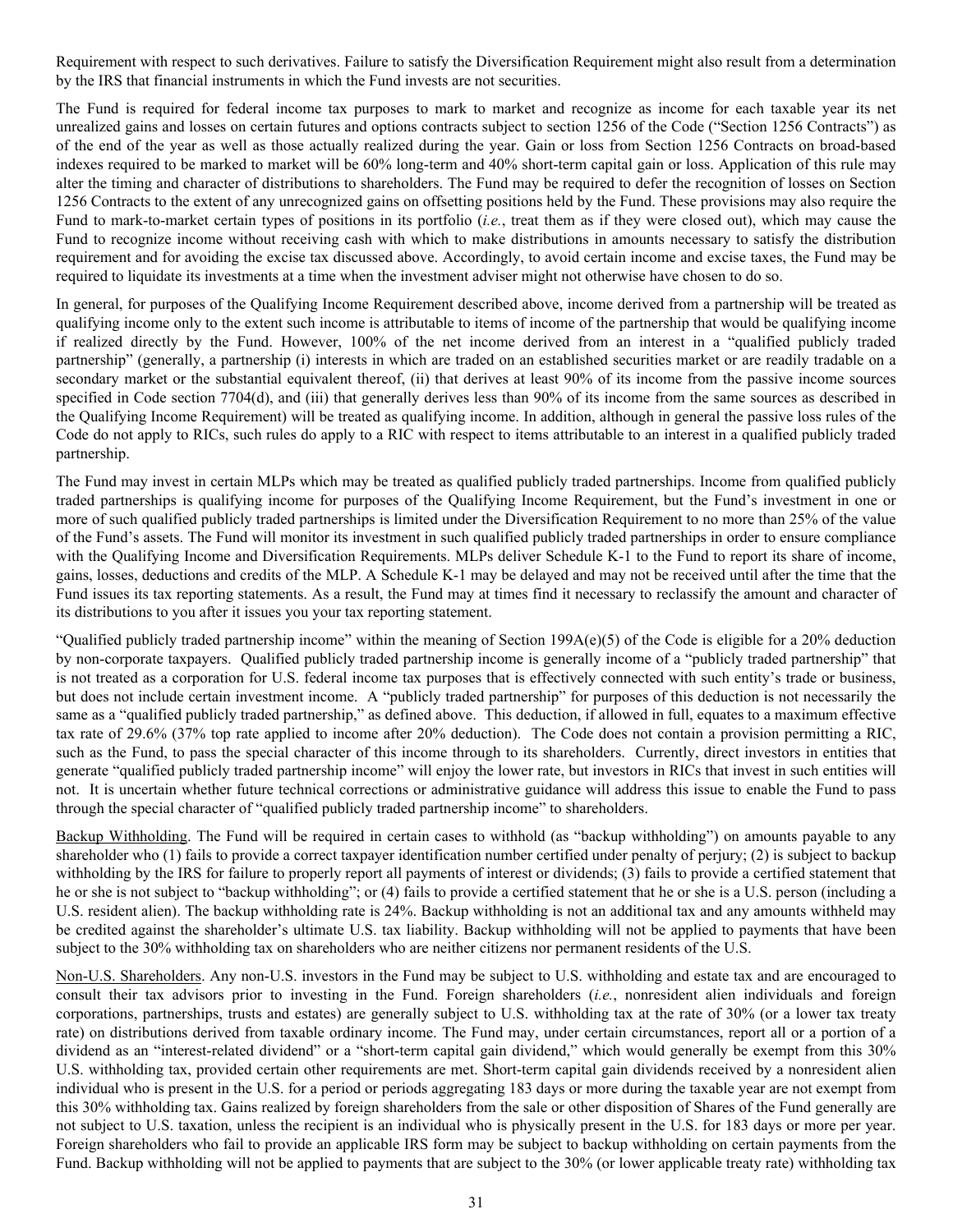Requirement with respect to such derivatives. Failure to satisfy the Diversification Requirement might also result from a determination by the IRS that financial instruments in which the Fund invests are not securities.

The Fund is required for federal income tax purposes to mark to market and recognize as income for each taxable year its net unrealized gains and losses on certain futures and options contracts subject to section 1256 of the Code ("Section 1256 Contracts") as of the end of the year as well as those actually realized during the year. Gain or loss from Section 1256 Contracts on broad-based indexes required to be marked to market will be 60% long-term and 40% short-term capital gain or loss. Application of this rule may alter the timing and character of distributions to shareholders. The Fund may be required to defer the recognition of losses on Section 1256 Contracts to the extent of any unrecognized gains on offsetting positions held by the Fund. These provisions may also require the Fund to mark-to-market certain types of positions in its portfolio (*i.e.*, treat them as if they were closed out), which may cause the Fund to recognize income without receiving cash with which to make distributions in amounts necessary to satisfy the distribution requirement and for avoiding the excise tax discussed above. Accordingly, to avoid certain income and excise taxes, the Fund may be required to liquidate its investments at a time when the investment adviser might not otherwise have chosen to do so.

In general, for purposes of the Qualifying Income Requirement described above, income derived from a partnership will be treated as qualifying income only to the extent such income is attributable to items of income of the partnership that would be qualifying income if realized directly by the Fund. However, 100% of the net income derived from an interest in a "qualified publicly traded partnership" (generally, a partnership (i) interests in which are traded on an established securities market or are readily tradable on a secondary market or the substantial equivalent thereof, (ii) that derives at least 90% of its income from the passive income sources specified in Code section 7704(d), and (iii) that generally derives less than 90% of its income from the same sources as described in the Qualifying Income Requirement) will be treated as qualifying income. In addition, although in general the passive loss rules of the Code do not apply to RICs, such rules do apply to a RIC with respect to items attributable to an interest in a qualified publicly traded partnership.

The Fund may invest in certain MLPs which may be treated as qualified publicly traded partnerships. Income from qualified publicly traded partnerships is qualifying income for purposes of the Qualifying Income Requirement, but the Fund's investment in one or more of such qualified publicly traded partnerships is limited under the Diversification Requirement to no more than 25% of the value of the Fund's assets. The Fund will monitor its investment in such qualified publicly traded partnerships in order to ensure compliance with the Qualifying Income and Diversification Requirements. MLPs deliver Schedule K-1 to the Fund to report its share of income, gains, losses, deductions and credits of the MLP. A Schedule K-1 may be delayed and may not be received until after the time that the Fund issues its tax reporting statements. As a result, the Fund may at times find it necessary to reclassify the amount and character of its distributions to you after it issues you your tax reporting statement.

"Qualified publicly traded partnership income" within the meaning of Section 199A(e)(5) of the Code is eligible for a 20% deduction by non-corporate taxpayers. Qualified publicly traded partnership income is generally income of a "publicly traded partnership" that is not treated as a corporation for U.S. federal income tax purposes that is effectively connected with such entity's trade or business, but does not include certain investment income. A "publicly traded partnership" for purposes of this deduction is not necessarily the same as a "qualified publicly traded partnership," as defined above. This deduction, if allowed in full, equates to a maximum effective tax rate of 29.6% (37% top rate applied to income after 20% deduction). The Code does not contain a provision permitting a RIC, such as the Fund, to pass the special character of this income through to its shareholders. Currently, direct investors in entities that generate "qualified publicly traded partnership income" will enjoy the lower rate, but investors in RICs that invest in such entities will not. It is uncertain whether future technical corrections or administrative guidance will address this issue to enable the Fund to pass through the special character of "qualified publicly traded partnership income" to shareholders.

Backup Withholding. The Fund will be required in certain cases to withhold (as "backup withholding") on amounts payable to any shareholder who (1) fails to provide a correct taxpayer identification number certified under penalty of perjury; (2) is subject to backup withholding by the IRS for failure to properly report all payments of interest or dividends; (3) fails to provide a certified statement that he or she is not subject to "backup withholding"; or (4) fails to provide a certified statement that he or she is a U.S. person (including a U.S. resident alien). The backup withholding rate is 24%. Backup withholding is not an additional tax and any amounts withheld may be credited against the shareholder's ultimate U.S. tax liability. Backup withholding will not be applied to payments that have been subject to the 30% withholding tax on shareholders who are neither citizens nor permanent residents of the U.S.

Non-U.S. Shareholders. Any non-U.S. investors in the Fund may be subject to U.S. withholding and estate tax and are encouraged to consult their tax advisors prior to investing in the Fund. Foreign shareholders (*i.e.*, nonresident alien individuals and foreign corporations, partnerships, trusts and estates) are generally subject to U.S. withholding tax at the rate of 30% (or a lower tax treaty rate) on distributions derived from taxable ordinary income. The Fund may, under certain circumstances, report all or a portion of a dividend as an "interest-related dividend" or a "short-term capital gain dividend," which would generally be exempt from this 30% U.S. withholding tax, provided certain other requirements are met. Short-term capital gain dividends received by a nonresident alien individual who is present in the U.S. for a period or periods aggregating 183 days or more during the taxable year are not exempt from this 30% withholding tax. Gains realized by foreign shareholders from the sale or other disposition of Shares of the Fund generally are not subject to U.S. taxation, unless the recipient is an individual who is physically present in the U.S. for 183 days or more per year. Foreign shareholders who fail to provide an applicable IRS form may be subject to backup withholding on certain payments from the Fund. Backup withholding will not be applied to payments that are subject to the 30% (or lower applicable treaty rate) withholding tax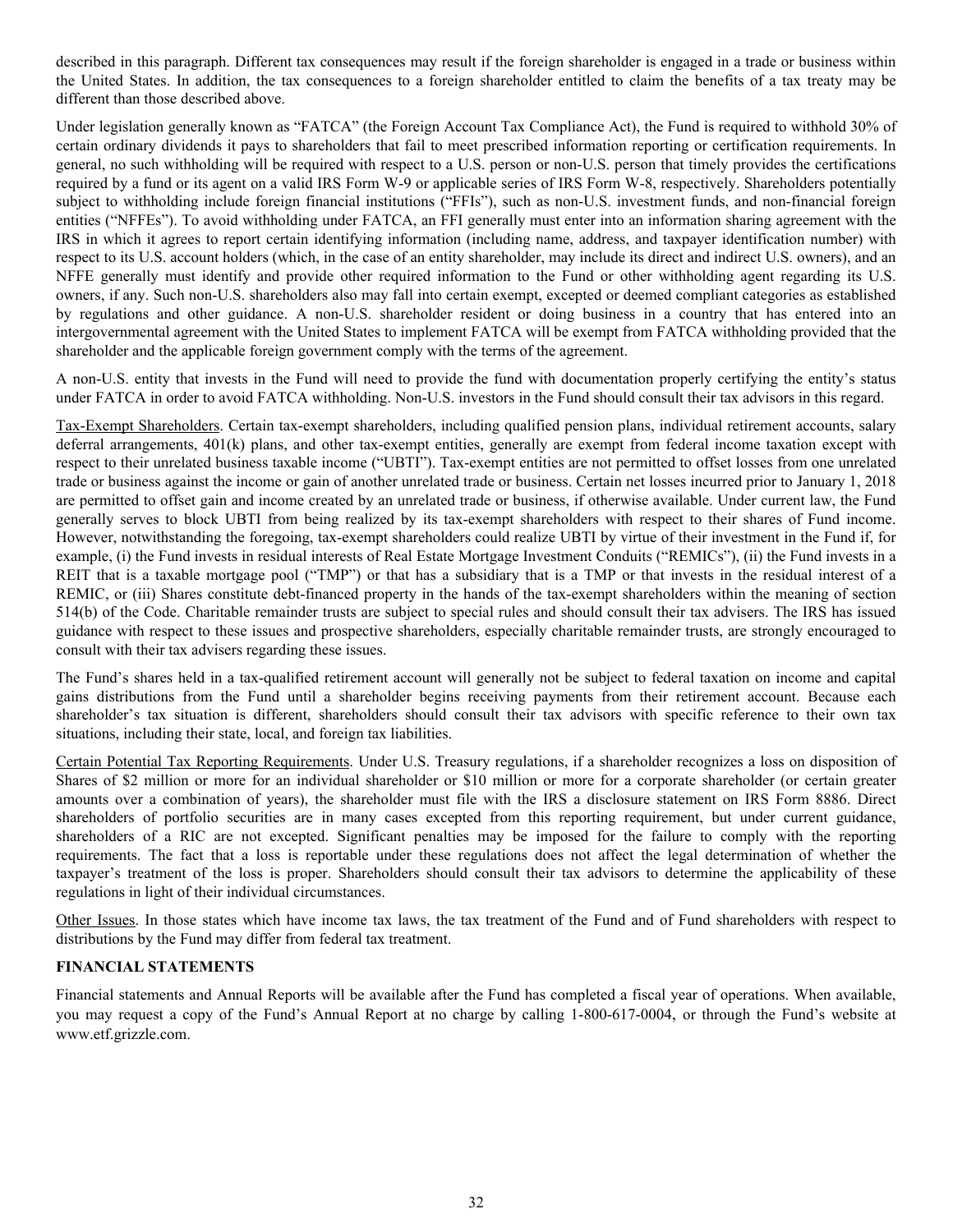<span id="page-34-0"></span>described in this paragraph. Different tax consequences may result if the foreign shareholder is engaged in a trade or business within the United States. In addition, the tax consequences to a foreign shareholder entitled to claim the benefits of a tax treaty may be different than those described above.

Under legislation generally known as "FATCA" (the Foreign Account Tax Compliance Act), the Fund is required to withhold 30% of certain ordinary dividends it pays to shareholders that fail to meet prescribed information reporting or certification requirements. In general, no such withholding will be required with respect to a U.S. person or non-U.S. person that timely provides the certifications required by a fund or its agent on a valid IRS Form W-9 or applicable series of IRS Form W-8, respectively. Shareholders potentially subject to withholding include foreign financial institutions ("FFIs"), such as non-U.S. investment funds, and non-financial foreign entities ("NFFEs"). To avoid withholding under FATCA, an FFI generally must enter into an information sharing agreement with the IRS in which it agrees to report certain identifying information (including name, address, and taxpayer identification number) with respect to its U.S. account holders (which, in the case of an entity shareholder, may include its direct and indirect U.S. owners), and an NFFE generally must identify and provide other required information to the Fund or other withholding agent regarding its U.S. owners, if any. Such non-U.S. shareholders also may fall into certain exempt, excepted or deemed compliant categories as established by regulations and other guidance. A non-U.S. shareholder resident or doing business in a country that has entered into an intergovernmental agreement with the United States to implement FATCA will be exempt from FATCA withholding provided that the shareholder and the applicable foreign government comply with the terms of the agreement.

A non-U.S. entity that invests in the Fund will need to provide the fund with documentation properly certifying the entity's status under FATCA in order to avoid FATCA withholding. Non-U.S. investors in the Fund should consult their tax advisors in this regard.

Tax-Exempt Shareholders. Certain tax-exempt shareholders, including qualified pension plans, individual retirement accounts, salary deferral arrangements, 401(k) plans, and other tax-exempt entities, generally are exempt from federal income taxation except with respect to their unrelated business taxable income ("UBTI"). Tax-exempt entities are not permitted to offset losses from one unrelated trade or business against the income or gain of another unrelated trade or business. Certain net losses incurred prior to January 1, 2018 are permitted to offset gain and income created by an unrelated trade or business, if otherwise available. Under current law, the Fund generally serves to block UBTI from being realized by its tax-exempt shareholders with respect to their shares of Fund income. However, notwithstanding the foregoing, tax-exempt shareholders could realize UBTI by virtue of their investment in the Fund if, for example, (i) the Fund invests in residual interests of Real Estate Mortgage Investment Conduits ("REMICs"), (ii) the Fund invests in a REIT that is a taxable mortgage pool ("TMP") or that has a subsidiary that is a TMP or that invests in the residual interest of a REMIC, or (iii) Shares constitute debt-financed property in the hands of the tax-exempt shareholders within the meaning of section 514(b) of the Code. Charitable remainder trusts are subject to special rules and should consult their tax advisers. The IRS has issued guidance with respect to these issues and prospective shareholders, especially charitable remainder trusts, are strongly encouraged to consult with their tax advisers regarding these issues.

The Fund's shares held in a tax-qualified retirement account will generally not be subject to federal taxation on income and capital gains distributions from the Fund until a shareholder begins receiving payments from their retirement account. Because each shareholder's tax situation is different, shareholders should consult their tax advisors with specific reference to their own tax situations, including their state, local, and foreign tax liabilities.

Certain Potential Tax Reporting Requirements. Under U.S. Treasury regulations, if a shareholder recognizes a loss on disposition of Shares of \$2 million or more for an individual shareholder or \$10 million or more for a corporate shareholder (or certain greater amounts over a combination of years), the shareholder must file with the IRS a disclosure statement on IRS Form 8886. Direct shareholders of portfolio securities are in many cases excepted from this reporting requirement, but under current guidance, shareholders of a RIC are not excepted. Significant penalties may be imposed for the failure to comply with the reporting requirements. The fact that a loss is reportable under these regulations does not affect the legal determination of whether the taxpayer's treatment of the loss is proper. Shareholders should consult their tax advisors to determine the applicability of these regulations in light of their individual circumstances.

Other Issues. In those states which have income tax laws, the tax treatment of the Fund and of Fund shareholders with respect to distributions by the Fund may differ from federal tax treatment.

# **FINANCIAL STATEMENTS**

Financial statements and Annual Reports will be available after the Fund has completed a fiscal year of operations. When available, you may request a copy of the Fund's Annual Report at no charge by calling 1-800-617-0004, or through the Fund's website at www.etf.grizzle.com.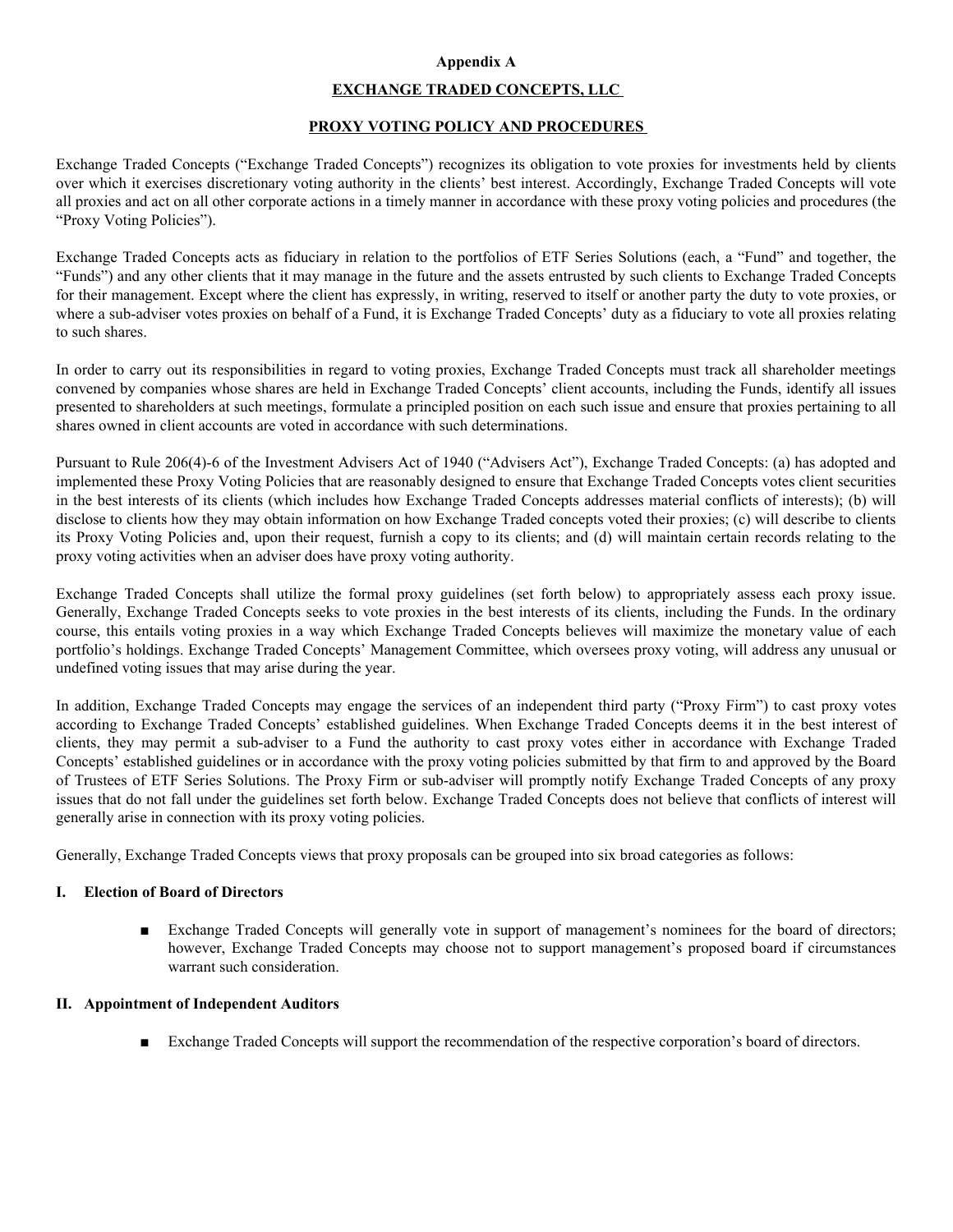# **Appendix A**

# **EXCHANGE TRADED CONCEPTS, LLC**

## **PROXY VOTING POLICY AND PROCEDURES**

<span id="page-35-0"></span>Exchange Traded Concepts ("Exchange Traded Concepts") recognizes its obligation to vote proxies for investments held by clients over which it exercises discretionary voting authority in the clients' best interest. Accordingly, Exchange Traded Concepts will vote all proxies and act on all other corporate actions in a timely manner in accordance with these proxy voting policies and procedures (the "Proxy Voting Policies").

Exchange Traded Concepts acts as fiduciary in relation to the portfolios of ETF Series Solutions (each, a "Fund" and together, the "Funds") and any other clients that it may manage in the future and the assets entrusted by such clients to Exchange Traded Concepts for their management. Except where the client has expressly, in writing, reserved to itself or another party the duty to vote proxies, or where a sub-adviser votes proxies on behalf of a Fund, it is Exchange Traded Concepts' duty as a fiduciary to vote all proxies relating to such shares.

In order to carry out its responsibilities in regard to voting proxies, Exchange Traded Concepts must track all shareholder meetings convened by companies whose shares are held in Exchange Traded Concepts' client accounts, including the Funds, identify all issues presented to shareholders at such meetings, formulate a principled position on each such issue and ensure that proxies pertaining to all shares owned in client accounts are voted in accordance with such determinations.

Pursuant to Rule 206(4)-6 of the Investment Advisers Act of 1940 ("Advisers Act"), Exchange Traded Concepts: (a) has adopted and implemented these Proxy Voting Policies that are reasonably designed to ensure that Exchange Traded Concepts votes client securities in the best interests of its clients (which includes how Exchange Traded Concepts addresses material conflicts of interests); (b) will disclose to clients how they may obtain information on how Exchange Traded concepts voted their proxies; (c) will describe to clients its Proxy Voting Policies and, upon their request, furnish a copy to its clients; and (d) will maintain certain records relating to the proxy voting activities when an adviser does have proxy voting authority.

Exchange Traded Concepts shall utilize the formal proxy guidelines (set forth below) to appropriately assess each proxy issue. Generally, Exchange Traded Concepts seeks to vote proxies in the best interests of its clients, including the Funds. In the ordinary course, this entails voting proxies in a way which Exchange Traded Concepts believes will maximize the monetary value of each portfolio's holdings. Exchange Traded Concepts' Management Committee, which oversees proxy voting, will address any unusual or undefined voting issues that may arise during the year.

In addition, Exchange Traded Concepts may engage the services of an independent third party ("Proxy Firm") to cast proxy votes according to Exchange Traded Concepts' established guidelines. When Exchange Traded Concepts deems it in the best interest of clients, they may permit a sub-adviser to a Fund the authority to cast proxy votes either in accordance with Exchange Traded Concepts' established guidelines or in accordance with the proxy voting policies submitted by that firm to and approved by the Board of Trustees of ETF Series Solutions. The Proxy Firm or sub-adviser will promptly notify Exchange Traded Concepts of any proxy issues that do not fall under the guidelines set forth below. Exchange Traded Concepts does not believe that conflicts of interest will generally arise in connection with its proxy voting policies.

Generally, Exchange Traded Concepts views that proxy proposals can be grouped into six broad categories as follows:

#### **I. Election of Board of Directors**

■ Exchange Traded Concepts will generally vote in support of management's nominees for the board of directors; however, Exchange Traded Concepts may choose not to support management's proposed board if circumstances warrant such consideration.

#### **II. Appointment of Independent Auditors**

■ Exchange Traded Concepts will support the recommendation of the respective corporation's board of directors.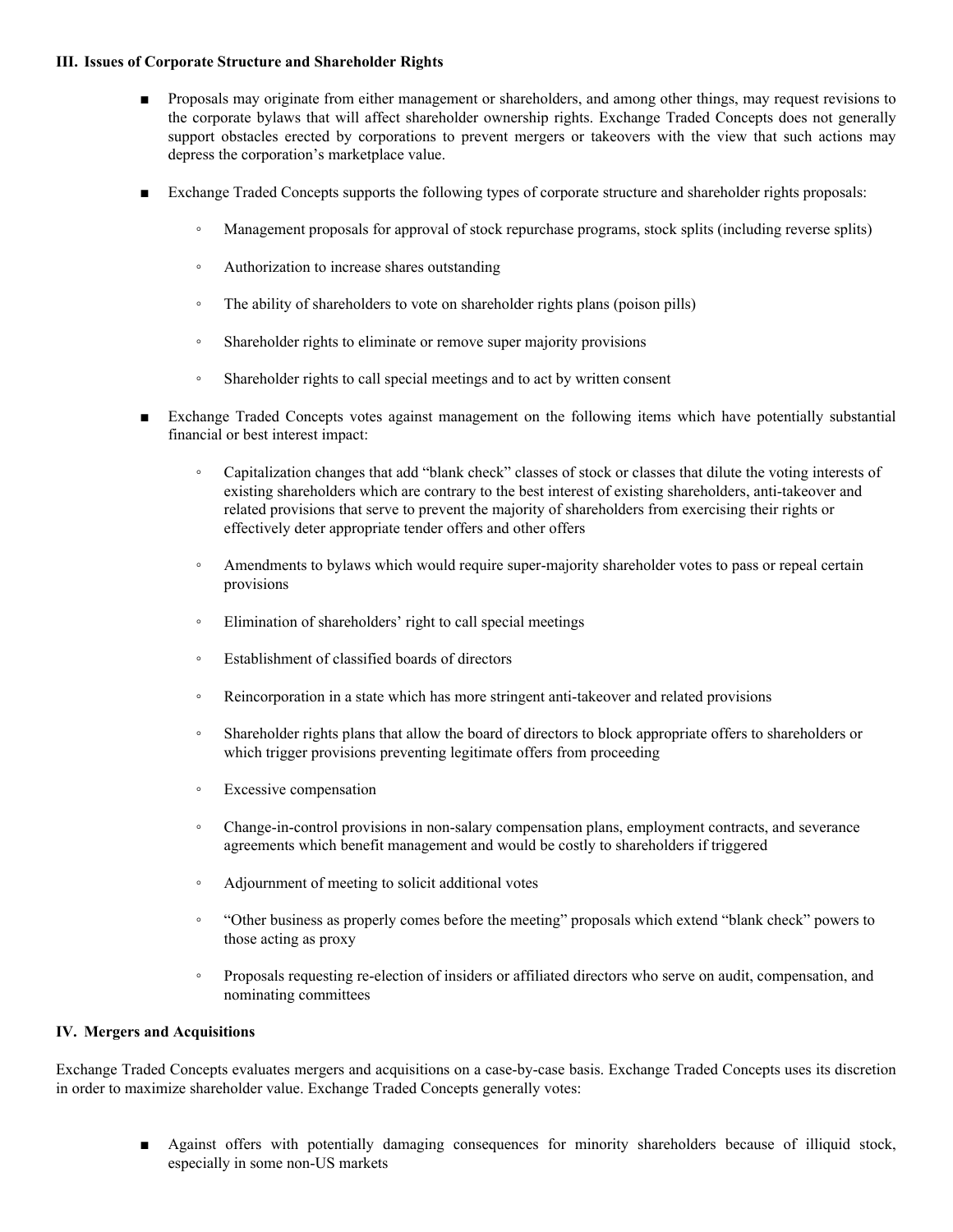## **III. Issues of Corporate Structure and Shareholder Rights**

- Proposals may originate from either management or shareholders, and among other things, may request revisions to the corporate bylaws that will affect shareholder ownership rights. Exchange Traded Concepts does not generally support obstacles erected by corporations to prevent mergers or takeovers with the view that such actions may depress the corporation's marketplace value.
- Exchange Traded Concepts supports the following types of corporate structure and shareholder rights proposals:
	- Management proposals for approval of stock repurchase programs, stock splits (including reverse splits)
	- Authorization to increase shares outstanding
	- The ability of shareholders to vote on shareholder rights plans (poison pills)
	- Shareholder rights to eliminate or remove super majority provisions
	- Shareholder rights to call special meetings and to act by written consent
- Exchange Traded Concepts votes against management on the following items which have potentially substantial financial or best interest impact:
	- Capitalization changes that add "blank check" classes of stock or classes that dilute the voting interests of existing shareholders which are contrary to the best interest of existing shareholders, anti-takeover and related provisions that serve to prevent the majority of shareholders from exercising their rights or effectively deter appropriate tender offers and other offers
	- Amendments to bylaws which would require super-majority shareholder votes to pass or repeal certain provisions
	- Elimination of shareholders' right to call special meetings
	- Establishment of classified boards of directors
	- Reincorporation in a state which has more stringent anti-takeover and related provisions
	- Shareholder rights plans that allow the board of directors to block appropriate offers to shareholders or which trigger provisions preventing legitimate offers from proceeding
	- Excessive compensation
	- Change-in-control provisions in non-salary compensation plans, employment contracts, and severance agreements which benefit management and would be costly to shareholders if triggered
	- Adjournment of meeting to solicit additional votes
	- "Other business as properly comes before the meeting" proposals which extend "blank check" powers to those acting as proxy
	- Proposals requesting re-election of insiders or affiliated directors who serve on audit, compensation, and nominating committees

# **IV. Mergers and Acquisitions**

Exchange Traded Concepts evaluates mergers and acquisitions on a case-by-case basis. Exchange Traded Concepts uses its discretion in order to maximize shareholder value. Exchange Traded Concepts generally votes:

> Against offers with potentially damaging consequences for minority shareholders because of illiquid stock, especially in some non-US markets